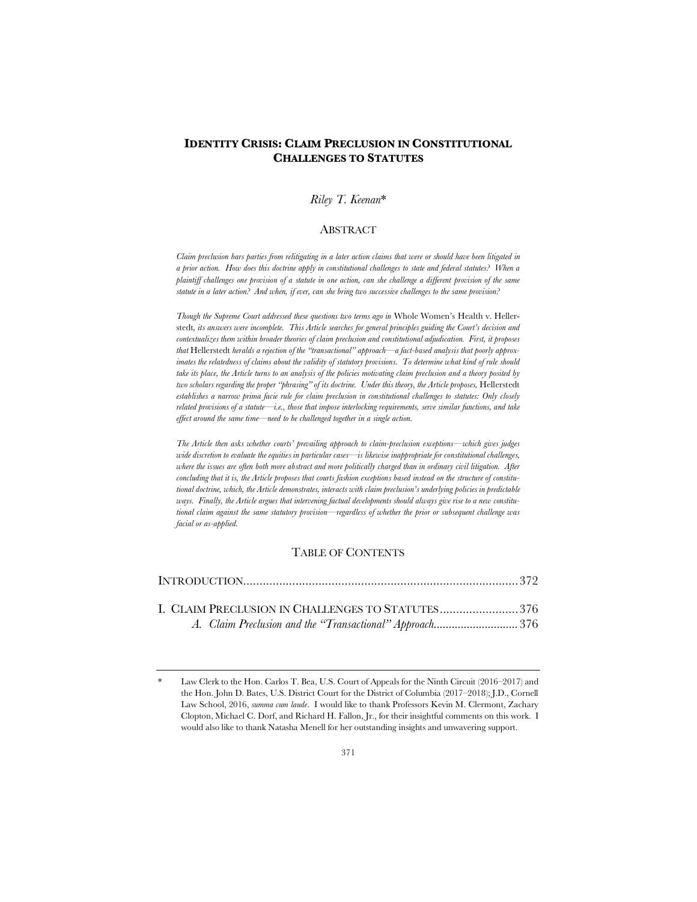# **IDENTITY CRISIS: CLAIM PRECLUSION IN CONSTITUTIONAL CHALLENGES TO STATUTES**

# *Riley T. Keenan*\*

### ABSTRACT

*Claim preclusion bars parties from relitigating in a later action claims that were or should have been litigated in a prior action. How does this doctrine apply in constitutional challenges to state and federal statutes? When a plaintiff challenges one provision of a statute in one action, can she challenge a different provision of the same statute in a later action? And when, if ever, can she bring two successive challenges to the same provision?*

*Though the Supreme Court addressed these questions two terms ago in* Whole Women's Health v. Hellerstedt*, its answers were incomplete. This Article searches for general principles guiding the Court's decision and contextualizes them within broader theories of claim preclusion and constitutional adjudication. First, it proposes that* Hellerstedt *heralds a rejection of the "transactional" approach—a fact-based analysis that poorly approximates the relatedness of claims about the validity of statutory provisions. To determine what kind of rule should take its place, the Article turns to an analysis of the policies motivating claim preclusion and a theory posited by two scholars regarding the proper "phrasing" of its doctrine. Under this theory, the Article proposes,* Hellerstedt *establishes a narrow prima facie rule for claim preclusion in constitutional challenges to statutes: Only closely related provisions of a statute—i.e., those that impose interlocking requirements, serve similar functions, and take effect around the same time—need to be challenged together in a single action.* 

*The Article then asks whether courts' prevailing approach to claim-preclusion exceptions—which gives judges wide discretion to evaluate the equities in particular cases—is likewise inappropriate for constitutional challenges, where the issues are often both more abstract and more politically charged than in ordinary civil litigation. After concluding that it is, the Article proposes that courts fashion exceptions based instead on the structure of constitutional doctrine, which, the Article demonstrates, interacts with claim preclusion's underlying policies in predictable ways. Finally, the Article argues that intervening factual developments should always give rise to a new constitutional claim against the same statutory provision—regardless of whether the prior or subsequent challenge was facial or as-applied.*

# TABLE OF CONTENTS

| I. CLAIM PRECLUSION IN CHALLENGES TO STATUTES376        |  |
|---------------------------------------------------------|--|
| A. Claim Preclusion and the "Transactional" Approach376 |  |

Law Clerk to the Hon. Carlos T. Bea, U.S. Court of Appeals for the Ninth Circuit (2016–2017) and the Hon. John D. Bates, U.S. District Court for the District of Columbia (2017–2018); J.D., Cornell Law School, 2016, *summa cum laude*. I would like to thank Professors Kevin M. Clermont, Zachary Clopton, Michael C. Dorf, and Richard H. Fallon, Jr., for their insightful comments on this work. I would also like to thank Natasha Menell for her outstanding insights and unwavering support.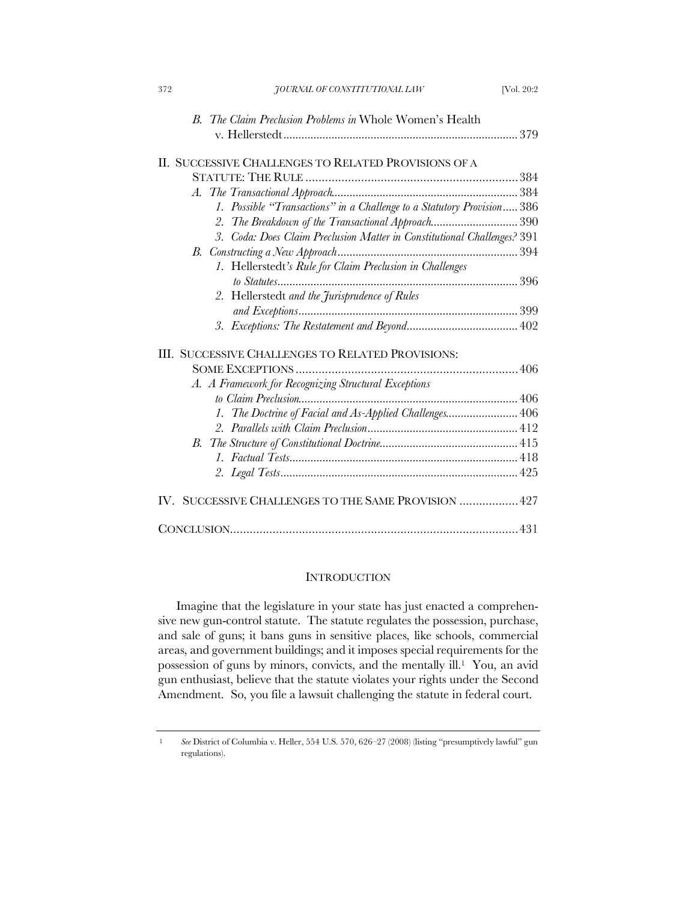| 372 | JOURNAL OF CONSTITUTIONAL LAW                                           | [Vol. 20:2] |
|-----|-------------------------------------------------------------------------|-------------|
|     | B. The Claim Preclusion Problems in Whole Women's Health                |             |
|     |                                                                         |             |
|     |                                                                         |             |
|     | II. SUCCESSIVE CHALLENGES TO RELATED PROVISIONS OF A                    |             |
|     |                                                                         |             |
|     |                                                                         |             |
|     | 1. Possible "Transactions" in a Challenge to a Statutory Provision 386  |             |
|     | The Breakdown of the Transactional Approach390<br>2.                    |             |
|     | 3. Coda: Does Claim Preclusion Matter in Constitutional Challenges? 391 |             |
| В.  |                                                                         |             |
|     | 1. Hellerstedt's Rule for Claim Preclusion in Challenges                |             |
|     |                                                                         |             |
|     | 2. Hellerstedt and the Jurisprudence of Rules                           |             |
|     |                                                                         |             |
|     |                                                                         |             |
|     | III. SUCCESSIVE CHALLENGES TO RELATED PROVISIONS:                       |             |
|     |                                                                         |             |
|     | A. A Framework for Recognizing Structural Exceptions                    |             |
|     |                                                                         |             |
|     | 1. The Doctrine of Facial and As-Applied Challenges 406                 |             |
|     |                                                                         |             |
| В.  |                                                                         |             |
|     |                                                                         |             |
|     |                                                                         |             |
|     |                                                                         |             |
|     | IV. SUCCESSIVE CHALLENGES TO THE SAME PROVISION  427                    |             |
|     |                                                                         |             |
|     |                                                                         |             |

# **INTRODUCTION**

Imagine that the legislature in your state has just enacted a comprehensive new gun-control statute. The statute regulates the possession, purchase, and sale of guns; it bans guns in sensitive places, like schools, commercial areas, and government buildings; and it imposes special requirements for the possession of guns by minors, convicts, and the mentally ill.1 You, an avid gun enthusiast, believe that the statute violates your rights under the Second Amendment. So, you file a lawsuit challenging the statute in federal court.

<sup>1</sup> *See* District of Columbia v. Heller, 554 U.S. 570, 626–27 (2008) (listing "presumptively lawful" gun regulations).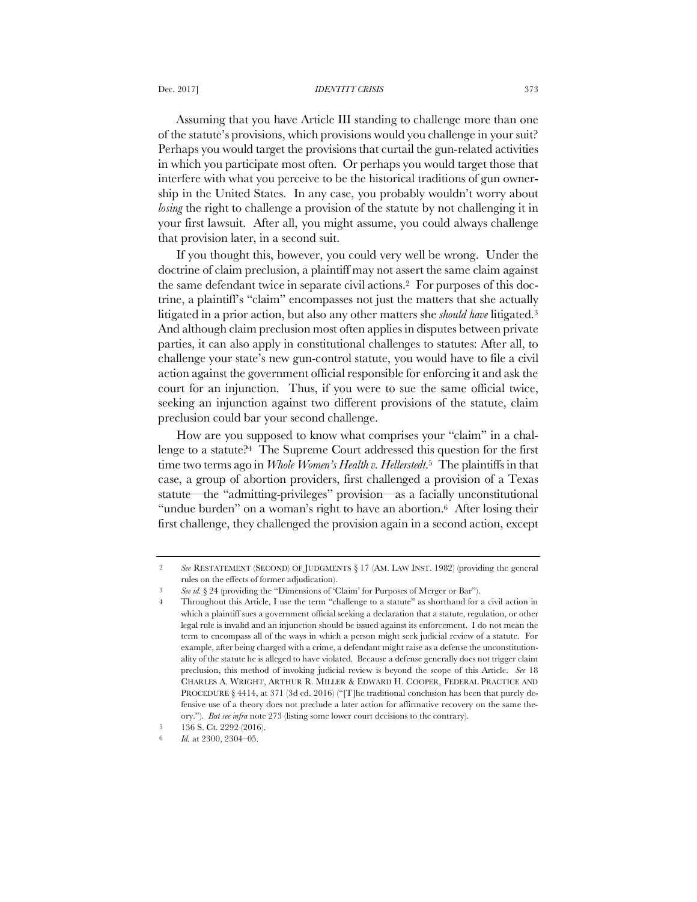Assuming that you have Article III standing to challenge more than one of the statute's provisions, which provisions would you challenge in your suit? Perhaps you would target the provisions that curtail the gun-related activities in which you participate most often. Or perhaps you would target those that interfere with what you perceive to be the historical traditions of gun ownership in the United States. In any case, you probably wouldn't worry about *losing* the right to challenge a provision of the statute by not challenging it in your first lawsuit. After all, you might assume, you could always challenge that provision later, in a second suit.

If you thought this, however, you could very well be wrong. Under the doctrine of claim preclusion, a plaintiff may not assert the same claim against the same defendant twice in separate civil actions.2 For purposes of this doctrine, a plaintiff's "claim" encompasses not just the matters that she actually litigated in a prior action, but also any other matters she *should have* litigated.3 And although claim preclusion most often applies in disputes between private parties, it can also apply in constitutional challenges to statutes: After all, to challenge your state's new gun-control statute, you would have to file a civil action against the government official responsible for enforcing it and ask the court for an injunction. Thus, if you were to sue the same official twice, seeking an injunction against two different provisions of the statute, claim preclusion could bar your second challenge.

How are you supposed to know what comprises your "claim" in a challenge to a statute?4 The Supreme Court addressed this question for the first time two terms ago in *Whole Women's Health v. Hellerstedt*.5 The plaintiffs in that case, a group of abortion providers, first challenged a provision of a Texas statute—the "admitting-privileges" provision—as a facially unconstitutional "undue burden" on a woman's right to have an abortion.<sup>6</sup> After losing their first challenge, they challenged the provision again in a second action, except

<sup>2</sup> *See* RESTATEMENT (SECOND) OF JUDGMENTS § 17 (AM. LAW INST. 1982) (providing the general rules on the effects of former adjudication).

<sup>3</sup> *See id.* § 24 (providing the "Dimensions of 'Claim' for Purposes of Merger or Bar").

Throughout this Article, I use the term "challenge to a statute" as shorthand for a civil action in which a plaintiff sues a government official seeking a declaration that a statute, regulation, or other legal rule is invalid and an injunction should be issued against its enforcement. I do not mean the term to encompass all of the ways in which a person might seek judicial review of a statute. For example, after being charged with a crime, a defendant might raise as a defense the unconstitutionality of the statute he is alleged to have violated. Because a defense generally does not trigger claim preclusion, this method of invoking judicial review is beyond the scope of this Article. *See* 18 CHARLES A. WRIGHT, ARTHUR R. MILLER & EDWARD H. COOPER, FEDERAL PRACTICE AND PROCEDURE § 4414, at 371 (3d ed. 2016) ("[T]he traditional conclusion has been that purely defensive use of a theory does not preclude a later action for affirmative recovery on the same theory."). *But see infra* note 273 (listing some lower court decisions to the contrary).

<sup>5</sup> 136 S. Ct. 2292 (2016).

Id. at 2300, 2304-05.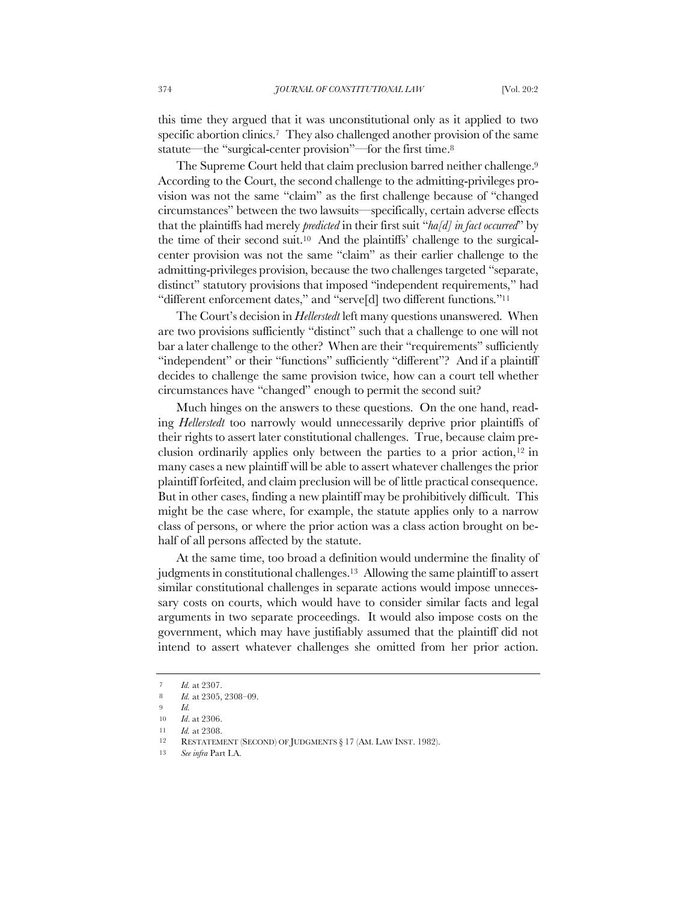this time they argued that it was unconstitutional only as it applied to two specific abortion clinics.<sup>7</sup> They also challenged another provision of the same statute—the "surgical-center provision"—for the first time.<sup>8</sup>

The Supreme Court held that claim preclusion barred neither challenge.<sup>9</sup> According to the Court, the second challenge to the admitting-privileges provision was not the same "claim" as the first challenge because of "changed circumstances" between the two lawsuits—specifically, certain adverse effects that the plaintiffs had merely *predicted* in their first suit "*ha[d] in fact occurred*" by the time of their second suit.10 And the plaintiffs' challenge to the surgicalcenter provision was not the same "claim" as their earlier challenge to the admitting-privileges provision, because the two challenges targeted "separate, distinct" statutory provisions that imposed "independent requirements," had "different enforcement dates," and "serve[d] two different functions."11

The Court's decision in *Hellerstedt* left many questions unanswered. When are two provisions sufficiently "distinct" such that a challenge to one will not bar a later challenge to the other? When are their "requirements" sufficiently "independent" or their "functions" sufficiently "different"? And if a plaintiff decides to challenge the same provision twice, how can a court tell whether circumstances have "changed" enough to permit the second suit?

Much hinges on the answers to these questions. On the one hand, reading *Hellerstedt* too narrowly would unnecessarily deprive prior plaintiffs of their rights to assert later constitutional challenges. True, because claim preclusion ordinarily applies only between the parties to a prior action, $12$  in many cases a new plaintiff will be able to assert whatever challenges the prior plaintiff forfeited, and claim preclusion will be of little practical consequence. But in other cases, finding a new plaintiff may be prohibitively difficult. This might be the case where, for example, the statute applies only to a narrow class of persons, or where the prior action was a class action brought on behalf of all persons affected by the statute.

At the same time, too broad a definition would undermine the finality of judgments in constitutional challenges.<sup>13</sup> Allowing the same plaintiff to assert similar constitutional challenges in separate actions would impose unnecessary costs on courts, which would have to consider similar facts and legal arguments in two separate proceedings. It would also impose costs on the government, which may have justifiably assumed that the plaintiff did not intend to assert whatever challenges she omitted from her prior action.

<sup>7</sup> *Id.* at 2307. 8 *Id.* at 2305, 2308–09.

<sup>9</sup> *Id.* 

<sup>10</sup> *Id*. at 2306.

<sup>11</sup> *Id.* at 2308. RESTATEMENT (SECOND) OF JUDGMENTS § 17 (AM. LAW INST. 1982).

<sup>13</sup> *See infra* Part I.A.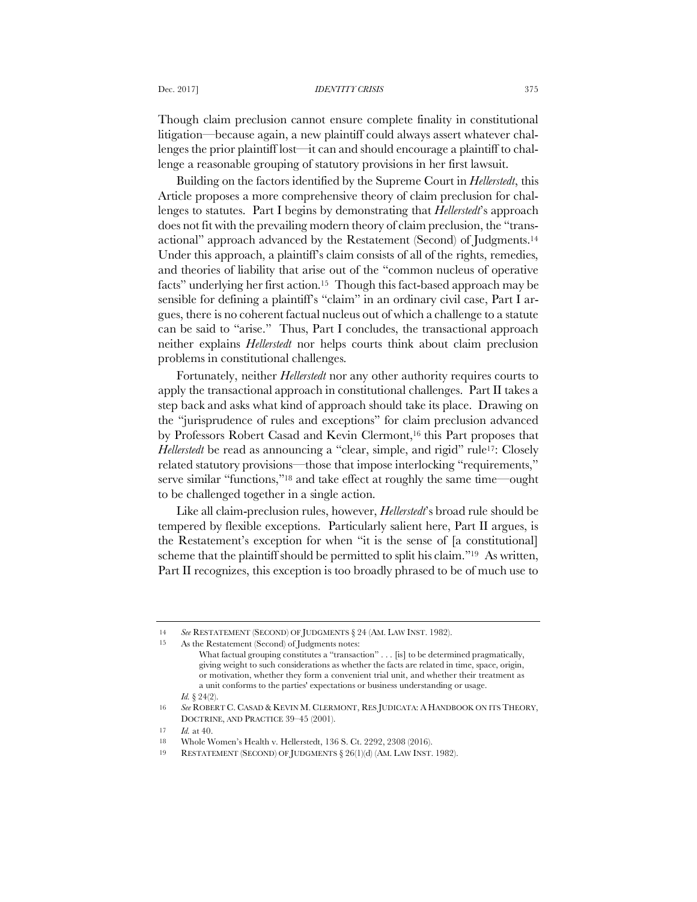Though claim preclusion cannot ensure complete finality in constitutional litigation—because again, a new plaintiff could always assert whatever challenges the prior plaintiff lost—it can and should encourage a plaintiff to challenge a reasonable grouping of statutory provisions in her first lawsuit.

Building on the factors identified by the Supreme Court in *Hellerstedt*, this Article proposes a more comprehensive theory of claim preclusion for challenges to statutes. Part I begins by demonstrating that *Hellerstedt*'s approach does not fit with the prevailing modern theory of claim preclusion, the "transactional" approach advanced by the Restatement (Second) of Judgments.14 Under this approach, a plaintiff's claim consists of all of the rights, remedies, and theories of liability that arise out of the "common nucleus of operative facts" underlying her first action.15 Though this fact-based approach may be sensible for defining a plaintiff's "claim" in an ordinary civil case, Part I argues, there is no coherent factual nucleus out of which a challenge to a statute can be said to "arise." Thus, Part I concludes, the transactional approach neither explains *Hellerstedt* nor helps courts think about claim preclusion problems in constitutional challenges.

Fortunately, neither *Hellerstedt* nor any other authority requires courts to apply the transactional approach in constitutional challenges. Part II takes a step back and asks what kind of approach should take its place. Drawing on the "jurisprudence of rules and exceptions" for claim preclusion advanced by Professors Robert Casad and Kevin Clermont,16 this Part proposes that *Hellerstedt* be read as announcing a "clear, simple, and rigid" rule<sup>17</sup>: Closely related statutory provisions—those that impose interlocking "requirements," serve similar "functions,"18 and take effect at roughly the same time—ought to be challenged together in a single action.

Like all claim-preclusion rules, however, *Hellerstedt*'s broad rule should be tempered by flexible exceptions. Particularly salient here, Part II argues, is the Restatement's exception for when "it is the sense of [a constitutional] scheme that the plaintiff should be permitted to split his claim."19 As written, Part II recognizes, this exception is too broadly phrased to be of much use to

<sup>14</sup> *See* RESTATEMENT (SECOND) OF JUDGMENTS § 24 (AM. LAW INST. 1982).

<sup>15</sup> As the Restatement (Second) of Judgments notes:

What factual grouping constitutes a "transaction" . . . [is] to be determined pragmatically, giving weight to such considerations as whether the facts are related in time, space, origin, or motivation, whether they form a convenient trial unit, and whether their treatment as a unit conforms to the parties' expectations or business understanding or usage. *Id.*  $\{24(2)\}$ 

<sup>16</sup> *See* ROBERT C. CASAD & KEVIN M. CLERMONT, RES JUDICATA: A HANDBOOK ON ITS THEORY, DOCTRINE, AND PRACTICE 39–45 (2001).

<sup>17</sup> *Id.* at 40.

<sup>18</sup> Whole Women's Health v. Hellerstedt, 136 S. Ct. 2292, 2308 (2016).

<sup>19</sup> RESTATEMENT (SECOND) OF JUDGMENTS § 26(1)(d) (AM. LAW INST. 1982).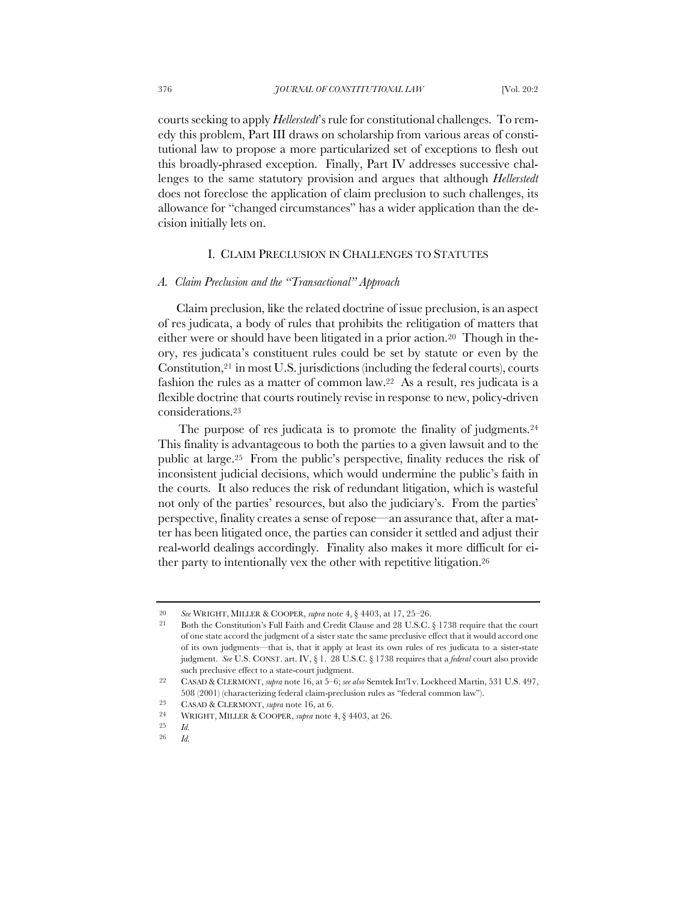courts seeking to apply *Hellerstedt*'s rule for constitutional challenges. To remedy this problem, Part III draws on scholarship from various areas of constitutional law to propose a more particularized set of exceptions to flesh out this broadly-phrased exception. Finally, Part IV addresses successive challenges to the same statutory provision and argues that although *Hellerstedt*  does not foreclose the application of claim preclusion to such challenges, its allowance for "changed circumstances" has a wider application than the decision initially lets on.

## I. CLAIM PRECLUSION IN CHALLENGES TO STATUTES

# *A. Claim Preclusion and the "Transactional" Approach*

Claim preclusion, like the related doctrine of issue preclusion, is an aspect of res judicata, a body of rules that prohibits the relitigation of matters that either were or should have been litigated in a prior action.<sup>20</sup> Though in theory, res judicata's constituent rules could be set by statute or even by the Constitution, $21$  in most U.S. jurisdictions (including the federal courts), courts fashion the rules as a matter of common law.22 As a result, res judicata is a flexible doctrine that courts routinely revise in response to new, policy-driven considerations.23

The purpose of res judicata is to promote the finality of judgments.<sup>24</sup> This finality is advantageous to both the parties to a given lawsuit and to the public at large.25 From the public's perspective, finality reduces the risk of inconsistent judicial decisions, which would undermine the public's faith in the courts. It also reduces the risk of redundant litigation, which is wasteful not only of the parties' resources, but also the judiciary's. From the parties' perspective, finality creates a sense of repose—an assurance that, after a matter has been litigated once, the parties can consider it settled and adjust their real-world dealings accordingly. Finality also makes it more difficult for either party to intentionally vex the other with repetitive litigation.26

<sup>20</sup> *See* WRIGHT, MILLER & COOPER, *supra* note 4, § 4403, at 17, 25–26.

<sup>21</sup> Both the Constitution's Full Faith and Credit Clause and 28 U.S.C. § 1738 require that the court of one state accord the judgment of a sister state the same preclusive effect that it would accord one of its own judgments—that is, that it apply at least its own rules of res judicata to a sister-state judgment. *See* U.S. CONST. art. IV, § 1. 28 U.S.C. § 1738 requires that a *federal* court also provide such preclusive effect to a state-court judgment.

<sup>22</sup> CASAD & CLERMONT, *supra* note 16, at 5–6; *see also* Semtek Int'l v. Lockheed Martin, 531 U.S. 497, 508 (2001) (characterizing federal claim-preclusion rules as "federal common law").

<sup>23</sup> CASAD & CLERMONT, *supra* note 16, at 6.

<sup>&</sup>lt;sup>24</sup> WRIGHT, MILLER & COOPER, *supra* note 4, § 4403, at 26.

 $\frac{25}{26}$  *Id.* 

<sup>26</sup> *Id.*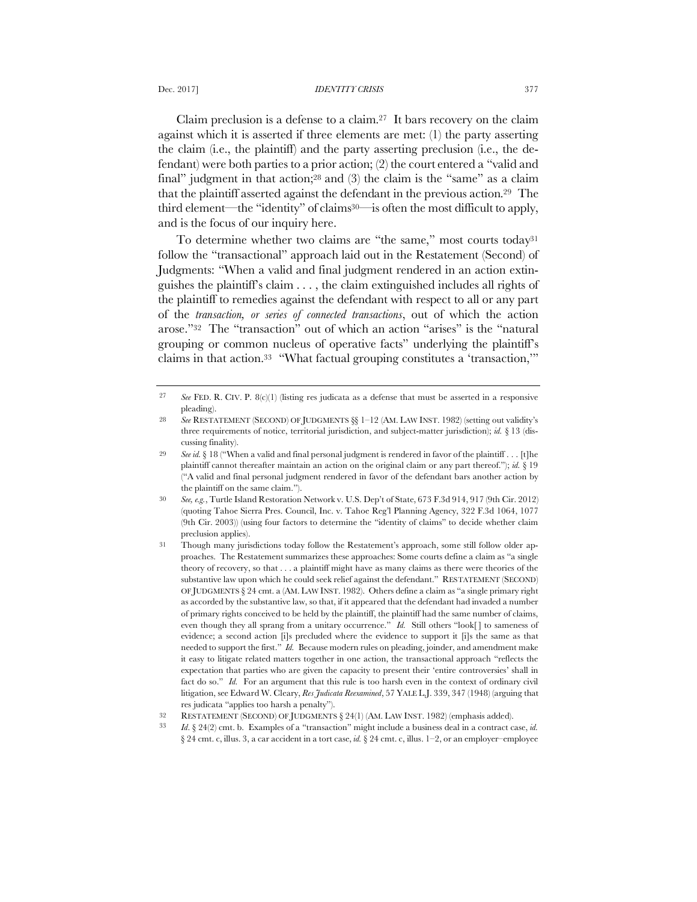Claim preclusion is a defense to a claim.<sup>27</sup> It bars recovery on the claim against which it is asserted if three elements are met: (1) the party asserting the claim (i.e., the plaintiff) and the party asserting preclusion (i.e., the defendant) were both parties to a prior action; (2) the court entered a "valid and final" judgment in that action;<sup>28</sup> and (3) the claim is the "same" as a claim that the plaintiff asserted against the defendant in the previous action.29 The third element—the "identity" of claims30—is often the most difficult to apply, and is the focus of our inquiry here.

To determine whether two claims are "the same," most courts today<sup>31</sup> follow the "transactional" approach laid out in the Restatement (Second) of Judgments: "When a valid and final judgment rendered in an action extinguishes the plaintiff's claim . . . , the claim extinguished includes all rights of the plaintiff to remedies against the defendant with respect to all or any part of the *transaction, or series of connected transactions*, out of which the action arose."32 The "transaction" out of which an action "arises" is the "natural grouping or common nucleus of operative facts" underlying the plaintiff's claims in that action.33 "What factual grouping constitutes a 'transaction,'"

<sup>27</sup> *See* FED. R. CIV. P. 8(c)(1) (listing res judicata as a defense that must be asserted in a responsive pleading).

<sup>28</sup> *See* RESTATEMENT (SECOND) OF JUDGMENTS §§ 1–12 (AM. LAW INST. 1982) (setting out validity's three requirements of notice, territorial jurisdiction, and subject-matter jurisdiction); *id.* § 13 (discussing finality).

<sup>29</sup> *See id.* § 18 ("When a valid and final personal judgment is rendered in favor of the plaintiff . . . [t]he plaintiff cannot thereafter maintain an action on the original claim or any part thereof."); *id.* § 19 ("A valid and final personal judgment rendered in favor of the defendant bars another action by the plaintiff on the same claim.").

<sup>30</sup> *See, e.g.*, Turtle Island Restoration Network v. U.S. Dep't of State, 673 F.3d 914, 917 (9th Cir. 2012) (quoting Tahoe Sierra Pres. Council, Inc. v. Tahoe Reg'l Planning Agency, 322 F.3d 1064, 1077 (9th Cir. 2003)) (using four factors to determine the "identity of claims" to decide whether claim preclusion applies).

<sup>31</sup> Though many jurisdictions today follow the Restatement's approach, some still follow older approaches. The Restatement summarizes these approaches: Some courts define a claim as "a single theory of recovery, so that . . . a plaintiff might have as many claims as there were theories of the substantive law upon which he could seek relief against the defendant." RESTATEMENT (SECOND) OF JUDGMENTS § 24 cmt. a (AM. LAW INST. 1982). Others define a claim as "a single primary right as accorded by the substantive law, so that, if it appeared that the defendant had invaded a number of primary rights conceived to be held by the plaintiff, the plaintiff had the same number of claims, even though they all sprang from a unitary occurrence." *Id.* Still others "look[] to sameness of evidence; a second action [i]s precluded where the evidence to support it [i]s the same as that needed to support the first." *Id.* Because modern rules on pleading, joinder, and amendment make it easy to litigate related matters together in one action, the transactional approach "reflects the expectation that parties who are given the capacity to present their 'entire controversies' shall in fact do so." *Id.* For an argument that this rule is too harsh even in the context of ordinary civil litigation, see Edward W. Cleary, *Res Judicata Reexamined*, 57 YALE L.J. 339, 347 (1948) (arguing that res judicata "applies too harsh a penalty").

<sup>32</sup> RESTATEMENT (SECOND) OF JUDGMENTS § 24(1) (AM. LAW INST. 1982) (emphasis added).

<sup>33</sup> *Id*. § 24(2) cmt. b. Examples of a "transaction" might include a business deal in a contract case, *id.*  § 24 cmt. c, illus. 3, a car accident in a tort case, *id.* § 24 cmt. c, illus. 1–2, or an employer–employee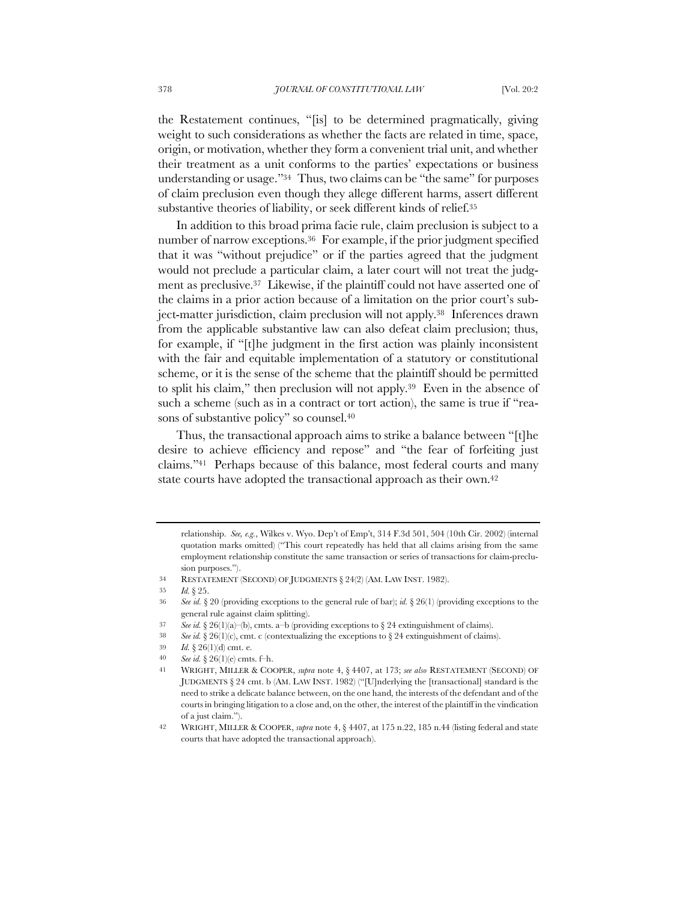the Restatement continues, "[is] to be determined pragmatically, giving weight to such considerations as whether the facts are related in time, space, origin, or motivation, whether they form a convenient trial unit, and whether their treatment as a unit conforms to the parties' expectations or business understanding or usage."34 Thus, two claims can be "the same" for purposes of claim preclusion even though they allege different harms, assert different substantive theories of liability, or seek different kinds of relief.35

In addition to this broad prima facie rule, claim preclusion is subject to a number of narrow exceptions.36 For example, if the prior judgment specified that it was "without prejudice" or if the parties agreed that the judgment would not preclude a particular claim, a later court will not treat the judgment as preclusive.37 Likewise, if the plaintiff could not have asserted one of the claims in a prior action because of a limitation on the prior court's subject-matter jurisdiction, claim preclusion will not apply.38 Inferences drawn from the applicable substantive law can also defeat claim preclusion; thus, for example, if "[t]he judgment in the first action was plainly inconsistent with the fair and equitable implementation of a statutory or constitutional scheme, or it is the sense of the scheme that the plaintiff should be permitted to split his claim," then preclusion will not apply.39 Even in the absence of such a scheme (such as in a contract or tort action), the same is true if "reasons of substantive policy" so counsel.<sup>40</sup>

Thus, the transactional approach aims to strike a balance between "[t]he desire to achieve efficiency and repose" and "the fear of forfeiting just claims."41 Perhaps because of this balance, most federal courts and many state courts have adopted the transactional approach as their own.<sup>42</sup>

relationship. *See, e.g.*, Wilkes v. Wyo. Dep't of Emp't, 314 F.3d 501, 504 (10th Cir. 2002) (internal quotation marks omitted) ("This court repeatedly has held that all claims arising from the same employment relationship constitute the same transaction or series of transactions for claim-preclusion purposes.").

<sup>34</sup> RESTATEMENT (SECOND) OF JUDGMENTS § 24(2) (AM. LAW INST. 1982).

<sup>35</sup> *Id.* § 25.

<sup>36</sup> *See id.* § 20 (providing exceptions to the general rule of bar); *id.* § 26(1) (providing exceptions to the general rule against claim splitting).

<sup>37</sup> *See id.* § 26(1)(a)–(b), cmts. a–b (providing exceptions to § 24 extinguishment of claims).

<sup>38</sup> *See id.*  $§ 26(1)(c)$ , cmt. c (contextualizing the exceptions to  $§ 24$  extinguishment of claims).

<sup>39</sup> *Id.* § 26(1)(d) cmt. e.

<sup>40</sup> *See id.* § 26(1)(e) cmts. f–h.

<sup>41</sup> WRIGHT, MILLER & COOPER, *supra* note 4, § 4407, at 173; *see also* RESTATEMENT (SECOND) OF JUDGMENTS § 24 cmt. b (AM. LAW INST. 1982) ("[U]nderlying the [transactional] standard is the need to strike a delicate balance between, on the one hand, the interests of the defendant and of the courts in bringing litigation to a close and, on the other, the interest of the plaintiff in the vindication of a just claim.").

<sup>42</sup> WRIGHT, MILLER & COOPER, *supra* note 4, § 4407, at 175 n.22, 185 n.44 (listing federal and state courts that have adopted the transactional approach).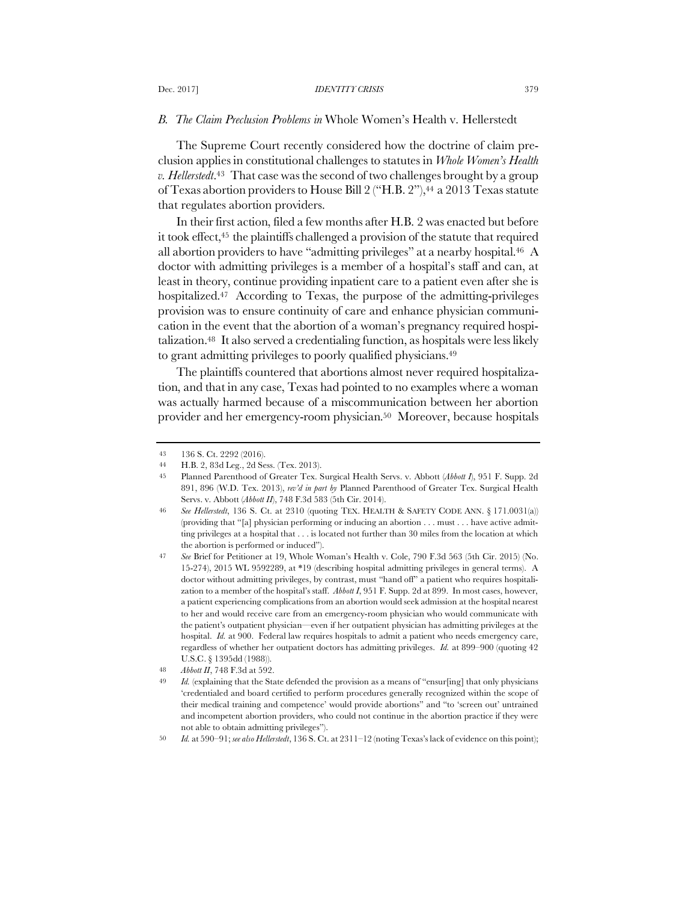## *B. The Claim Preclusion Problems in* Whole Women's Health v. Hellerstedt

The Supreme Court recently considered how the doctrine of claim preclusion applies in constitutional challenges to statutes in *Whole Women's Health v. Hellerstedt*.43 That case was the second of two challenges brought by a group of Texas abortion providers to House Bill 2 ("H.B. 2"),44 a 2013 Texas statute that regulates abortion providers.

In their first action, filed a few months after H.B. 2 was enacted but before it took effect,<sup>45</sup> the plaintiffs challenged a provision of the statute that required all abortion providers to have "admitting privileges" at a nearby hospital.46 A doctor with admitting privileges is a member of a hospital's staff and can, at least in theory, continue providing inpatient care to a patient even after she is hospitalized.<sup>47</sup> According to Texas, the purpose of the admitting-privileges provision was to ensure continuity of care and enhance physician communication in the event that the abortion of a woman's pregnancy required hospitalization.48 It also served a credentialing function, as hospitals were less likely to grant admitting privileges to poorly qualified physicians.49

The plaintiffs countered that abortions almost never required hospitalization, and that in any case, Texas had pointed to no examples where a woman was actually harmed because of a miscommunication between her abortion provider and her emergency-room physician.50 Moreover, because hospitals

<sup>43</sup> 136 S. Ct. 2292 (2016).

<sup>44</sup> H.B. 2, 83d Leg., 2d Sess. (Tex. 2013).

<sup>45</sup> Planned Parenthood of Greater Tex. Surgical Health Servs. v. Abbott (*Abbott I*), 951 F. Supp. 2d 891, 896 (W.D. Tex. 2013), *rev'd in part by* Planned Parenthood of Greater Tex. Surgical Health Servs. v. Abbott (*Abbott II*), 748 F.3d 583 (5th Cir. 2014).

<sup>46</sup> *See Hellerstedt*, 136 S. Ct. at 2310 (quoting TEX. HEALTH & SAFETY CODE ANN. § 171.0031(a)) (providing that "[a] physician performing or inducing an abortion . . . must . . . have active admitting privileges at a hospital that . . . is located not further than 30 miles from the location at which the abortion is performed or induced").

<sup>47</sup> *See* Brief for Petitioner at 19, Whole Woman's Health v. Cole, 790 F.3d 563 (5th Cir. 2015) (No. 15-274), 2015 WL 9592289, at \*19 (describing hospital admitting privileges in general terms). A doctor without admitting privileges, by contrast, must "hand off" a patient who requires hospitalization to a member of the hospital's staff. *Abbott I*, 951 F. Supp. 2d at 899. In most cases, however, a patient experiencing complications from an abortion would seek admission at the hospital nearest to her and would receive care from an emergency-room physician who would communicate with the patient's outpatient physician—even if her outpatient physician has admitting privileges at the hospital. *Id.* at 900. Federal law requires hospitals to admit a patient who needs emergency care, regardless of whether her outpatient doctors has admitting privileges. *Id.* at 899–900 (quoting 42 U.S.C. § 1395dd (1988)).

<sup>48</sup> *Abbott II*, 748 F.3d at 592.

<sup>49</sup> *Id.* (explaining that the State defended the provision as a means of "ensur[ing] that only physicians 'credentialed and board certified to perform procedures generally recognized within the scope of their medical training and competence' would provide abortions" and "to 'screen out' untrained and incompetent abortion providers, who could not continue in the abortion practice if they were not able to obtain admitting privileges").

<sup>50</sup> *Id.* at 590–91; *see also Hellerstedt*, 136 S. Ct. at 2311–12 (noting Texas's lack of evidence on this point);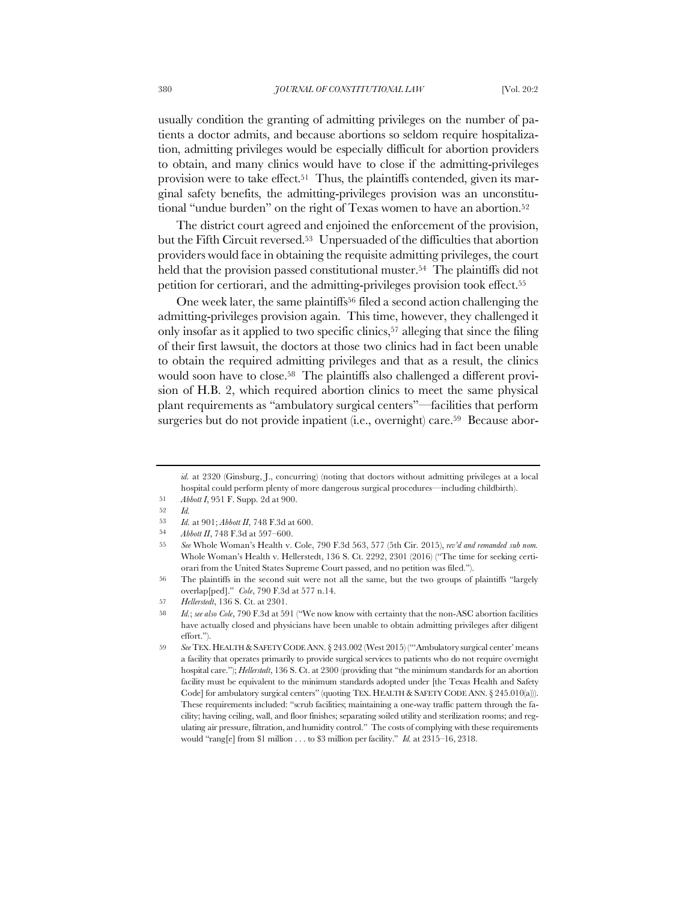usually condition the granting of admitting privileges on the number of patients a doctor admits, and because abortions so seldom require hospitalization, admitting privileges would be especially difficult for abortion providers to obtain, and many clinics would have to close if the admitting-privileges provision were to take effect.<sup>51</sup> Thus, the plaintiffs contended, given its marginal safety benefits, the admitting-privileges provision was an unconstitutional "undue burden" on the right of Texas women to have an abortion.<sup>52</sup>

The district court agreed and enjoined the enforcement of the provision, but the Fifth Circuit reversed.53 Unpersuaded of the difficulties that abortion providers would face in obtaining the requisite admitting privileges, the court held that the provision passed constitutional muster.<sup>54</sup> The plaintiffs did not petition for certiorari, and the admitting-privileges provision took effect.55

One week later, the same plaintiffs56 filed a second action challenging the admitting-privileges provision again. This time, however, they challenged it only insofar as it applied to two specific clinics,57 alleging that since the filing of their first lawsuit, the doctors at those two clinics had in fact been unable to obtain the required admitting privileges and that as a result, the clinics would soon have to close.58 The plaintiffs also challenged a different provision of H.B. 2, which required abortion clinics to meet the same physical plant requirements as "ambulatory surgical centers"—facilities that perform surgeries but do not provide inpatient (i.e., overnight) care.<sup>59</sup> Because abor-

*id.* at 2320 (Ginsburg, J., concurring) (noting that doctors without admitting privileges at a local hospital could perform plenty of more dangerous surgical procedures—including childbirth).

<sup>51</sup> *Abbott I*, 951 F. Supp. 2d at 900.

<sup>52</sup> *Id.*

<sup>53</sup> *Id.* at 901; *Abbott II*, 748 F.3d at 600.

<sup>54</sup> *Abbott II*, 748 F.3d at 597–600.

<sup>55</sup> *See* Whole Woman's Health v. Cole, 790 F.3d 563, 577 (5th Cir. 2015), *rev'd and remanded sub nom.* Whole Woman's Health v. Hellerstedt, 136 S. Ct. 2292, 2301 (2016) ("The time for seeking certiorari from the United States Supreme Court passed, and no petition was filed.").

<sup>56</sup> The plaintiffs in the second suit were not all the same, but the two groups of plaintiffs "largely overlap[ped]." *Cole*, 790 F.3d at 577 n.14.

<sup>57</sup> *Hellerstedt*, 136 S. Ct. at 2301.

<sup>58</sup> *Id.*; *see also Cole*, 790 F.3d at 591 ("We now know with certainty that the non-ASC abortion facilities have actually closed and physicians have been unable to obtain admitting privileges after diligent effort.").

<sup>59</sup> *See* TEX. HEALTH &SAFETY CODE ANN. § 243.002 (West 2015) ("'Ambulatory surgical center' means a facility that operates primarily to provide surgical services to patients who do not require overnight hospital care."); *Hellerstedt*, 136 S. Ct. at 2300 (providing that "the minimum standards for an abortion facility must be equivalent to the minimum standards adopted under [the Texas Health and Safety Code] for ambulatory surgical centers" (quoting TEX. HEALTH & SAFETY CODE ANN. § 245.010(a))). These requirements included: "scrub facilities; maintaining a one-way traffic pattern through the facility; having ceiling, wall, and floor finishes; separating soiled utility and sterilization rooms; and regulating air pressure, filtration, and humidity control." The costs of complying with these requirements would "rang[e] from \$1 million . . . to \$3 million per facility." *Id.* at 2315–16, 2318.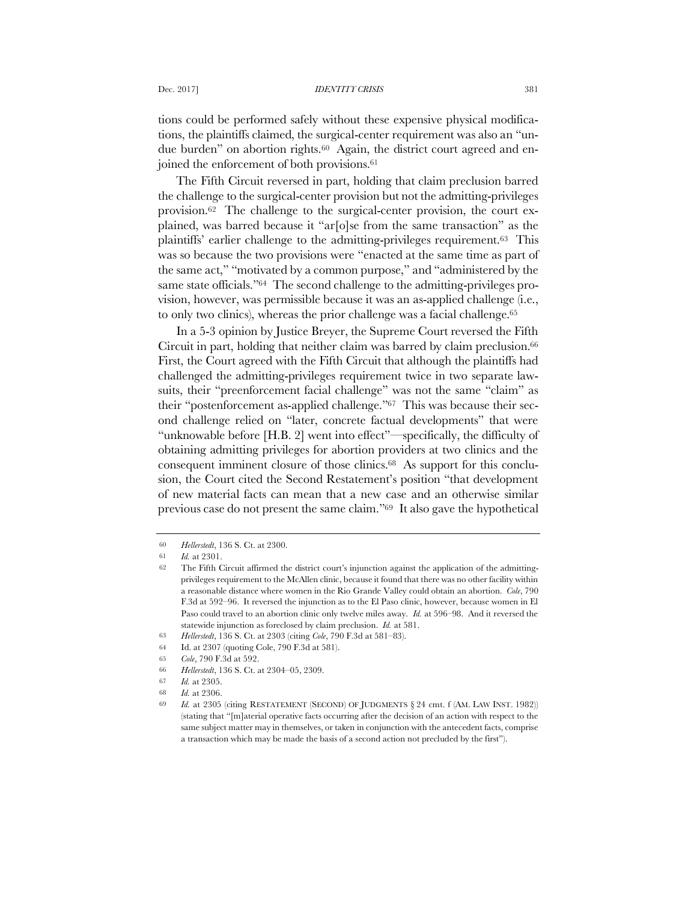tions could be performed safely without these expensive physical modifications, the plaintiffs claimed, the surgical-center requirement was also an "undue burden" on abortion rights.<sup>60</sup> Again, the district court agreed and enjoined the enforcement of both provisions.61

The Fifth Circuit reversed in part, holding that claim preclusion barred the challenge to the surgical-center provision but not the admitting-privileges provision.62 The challenge to the surgical-center provision, the court explained, was barred because it "ar[o]se from the same transaction" as the plaintiffs' earlier challenge to the admitting-privileges requirement.63 This was so because the two provisions were "enacted at the same time as part of the same act," "motivated by a common purpose," and "administered by the same state officials."64 The second challenge to the admitting-privileges provision, however, was permissible because it was an as-applied challenge (i.e., to only two clinics), whereas the prior challenge was a facial challenge.<sup>65</sup>

In a 5-3 opinion by Justice Breyer, the Supreme Court reversed the Fifth Circuit in part, holding that neither claim was barred by claim preclusion.<sup>66</sup> First, the Court agreed with the Fifth Circuit that although the plaintiffs had challenged the admitting-privileges requirement twice in two separate lawsuits, their "preenforcement facial challenge" was not the same "claim" as their "postenforcement as-applied challenge."67 This was because their second challenge relied on "later, concrete factual developments" that were "unknowable before [H.B. 2] went into effect"—specifically, the difficulty of obtaining admitting privileges for abortion providers at two clinics and the consequent imminent closure of those clinics.68 As support for this conclusion, the Court cited the Second Restatement's position "that development of new material facts can mean that a new case and an otherwise similar previous case do not present the same claim."69 It also gave the hypothetical

<sup>60</sup> *Hellerstedt*, 136 S. Ct. at 2300.

<sup>61</sup> *Id.* at 2301.

<sup>62</sup> The Fifth Circuit affirmed the district court's injunction against the application of the admittingprivileges requirement to the McAllen clinic, because it found that there was no other facility within a reasonable distance where women in the Rio Grande Valley could obtain an abortion. *Cole*, 790 F.3d at 592–96. It reversed the injunction as to the El Paso clinic, however, because women in El Paso could travel to an abortion clinic only twelve miles away. *Id.* at 596–98. And it reversed the statewide injunction as foreclosed by claim preclusion. *Id.* at 581.

<sup>63</sup> *Hellerstedt*, 136 S. Ct. at 2303 (citing *Cole*, 790 F.3d at 581–83).

<sup>64</sup> Id. at 2307 (quoting Cole, 790 F.3d at 581).

<sup>65</sup> *Cole*, 790 F.3d at 592.

<sup>66</sup> *Hellerstedt*, 136 S. Ct. at 2304–05, 2309.

<sup>67</sup> *Id.* at 2305.

<sup>68</sup> *Id.* at 2306.

<sup>69</sup> *Id.* at 2305 (citing RESTATEMENT (SECOND) OF JUDGMENTS § 24 cmt. f (AM. LAW INST. 1982)) (stating that "[m]aterial operative facts occurring after the decision of an action with respect to the same subject matter may in themselves, or taken in conjunction with the antecedent facts, comprise a transaction which may be made the basis of a second action not precluded by the first").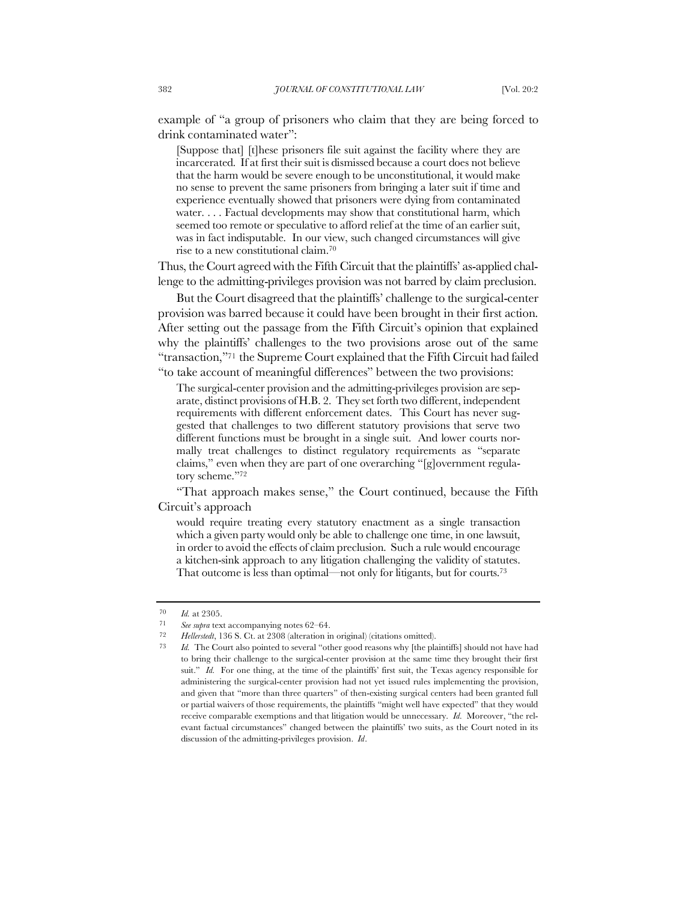example of "a group of prisoners who claim that they are being forced to drink contaminated water":

[Suppose that] [t]hese prisoners file suit against the facility where they are incarcerated. If at first their suit is dismissed because a court does not believe that the harm would be severe enough to be unconstitutional, it would make no sense to prevent the same prisoners from bringing a later suit if time and experience eventually showed that prisoners were dying from contaminated water. . . . Factual developments may show that constitutional harm, which seemed too remote or speculative to afford relief at the time of an earlier suit, was in fact indisputable. In our view, such changed circumstances will give rise to a new constitutional claim.70

Thus, the Court agreed with the Fifth Circuit that the plaintiffs' as-applied challenge to the admitting-privileges provision was not barred by claim preclusion.

But the Court disagreed that the plaintiffs' challenge to the surgical-center provision was barred because it could have been brought in their first action. After setting out the passage from the Fifth Circuit's opinion that explained why the plaintiffs' challenges to the two provisions arose out of the same "transaction,"71 the Supreme Court explained that the Fifth Circuit had failed "to take account of meaningful differences" between the two provisions:

The surgical-center provision and the admitting-privileges provision are separate, distinct provisions of H.B. 2. They set forth two different, independent requirements with different enforcement dates. This Court has never suggested that challenges to two different statutory provisions that serve two different functions must be brought in a single suit. And lower courts normally treat challenges to distinct regulatory requirements as "separate claims," even when they are part of one overarching "[g]overnment regulatory scheme."72

"That approach makes sense," the Court continued, because the Fifth Circuit's approach

would require treating every statutory enactment as a single transaction which a given party would only be able to challenge one time, in one lawsuit, in order to avoid the effects of claim preclusion. Such a rule would encourage a kitchen-sink approach to any litigation challenging the validity of statutes. That outcome is less than optimal—not only for litigants, but for courts.73

<sup>70</sup> *Id.* at 2305.

<sup>71</sup> *See supra* text accompanying notes 62–64.

<sup>72</sup> *Hellerstedt*, 136 S. Ct. at 2308 (alteration in original) (citations omitted).

<sup>73</sup> *Id.* The Court also pointed to several "other good reasons why [the plaintiffs] should not have had to bring their challenge to the surgical-center provision at the same time they brought their first suit." *Id.* For one thing, at the time of the plaintiffs' first suit, the Texas agency responsible for administering the surgical-center provision had not yet issued rules implementing the provision, and given that "more than three quarters" of then-existing surgical centers had been granted full or partial waivers of those requirements, the plaintiffs "might well have expected" that they would receive comparable exemptions and that litigation would be unnecessary. *Id.* Moreover, "the relevant factual circumstances" changed between the plaintiffs' two suits, as the Court noted in its discussion of the admitting-privileges provision. *Id*.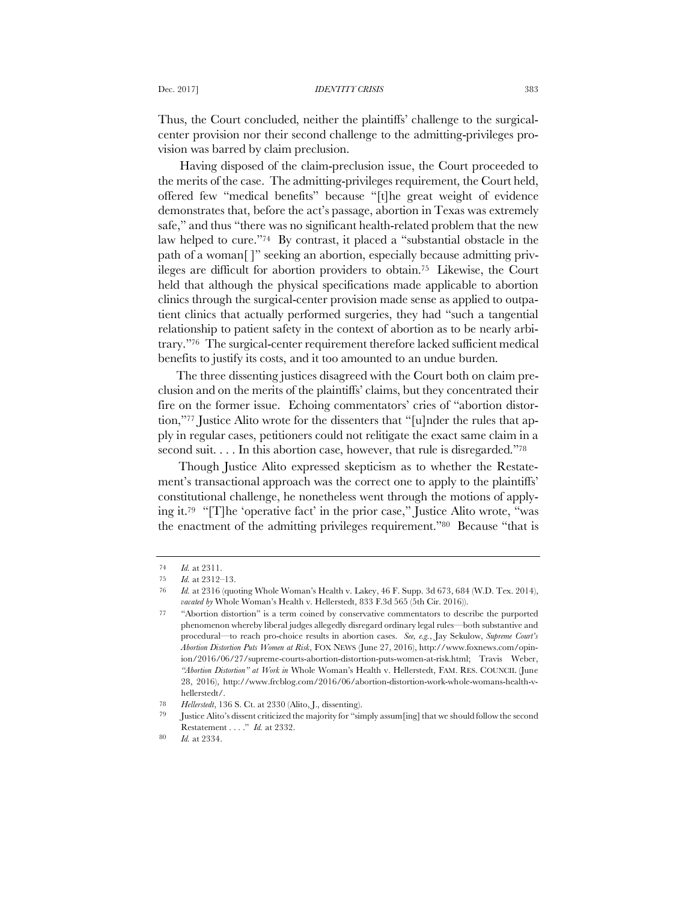Thus, the Court concluded, neither the plaintiffs' challenge to the surgicalcenter provision nor their second challenge to the admitting-privileges provision was barred by claim preclusion.

Having disposed of the claim-preclusion issue, the Court proceeded to the merits of the case. The admitting-privileges requirement, the Court held, offered few "medical benefits" because "[t]he great weight of evidence demonstrates that, before the act's passage, abortion in Texas was extremely safe," and thus "there was no significant health-related problem that the new law helped to cure."74 By contrast, it placed a "substantial obstacle in the path of a woman[ ]" seeking an abortion, especially because admitting privileges are difficult for abortion providers to obtain.75 Likewise, the Court held that although the physical specifications made applicable to abortion clinics through the surgical-center provision made sense as applied to outpatient clinics that actually performed surgeries, they had "such a tangential relationship to patient safety in the context of abortion as to be nearly arbitrary."76 The surgical-center requirement therefore lacked sufficient medical benefits to justify its costs, and it too amounted to an undue burden.

The three dissenting justices disagreed with the Court both on claim preclusion and on the merits of the plaintiffs' claims, but they concentrated their fire on the former issue. Echoing commentators' cries of "abortion distortion,"77 Justice Alito wrote for the dissenters that "[u]nder the rules that apply in regular cases, petitioners could not relitigate the exact same claim in a second suit. . . . In this abortion case, however, that rule is disregarded."78

Though Justice Alito expressed skepticism as to whether the Restatement's transactional approach was the correct one to apply to the plaintiffs' constitutional challenge, he nonetheless went through the motions of applying it.79 "[T]he 'operative fact' in the prior case," Justice Alito wrote, "was the enactment of the admitting privileges requirement."80 Because "that is

<sup>74</sup> *Id.* at 2311.

<sup>75</sup> *Id.* at 2312–13.

<sup>76</sup> *Id.* at 2316 (quoting Whole Woman's Health v. Lakey, 46 F. Supp. 3d 673, 684 (W.D. Tex. 2014), *vacated by* Whole Woman's Health v. Hellerstedt, 833 F.3d 565 (5th Cir. 2016)).

<sup>77</sup> "Abortion distortion" is a term coined by conservative commentators to describe the purported phenomenon whereby liberal judges allegedly disregard ordinary legal rules—both substantive and procedural—to reach pro-choice results in abortion cases. *See, e.g.*, Jay Sekulow, *Supreme Court's Abortion Distortion Puts Women at Risk*, FOX NEWS (June 27, 2016), http://www.foxnews.com/opinion/2016/06/27/supreme-courts-abortion-distortion-puts-women-at-risk.html; Travis Weber, *"Abortion Distortion" at Work in* Whole Woman's Health v. Hellerstedt, FAM. RES. COUNCIL (June 28, 2016), http://www.frcblog.com/2016/06/abortion-distortion-work-whole-womans-health-vhellerstedt/.

<sup>78</sup> *Hellerstedt*, 136 S. Ct. at 2330 (Alito, J., dissenting).

<sup>79</sup> Justice Alito's dissent criticized the majority for "simply assum[ing] that we should follow the second Restatement . . . ." *Id.* at 2332.

<sup>80</sup> *Id.* at 2334.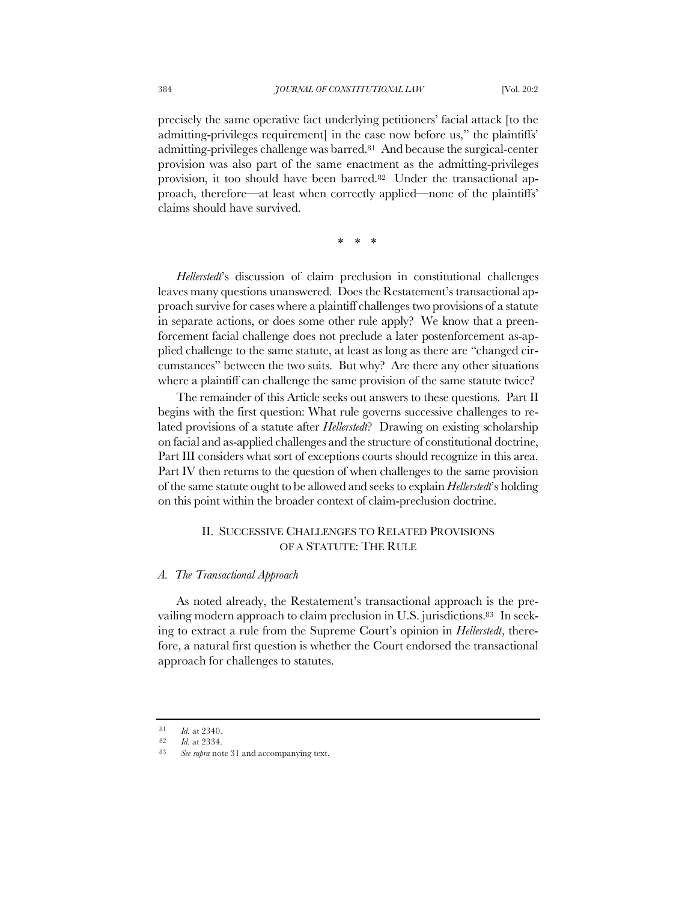precisely the same operative fact underlying petitioners' facial attack [to the admitting-privileges requirement] in the case now before us," the plaintiffs' admitting-privileges challenge was barred.81 And because the surgical-center provision was also part of the same enactment as the admitting-privileges provision, it too should have been barred.<sup>82</sup> Under the transactional approach, therefore—at least when correctly applied—none of the plaintiffs' claims should have survived.

\* \* \*

*Hellerstedt*'s discussion of claim preclusion in constitutional challenges leaves many questions unanswered. Does the Restatement's transactional approach survive for cases where a plaintiff challenges two provisions of a statute in separate actions, or does some other rule apply? We know that a preenforcement facial challenge does not preclude a later postenforcement as-applied challenge to the same statute, at least as long as there are "changed circumstances" between the two suits. But why? Are there any other situations where a plaintiff can challenge the same provision of the same statute twice?

The remainder of this Article seeks out answers to these questions. Part II begins with the first question: What rule governs successive challenges to related provisions of a statute after *Hellerstedt*? Drawing on existing scholarship on facial and as-applied challenges and the structure of constitutional doctrine, Part III considers what sort of exceptions courts should recognize in this area. Part IV then returns to the question of when challenges to the same provision of the same statute ought to be allowed and seeks to explain *Hellerstedt*'s holding on this point within the broader context of claim-preclusion doctrine.

# II. SUCCESSIVE CHALLENGES TO RELATED PROVISIONS OF A STATUTE: THE RULE

### *A. The Transactional Approach*

As noted already, the Restatement's transactional approach is the prevailing modern approach to claim preclusion in U.S. jurisdictions.83 In seeking to extract a rule from the Supreme Court's opinion in *Hellerstedt*, therefore, a natural first question is whether the Court endorsed the transactional approach for challenges to statutes.

<sup>81</sup> *Id.* at 2340.

<sup>82</sup> *Id.* at 2334.<br>83 See subra pol

See supra note 31 and accompanying text.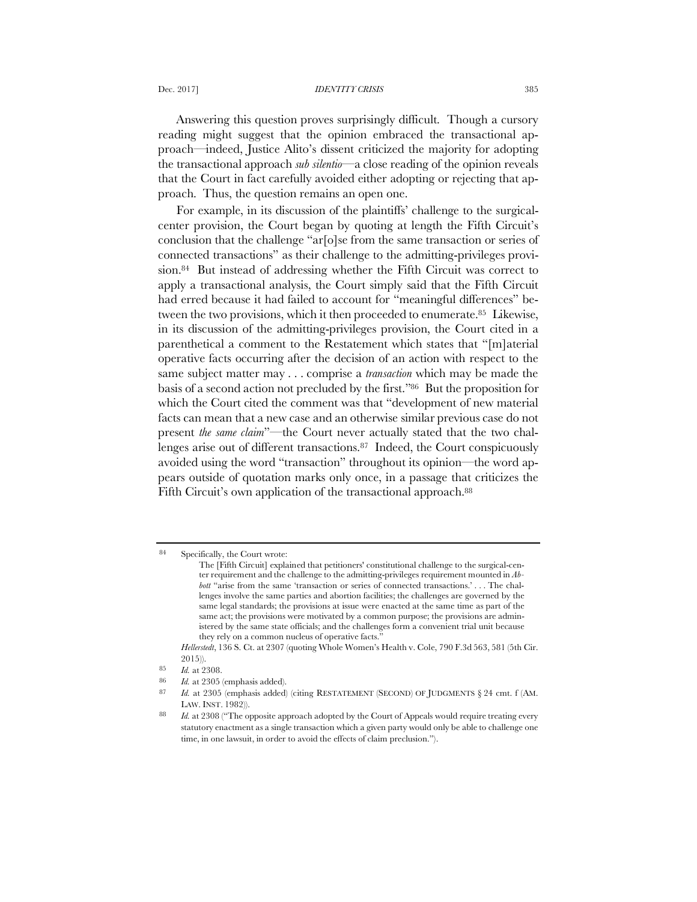Dec. 2017] *IDENTITY CRISIS* 385

Answering this question proves surprisingly difficult. Though a cursory reading might suggest that the opinion embraced the transactional approach—indeed, Justice Alito's dissent criticized the majority for adopting the transactional approach *sub silentio*—a close reading of the opinion reveals that the Court in fact carefully avoided either adopting or rejecting that approach. Thus, the question remains an open one.

For example, in its discussion of the plaintiffs' challenge to the surgicalcenter provision, the Court began by quoting at length the Fifth Circuit's conclusion that the challenge "ar[o]se from the same transaction or series of connected transactions" as their challenge to the admitting-privileges provision.84 But instead of addressing whether the Fifth Circuit was correct to apply a transactional analysis, the Court simply said that the Fifth Circuit had erred because it had failed to account for "meaningful differences" between the two provisions, which it then proceeded to enumerate.85 Likewise, in its discussion of the admitting-privileges provision, the Court cited in a parenthetical a comment to the Restatement which states that "[m]aterial operative facts occurring after the decision of an action with respect to the same subject matter may . . . comprise a *transaction* which may be made the basis of a second action not precluded by the first."86 But the proposition for which the Court cited the comment was that "development of new material facts can mean that a new case and an otherwise similar previous case do not present *the same claim*"—the Court never actually stated that the two challenges arise out of different transactions.<sup>87</sup> Indeed, the Court conspicuously avoided using the word "transaction" throughout its opinion—the word appears outside of quotation marks only once, in a passage that criticizes the Fifth Circuit's own application of the transactional approach.<sup>88</sup>

<sup>84</sup> Specifically, the Court wrote:

The [Fifth Circuit] explained that petitioners' constitutional challenge to the surgical-center requirement and the challenge to the admitting-privileges requirement mounted in *Abbott* "arise from the same 'transaction or series of connected transactions.' . . . The challenges involve the same parties and abortion facilities; the challenges are governed by the same legal standards; the provisions at issue were enacted at the same time as part of the same act; the provisions were motivated by a common purpose; the provisions are administered by the same state officials; and the challenges form a convenient trial unit because they rely on a common nucleus of operative facts."

*Hellerstedt*, 136 S. Ct. at 2307 (quoting Whole Women's Health v. Cole, 790 F.3d 563, 581 (5th Cir. 2015)).

<sup>85</sup> *Id.* at 2308.

<sup>86</sup> *Id.* at 2305 (emphasis added).

<sup>87</sup> *Id.* at 2305 (emphasis added) (citing RESTATEMENT (SECOND) OF JUDGMENTS § 24 cmt. f (AM. LAW. INST. 1982)).

<sup>88</sup> *Id.* at 2308 ("The opposite approach adopted by the Court of Appeals would require treating every statutory enactment as a single transaction which a given party would only be able to challenge one time, in one lawsuit, in order to avoid the effects of claim preclusion.").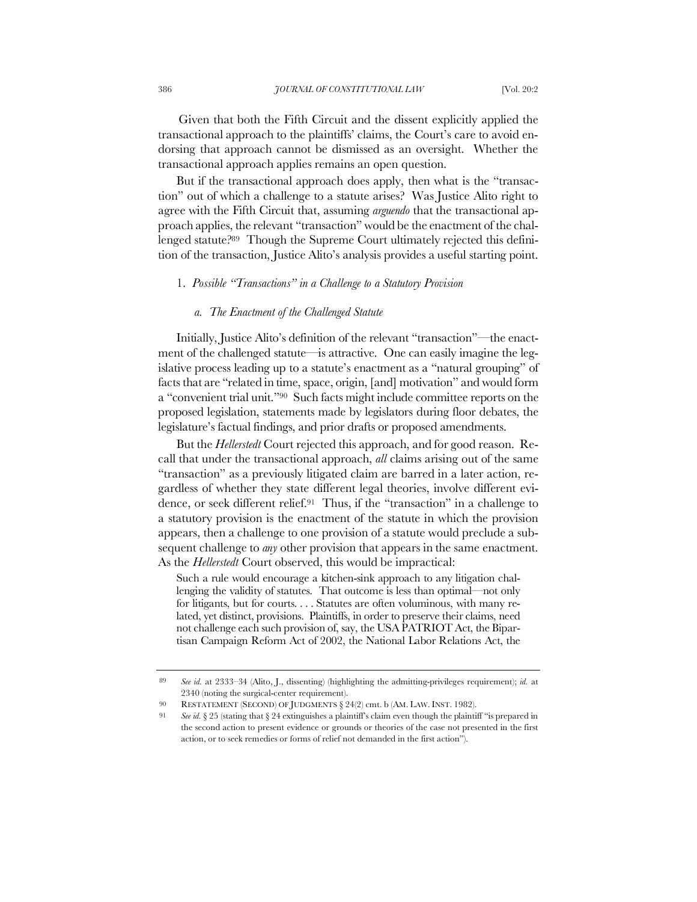Given that both the Fifth Circuit and the dissent explicitly applied the transactional approach to the plaintiffs' claims, the Court's care to avoid endorsing that approach cannot be dismissed as an oversight. Whether the transactional approach applies remains an open question.

But if the transactional approach does apply, then what is the "transaction" out of which a challenge to a statute arises? Was Justice Alito right to agree with the Fifth Circuit that, assuming *arguendo* that the transactional approach applies, the relevant "transaction" would be the enactment of the challenged statute?89 Though the Supreme Court ultimately rejected this definition of the transaction, Justice Alito's analysis provides a useful starting point.

# 1. *Possible "Transactions" in a Challenge to a Statutory Provision*

# *a. The Enactment of the Challenged Statute*

Initially, Justice Alito's definition of the relevant "transaction"—the enactment of the challenged statute—is attractive. One can easily imagine the legislative process leading up to a statute's enactment as a "natural grouping" of facts that are "related in time, space, origin, [and] motivation" and would form a "convenient trial unit."90 Such facts might include committee reports on the proposed legislation, statements made by legislators during floor debates, the legislature's factual findings, and prior drafts or proposed amendments.

But the *Hellerstedt* Court rejected this approach, and for good reason. Recall that under the transactional approach, *all* claims arising out of the same "transaction" as a previously litigated claim are barred in a later action, regardless of whether they state different legal theories, involve different evidence, or seek different relief.91 Thus, if the "transaction" in a challenge to a statutory provision is the enactment of the statute in which the provision appears, then a challenge to one provision of a statute would preclude a subsequent challenge to *any* other provision that appears in the same enactment. As the *Hellerstedt* Court observed, this would be impractical:

Such a rule would encourage a kitchen-sink approach to any litigation challenging the validity of statutes. That outcome is less than optimal—not only for litigants, but for courts. . . . Statutes are often voluminous, with many related, yet distinct, provisions. Plaintiffs, in order to preserve their claims, need not challenge each such provision of, say, the USA PATRIOT Act, the Bipartisan Campaign Reform Act of 2002, the National Labor Relations Act, the

<sup>89</sup> *See id.* at 2333–34 (Alito, J., dissenting) (highlighting the admitting-privileges requirement); *id.* at 2340 (noting the surgical-center requirement).

<sup>90</sup> RESTATEMENT (SECOND) OF JUDGMENTS § 24(2) cmt. b (AM. LAW. INST. 1982).

See *id.* § 25 (stating that § 24 extinguishes a plaintiff's claim even though the plaintiff "is prepared in the second action to present evidence or grounds or theories of the case not presented in the first action, or to seek remedies or forms of relief not demanded in the first action").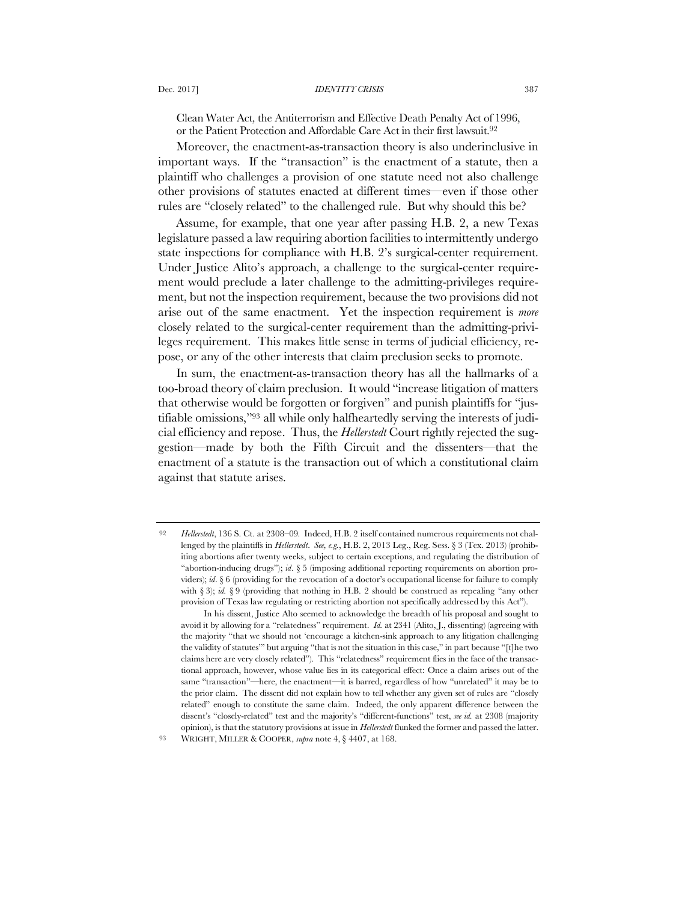Clean Water Act, the Antiterrorism and Effective Death Penalty Act of 1996, or the Patient Protection and Affordable Care Act in their first lawsuit.92

Moreover, the enactment-as-transaction theory is also underinclusive in important ways. If the "transaction" is the enactment of a statute, then a plaintiff who challenges a provision of one statute need not also challenge other provisions of statutes enacted at different times—even if those other rules are "closely related" to the challenged rule. But why should this be?

Assume, for example, that one year after passing H.B. 2, a new Texas legislature passed a law requiring abortion facilities to intermittently undergo state inspections for compliance with H.B. 2's surgical-center requirement. Under Justice Alito's approach, a challenge to the surgical-center requirement would preclude a later challenge to the admitting-privileges requirement, but not the inspection requirement, because the two provisions did not arise out of the same enactment. Yet the inspection requirement is *more* closely related to the surgical-center requirement than the admitting-privileges requirement. This makes little sense in terms of judicial efficiency, repose, or any of the other interests that claim preclusion seeks to promote.

In sum, the enactment-as-transaction theory has all the hallmarks of a too-broad theory of claim preclusion. It would "increase litigation of matters that otherwise would be forgotten or forgiven" and punish plaintiffs for "justifiable omissions,"93 all while only halfheartedly serving the interests of judicial efficiency and repose. Thus, the *Hellerstedt* Court rightly rejected the suggestion—made by both the Fifth Circuit and the dissenters—that the enactment of a statute is the transaction out of which a constitutional claim against that statute arises.

<sup>92</sup> *Hellerstedt*, 136 S. Ct. at 2308–09*.* Indeed, H.B. 2 itself contained numerous requirements not challenged by the plaintiffs in *Hellerstedt*. *See, e.g.*, H.B. 2, 2013 Leg., Reg. Sess. § 3 (Tex. 2013) (prohibiting abortions after twenty weeks, subject to certain exceptions, and regulating the distribution of "abortion-inducing drugs"); *id*. § 5 (imposing additional reporting requirements on abortion providers); *id*. § 6 (providing for the revocation of a doctor's occupational license for failure to comply with § 3); *id.* § 9 (providing that nothing in H.B. 2 should be construed as repealing "any other provision of Texas law regulating or restricting abortion not specifically addressed by this Act").

In his dissent, Justice Alto seemed to acknowledge the breadth of his proposal and sought to avoid it by allowing for a "relatedness" requirement. *Id.* at 2341 (Alito, J., dissenting) (agreeing with the majority "that we should not 'encourage a kitchen-sink approach to any litigation challenging the validity of statutes'" but arguing "that is not the situation in this case," in part because "[t]he two claims here are very closely related"). This "relatedness" requirement flies in the face of the transactional approach, however, whose value lies in its categorical effect: Once a claim arises out of the same "transaction"—here, the enactment—it is barred, regardless of how "unrelated" it may be to the prior claim. The dissent did not explain how to tell whether any given set of rules are "closely related" enough to constitute the same claim. Indeed, the only apparent difference between the dissent's "closely-related" test and the majority's "different-functions" test, *see id.* at 2308 (majority opinion), is that the statutory provisions at issue in *Hellerstedt* flunked the former and passed the latter. 93 WRIGHT, MILLER & COOPER, *supra* note 4, § 4407, at 168.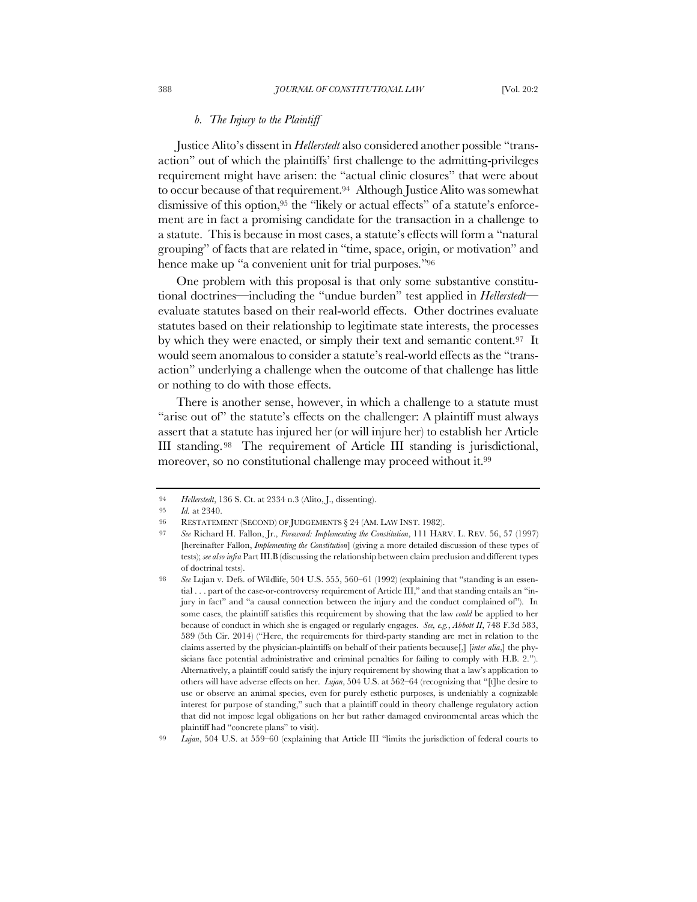### *b. The Injury to the Plaintiff*

Justice Alito's dissent in *Hellerstedt* also considered another possible "transaction" out of which the plaintiffs' first challenge to the admitting-privileges requirement might have arisen: the "actual clinic closures" that were about to occur because of that requirement.94 Although Justice Alito was somewhat dismissive of this option,95 the "likely or actual effects" of a statute's enforcement are in fact a promising candidate for the transaction in a challenge to a statute. This is because in most cases, a statute's effects will form a "natural grouping" of facts that are related in "time, space, origin, or motivation" and hence make up "a convenient unit for trial purposes."96

One problem with this proposal is that only some substantive constitutional doctrines—including the "undue burden" test applied in *Hellerstedt* evaluate statutes based on their real-world effects. Other doctrines evaluate statutes based on their relationship to legitimate state interests, the processes by which they were enacted, or simply their text and semantic content.97 It would seem anomalous to consider a statute's real-world effects as the "transaction" underlying a challenge when the outcome of that challenge has little or nothing to do with those effects.

There is another sense, however, in which a challenge to a statute must "arise out of" the statute's effects on the challenger: A plaintiff must always assert that a statute has injured her (or will injure her) to establish her Article III standing.98 The requirement of Article III standing is jurisdictional, moreover, so no constitutional challenge may proceed without it.<sup>99</sup>

<sup>94</sup> *Hellerstedt*, 136 S. Ct. at 2334 n.3 (Alito, J., dissenting).

<sup>95</sup> *Id.* at 2340.

<sup>96</sup> RESTATEMENT (SECOND) OF JUDGEMENTS § 24 (AM. LAW INST. 1982).

<sup>97</sup> *See* Richard H. Fallon, Jr., *Foreword: Implementing the Constitution*, 111 HARV. L. REV. 56, 57 (1997) [hereinafter Fallon, *Implementing the Constitution*] (giving a more detailed discussion of these types of tests); *see also infra* Part III.B (discussing the relationship between claim preclusion and different types of doctrinal tests).

<sup>98</sup> *See* Lujan v. Defs. of Wildlife, 504 U.S. 555, 560–61 (1992) (explaining that "standing is an essential . . . part of the case-or-controversy requirement of Article III," and that standing entails an "injury in fact" and "a causal connection between the injury and the conduct complained of"). In some cases, the plaintiff satisfies this requirement by showing that the law *could* be applied to her because of conduct in which she is engaged or regularly engages. *See, e.g.*, *Abbott II*, 748 F.3d 583, 589 (5th Cir. 2014) ("Here, the requirements for third-party standing are met in relation to the claims asserted by the physician-plaintiffs on behalf of their patients because[,] [*inter alia*,] the physicians face potential administrative and criminal penalties for failing to comply with H.B. 2."). Alternatively, a plaintiff could satisfy the injury requirement by showing that a law's application to others will have adverse effects on her. *Lujan*, 504 U.S. at 562–64 (recognizing that "[t]he desire to use or observe an animal species, even for purely esthetic purposes, is undeniably a cognizable interest for purpose of standing," such that a plaintiff could in theory challenge regulatory action that did not impose legal obligations on her but rather damaged environmental areas which the plaintiff had "concrete plans" to visit).

<sup>99</sup> *Lujan*, 504 U.S. at 559–60 (explaining that Article III "limits the jurisdiction of federal courts to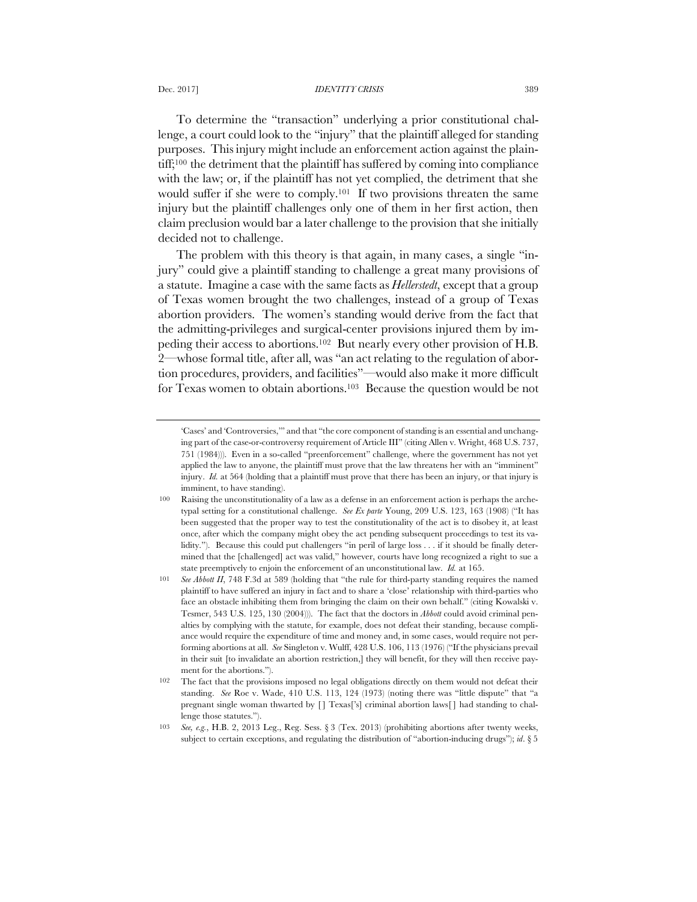To determine the "transaction" underlying a prior constitutional challenge, a court could look to the "injury" that the plaintiff alleged for standing purposes. This injury might include an enforcement action against the plaintiff;100 the detriment that the plaintiff has suffered by coming into compliance with the law; or, if the plaintiff has not yet complied, the detriment that she would suffer if she were to comply.101 If two provisions threaten the same injury but the plaintiff challenges only one of them in her first action, then claim preclusion would bar a later challenge to the provision that she initially decided not to challenge.

The problem with this theory is that again, in many cases, a single "injury" could give a plaintiff standing to challenge a great many provisions of a statute. Imagine a case with the same facts as *Hellerstedt*, except that a group of Texas women brought the two challenges, instead of a group of Texas abortion providers. The women's standing would derive from the fact that the admitting-privileges and surgical-center provisions injured them by impeding their access to abortions.102 But nearly every other provision of H.B. 2—whose formal title, after all, was "an act relating to the regulation of abortion procedures, providers, and facilities"—would also make it more difficult for Texas women to obtain abortions.103 Because the question would be not

<sup>&#</sup>x27;Cases' and 'Controversies,'" and that "the core component of standing is an essential and unchanging part of the case-or-controversy requirement of Article III" (citing Allen v. Wright, 468 U.S. 737, 751 (1984))). Even in a so-called "preenforcement" challenge, where the government has not yet applied the law to anyone, the plaintiff must prove that the law threatens her with an "imminent" injury. *Id.* at 564 (holding that a plaintiff must prove that there has been an injury, or that injury is imminent, to have standing).

Raising the unconstitutionality of a law as a defense in an enforcement action is perhaps the archetypal setting for a constitutional challenge. *See Ex parte* Young, 209 U.S. 123, 163 (1908) ("It has been suggested that the proper way to test the constitutionality of the act is to disobey it, at least once, after which the company might obey the act pending subsequent proceedings to test its validity."). Because this could put challengers "in peril of large loss . . . if it should be finally determined that the [challenged] act was valid," however, courts have long recognized a right to sue a state preemptively to enjoin the enforcement of an unconstitutional law. *Id.* at 165.

<sup>101</sup> *See Abbott II*, 748 F.3d at 589 (holding that "the rule for third-party standing requires the named plaintiff to have suffered an injury in fact and to share a 'close' relationship with third-parties who face an obstacle inhibiting them from bringing the claim on their own behalf." (citing Kowalski v. Tesmer, 543 U.S. 125, 130 (2004))). The fact that the doctors in *Abbott* could avoid criminal penalties by complying with the statute, for example, does not defeat their standing, because compliance would require the expenditure of time and money and, in some cases, would require not performing abortions at all. *See* Singleton v. Wulff, 428 U.S. 106, 113 (1976) ("If the physicians prevail in their suit [to invalidate an abortion restriction,] they will benefit, for they will then receive payment for the abortions.").

<sup>102</sup> The fact that the provisions imposed no legal obligations directly on them would not defeat their standing. *See* Roe v. Wade, 410 U.S. 113, 124 (1973) (noting there was "little dispute" that "a pregnant single woman thwarted by [] Texas['s] criminal abortion laws[] had standing to challenge those statutes.").

<sup>103</sup> *See, e.g.*, H.B. 2, 2013 Leg., Reg. Sess. § 3 (Tex. 2013) (prohibiting abortions after twenty weeks, subject to certain exceptions, and regulating the distribution of "abortion-inducing drugs"); *id*. § 5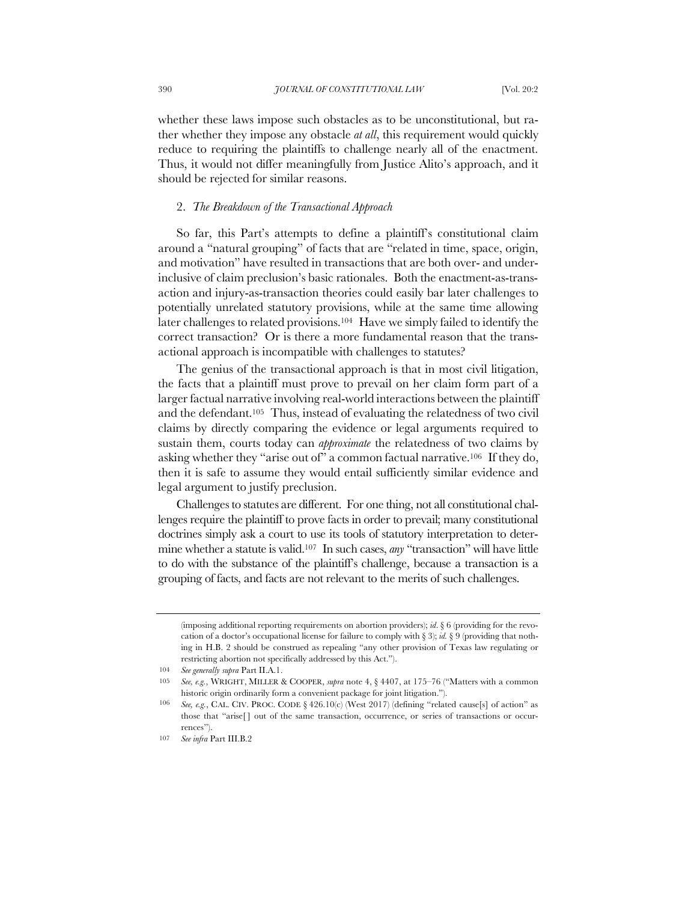whether these laws impose such obstacles as to be unconstitutional, but rather whether they impose any obstacle *at all*, this requirement would quickly reduce to requiring the plaintiffs to challenge nearly all of the enactment. Thus, it would not differ meaningfully from Justice Alito's approach, and it should be rejected for similar reasons.

### 2. *The Breakdown of the Transactional Approach*

So far, this Part's attempts to define a plaintiff's constitutional claim around a "natural grouping" of facts that are "related in time, space, origin, and motivation" have resulted in transactions that are both over- and underinclusive of claim preclusion's basic rationales. Both the enactment-as-transaction and injury-as-transaction theories could easily bar later challenges to potentially unrelated statutory provisions, while at the same time allowing later challenges to related provisions.104 Have we simply failed to identify the correct transaction? Or is there a more fundamental reason that the transactional approach is incompatible with challenges to statutes?

The genius of the transactional approach is that in most civil litigation, the facts that a plaintiff must prove to prevail on her claim form part of a larger factual narrative involving real-world interactions between the plaintiff and the defendant.105 Thus, instead of evaluating the relatedness of two civil claims by directly comparing the evidence or legal arguments required to sustain them, courts today can *approximate* the relatedness of two claims by asking whether they "arise out of" a common factual narrative.106 If they do, then it is safe to assume they would entail sufficiently similar evidence and legal argument to justify preclusion.

Challenges to statutes are different. For one thing, not all constitutional challenges require the plaintiff to prove facts in order to prevail; many constitutional doctrines simply ask a court to use its tools of statutory interpretation to determine whether a statute is valid.107 In such cases, *any* "transaction" will have little to do with the substance of the plaintiff's challenge, because a transaction is a grouping of facts, and facts are not relevant to the merits of such challenges.

<sup>(</sup>imposing additional reporting requirements on abortion providers); *id*. § 6 (providing for the revocation of a doctor's occupational license for failure to comply with § 3); *id.* § 9 (providing that nothing in H.B. 2 should be construed as repealing "any other provision of Texas law regulating or restricting abortion not specifically addressed by this Act.").

<sup>104</sup> *See generally supra* Part II.A.1.

<sup>105</sup> *See, e.g.*, WRIGHT, MILLER & COOPER, *supra* note 4, § 4407, at 175–76 ("Matters with a common historic origin ordinarily form a convenient package for joint litigation.").

<sup>106</sup> *See, e.g.*, CAL. CIV. PROC. CODE § 426.10(c) (West 2017) (defining "related cause[s] of action" as those that "arise[] out of the same transaction, occurrence, or series of transactions or occurrences").

<sup>107</sup> *See infra* Part III.B.2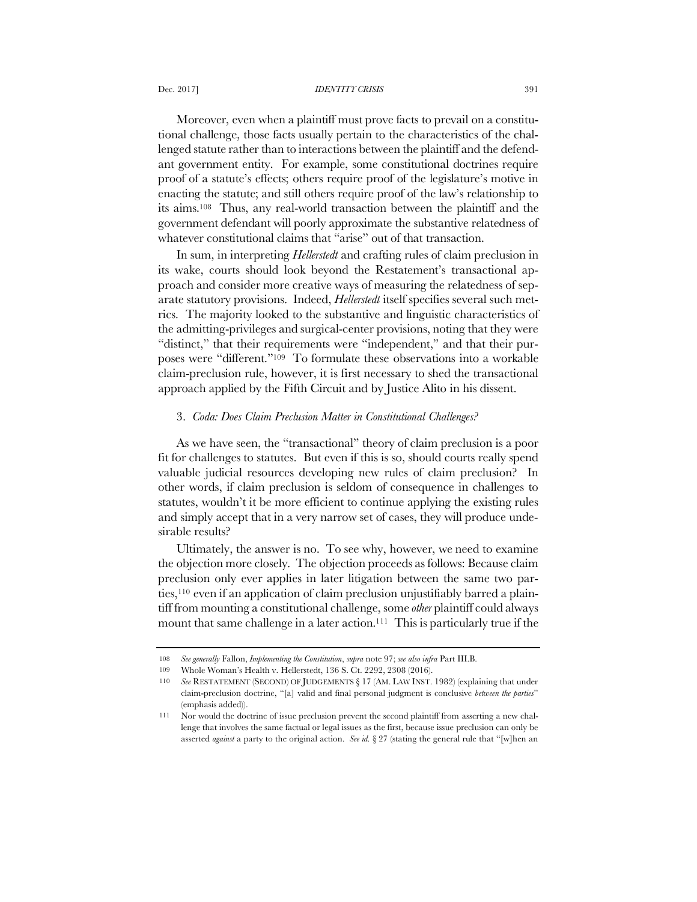#### Dec. 2017] *IDENTITY CRISIS* 391

Moreover, even when a plaintiff must prove facts to prevail on a constitutional challenge, those facts usually pertain to the characteristics of the challenged statute rather than to interactions between the plaintiff and the defendant government entity. For example, some constitutional doctrines require proof of a statute's effects; others require proof of the legislature's motive in enacting the statute; and still others require proof of the law's relationship to its aims.108 Thus, any real-world transaction between the plaintiff and the government defendant will poorly approximate the substantive relatedness of whatever constitutional claims that "arise" out of that transaction.

In sum, in interpreting *Hellerstedt* and crafting rules of claim preclusion in its wake, courts should look beyond the Restatement's transactional approach and consider more creative ways of measuring the relatedness of separate statutory provisions. Indeed, *Hellerstedt* itself specifies several such metrics. The majority looked to the substantive and linguistic characteristics of the admitting-privileges and surgical-center provisions, noting that they were "distinct," that their requirements were "independent," and that their purposes were "different."109 To formulate these observations into a workable claim-preclusion rule, however, it is first necessary to shed the transactional approach applied by the Fifth Circuit and by Justice Alito in his dissent.

### 3. *Coda: Does Claim Preclusion Matter in Constitutional Challenges?*

As we have seen, the "transactional" theory of claim preclusion is a poor fit for challenges to statutes. But even if this is so, should courts really spend valuable judicial resources developing new rules of claim preclusion? In other words, if claim preclusion is seldom of consequence in challenges to statutes, wouldn't it be more efficient to continue applying the existing rules and simply accept that in a very narrow set of cases, they will produce undesirable results?

Ultimately, the answer is no. To see why, however, we need to examine the objection more closely. The objection proceeds as follows: Because claim preclusion only ever applies in later litigation between the same two parties,110 even if an application of claim preclusion unjustifiably barred a plaintiff from mounting a constitutional challenge, some *other* plaintiff could always mount that same challenge in a later action.<sup>111</sup> This is particularly true if the

<sup>108</sup> *See generally* Fallon, *Implementing the Constitution*, *supra* note 97; *see also infra* Part III.B.

<sup>109</sup> Whole Woman's Health v. Hellerstedt, 136 S. Ct. 2292, 2308 (2016).

<sup>110</sup> *See* RESTATEMENT (SECOND) OF JUDGEMENTS § 17 (AM. LAW INST. 1982) (explaining that under claim-preclusion doctrine, "[a] valid and final personal judgment is conclusive *between the parties*" (emphasis added)).

<sup>111</sup> Nor would the doctrine of issue preclusion prevent the second plaintiff from asserting a new challenge that involves the same factual or legal issues as the first, because issue preclusion can only be asserted *against* a party to the original action. *See id.* § 27 (stating the general rule that "[w]hen an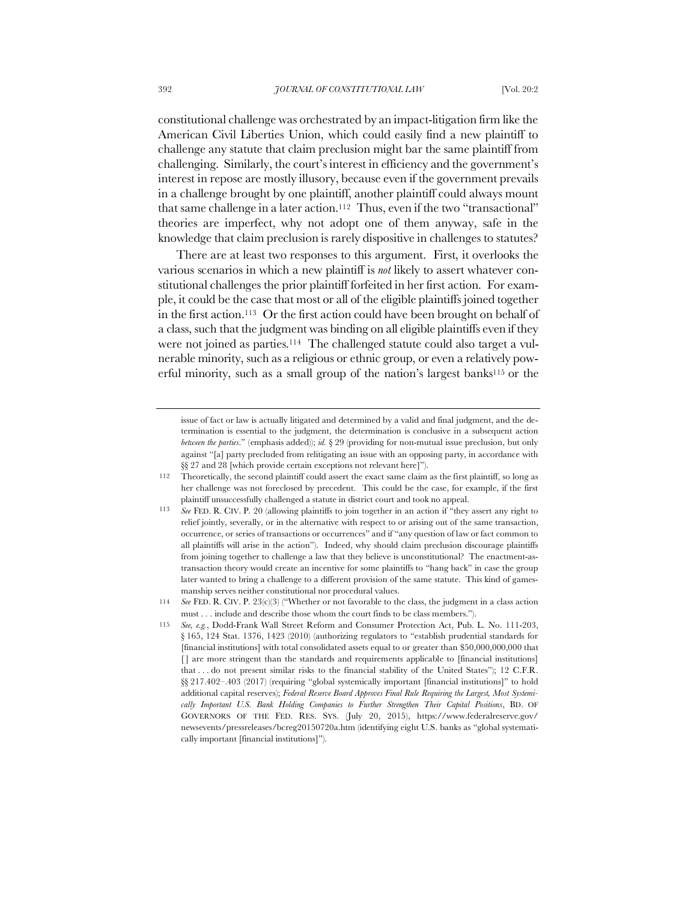constitutional challenge was orchestrated by an impact-litigation firm like the American Civil Liberties Union, which could easily find a new plaintiff to challenge any statute that claim preclusion might bar the same plaintiff from challenging. Similarly, the court's interest in efficiency and the government's interest in repose are mostly illusory, because even if the government prevails in a challenge brought by one plaintiff, another plaintiff could always mount that same challenge in a later action.<sup>112</sup> Thus, even if the two "transactional" theories are imperfect, why not adopt one of them anyway, safe in the knowledge that claim preclusion is rarely dispositive in challenges to statutes?

There are at least two responses to this argument. First, it overlooks the various scenarios in which a new plaintiff is *not* likely to assert whatever constitutional challenges the prior plaintiff forfeited in her first action. For example, it could be the case that most or all of the eligible plaintiffs joined together in the first action.113 Or the first action could have been brought on behalf of a class, such that the judgment was binding on all eligible plaintiffs even if they were not joined as parties.114 The challenged statute could also target a vulnerable minority, such as a religious or ethnic group, or even a relatively powerful minority, such as a small group of the nation's largest banks<sup>115</sup> or the

issue of fact or law is actually litigated and determined by a valid and final judgment, and the determination is essential to the judgment, the determination is conclusive in a subsequent action *between the parties*." (emphasis added)); *id.* § 29 (providing for non-mutual issue preclusion, but only against "[a] party precluded from relitigating an issue with an opposing party, in accordance with §§ 27 and 28 [which provide certain exceptions not relevant here]").

<sup>112</sup> Theoretically, the second plaintiff could assert the exact same claim as the first plaintiff, so long as her challenge was not foreclosed by precedent. This could be the case, for example, if the first plaintiff unsuccessfully challenged a statute in district court and took no appeal.

<sup>113</sup> *See* FED. R. CIV. P. 20 (allowing plaintiffs to join together in an action if "they assert any right to relief jointly, severally, or in the alternative with respect to or arising out of the same transaction, occurrence, or series of transactions or occurrences" and if "any question of law or fact common to all plaintiffs will arise in the action"). Indeed, why should claim preclusion discourage plaintiffs from joining together to challenge a law that they believe is unconstitutional? The enactment-astransaction theory would create an incentive for some plaintiffs to "hang back" in case the group later wanted to bring a challenge to a different provision of the same statute. This kind of gamesmanship serves neither constitutional nor procedural values.

<sup>114</sup> *See* FED. R. CIV. P. 23(c)(3) ("Whether or not favorable to the class, the judgment in a class action must . . . include and describe those whom the court finds to be class members.").

<sup>115</sup> *See, e.g.*, Dodd-Frank Wall Street Reform and Consumer Protection Act, Pub. L. No. 111-203, § 165, 124 Stat. 1376, 1423 (2010) (authorizing regulators to "establish prudential standards for [financial institutions] with total consolidated assets equal to or greater than \$50,000,000,000 that [] are more stringent than the standards and requirements applicable to [financial institutions] that . . . do not present similar risks to the financial stability of the United States"); 12 C.F.R. §§ 217.402–.403 (2017) (requiring "global systemically important [financial institutions]" to hold additional capital reserves); *Federal Reserve Board Approves Final Rule Requiring the Largest, Most Systemically Important U.S. Bank Holding Companies to Further Strengthen Their Capital Positions*, BD. OF GOVERNORS OF THE FED. RES. SYS. (July 20, 2015), https://www.federalreserve.gov/ newsevents/pressreleases/bcreg20150720a.htm (identifying eight U.S. banks as "global systematically important [financial institutions]").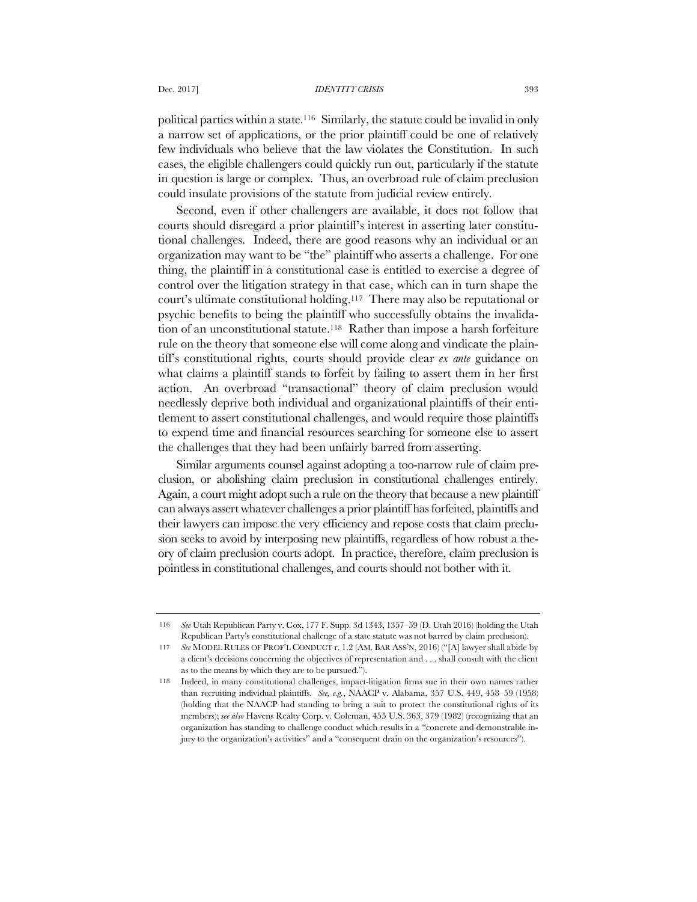#### Dec. 2017] *IDENTITY CRISIS* 393

political parties within a state.116 Similarly, the statute could be invalid in only a narrow set of applications, or the prior plaintiff could be one of relatively few individuals who believe that the law violates the Constitution. In such cases, the eligible challengers could quickly run out, particularly if the statute in question is large or complex. Thus, an overbroad rule of claim preclusion could insulate provisions of the statute from judicial review entirely.

Second, even if other challengers are available, it does not follow that courts should disregard a prior plaintiff's interest in asserting later constitutional challenges. Indeed, there are good reasons why an individual or an organization may want to be "the" plaintiff who asserts a challenge. For one thing, the plaintiff in a constitutional case is entitled to exercise a degree of control over the litigation strategy in that case, which can in turn shape the court's ultimate constitutional holding.117 There may also be reputational or psychic benefits to being the plaintiff who successfully obtains the invalidation of an unconstitutional statute.<sup>118</sup> Rather than impose a harsh forfeiture rule on the theory that someone else will come along and vindicate the plaintiff's constitutional rights, courts should provide clear *ex ante* guidance on what claims a plaintiff stands to forfeit by failing to assert them in her first action. An overbroad "transactional" theory of claim preclusion would needlessly deprive both individual and organizational plaintiffs of their entitlement to assert constitutional challenges, and would require those plaintiffs to expend time and financial resources searching for someone else to assert the challenges that they had been unfairly barred from asserting.

Similar arguments counsel against adopting a too-narrow rule of claim preclusion, or abolishing claim preclusion in constitutional challenges entirely. Again, a court might adopt such a rule on the theory that because a new plaintiff can always assert whatever challenges a prior plaintiff has forfeited, plaintiffs and their lawyers can impose the very efficiency and repose costs that claim preclusion seeks to avoid by interposing new plaintiffs, regardless of how robust a theory of claim preclusion courts adopt. In practice, therefore, claim preclusion is pointless in constitutional challenges, and courts should not bother with it.

<sup>116</sup> *See* Utah Republican Party v. Cox, 177 F. Supp. 3d 1343, 1357–59 (D. Utah 2016) (holding the Utah Republican Party's constitutional challenge of a state statute was not barred by claim preclusion).

<sup>117</sup> *See* MODEL RULES OF PROF'L CONDUCT r. 1.2 (AM. BAR ASS'N, 2016) ("[A] lawyer shall abide by a client's decisions concerning the objectives of representation and . . . shall consult with the client as to the means by which they are to be pursued.").

<sup>118</sup> Indeed, in many constitutional challenges, impact-litigation firms sue in their own names rather than recruiting individual plaintiffs. *See, e.g.*, NAACP v. Alabama, 357 U.S. 449, 458–59 (1958) (holding that the NAACP had standing to bring a suit to protect the constitutional rights of its members); *see also* Havens Realty Corp. v. Coleman, 455 U.S. 363, 379 (1982) (recognizing that an organization has standing to challenge conduct which results in a "concrete and demonstrable injury to the organization's activities" and a "consequent drain on the organization's resources").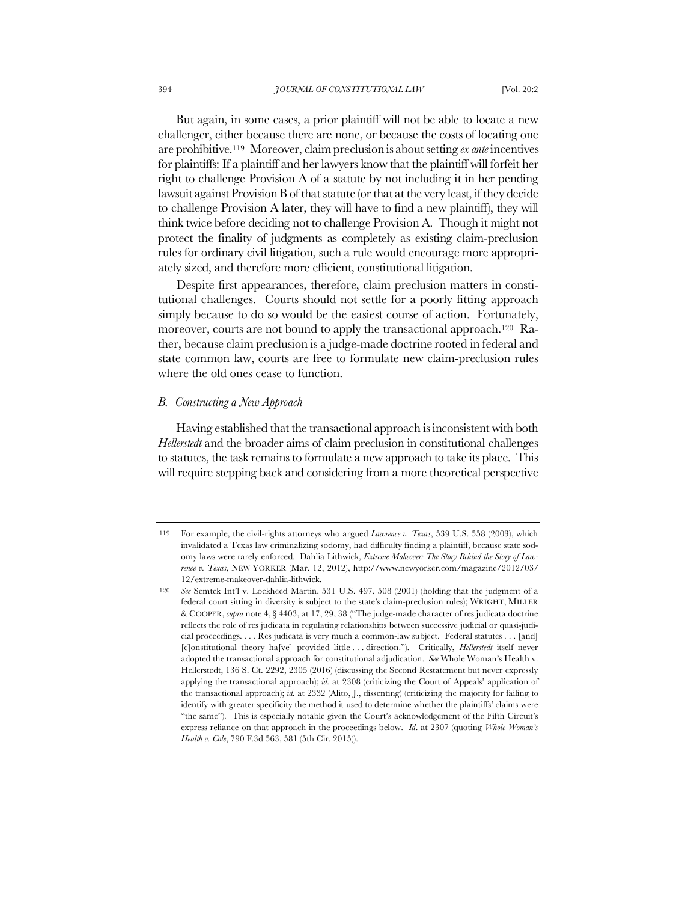But again, in some cases, a prior plaintiff will not be able to locate a new challenger, either because there are none, or because the costs of locating one are prohibitive.119 Moreover, claim preclusion is about setting *ex ante* incentives for plaintiffs: If a plaintiff and her lawyers know that the plaintiff will forfeit her right to challenge Provision A of a statute by not including it in her pending lawsuit against Provision B of that statute (or that at the very least, if they decide to challenge Provision A later, they will have to find a new plaintiff), they will think twice before deciding not to challenge Provision A. Though it might not protect the finality of judgments as completely as existing claim-preclusion rules for ordinary civil litigation, such a rule would encourage more appropriately sized, and therefore more efficient, constitutional litigation.

Despite first appearances, therefore, claim preclusion matters in constitutional challenges. Courts should not settle for a poorly fitting approach simply because to do so would be the easiest course of action. Fortunately, moreover, courts are not bound to apply the transactional approach.120 Rather, because claim preclusion is a judge-made doctrine rooted in federal and state common law, courts are free to formulate new claim-preclusion rules where the old ones cease to function.

### *B. Constructing a New Approach*

Having established that the transactional approach is inconsistent with both *Hellerstedt* and the broader aims of claim preclusion in constitutional challenges to statutes, the task remains to formulate a new approach to take its place. This will require stepping back and considering from a more theoretical perspective

<sup>119</sup> For example, the civil-rights attorneys who argued *Lawrence v. Texas*, 539 U.S. 558 (2003), which invalidated a Texas law criminalizing sodomy, had difficulty finding a plaintiff, because state sodomy laws were rarely enforced. Dahlia Lithwick, *Extreme Makeover: The Story Behind the Story of Lawrence v. Texas*, NEW YORKER (Mar. 12, 2012), http://www.newyorker.com/magazine/2012/03/ 12/extreme-makeover-dahlia-lithwick.

<sup>120</sup> *See* Semtek Int'l v. Lockheed Martin, 531 U.S. 497, 508 (2001) (holding that the judgment of a federal court sitting in diversity is subject to the state's claim-preclusion rules); WRIGHT, MILLER & COOPER, *supra* note 4, § 4403, at 17, 29, 38 ("The judge-made character of res judicata doctrine reflects the role of res judicata in regulating relationships between successive judicial or quasi-judicial proceedings. . . . Res judicata is very much a common-law subject. Federal statutes . . . [and] [c]onstitutional theory ha[ve] provided little . . . direction."). Critically, *Hellerstedt* itself never adopted the transactional approach for constitutional adjudication. *See* Whole Woman's Health v. Hellerstedt, 136 S. Ct. 2292, 2305 (2016) (discussing the Second Restatement but never expressly applying the transactional approach); *id.* at 2308 (criticizing the Court of Appeals' application of the transactional approach); *id.* at 2332 (Alito, J., dissenting) (criticizing the majority for failing to identify with greater specificity the method it used to determine whether the plaintiffs' claims were "the same"). This is especially notable given the Court's acknowledgement of the Fifth Circuit's express reliance on that approach in the proceedings below. *Id*. at 2307 (quoting *Whole Woman's Health v. Cole*, 790 F.3d 563, 581 (5th Cir. 2015)).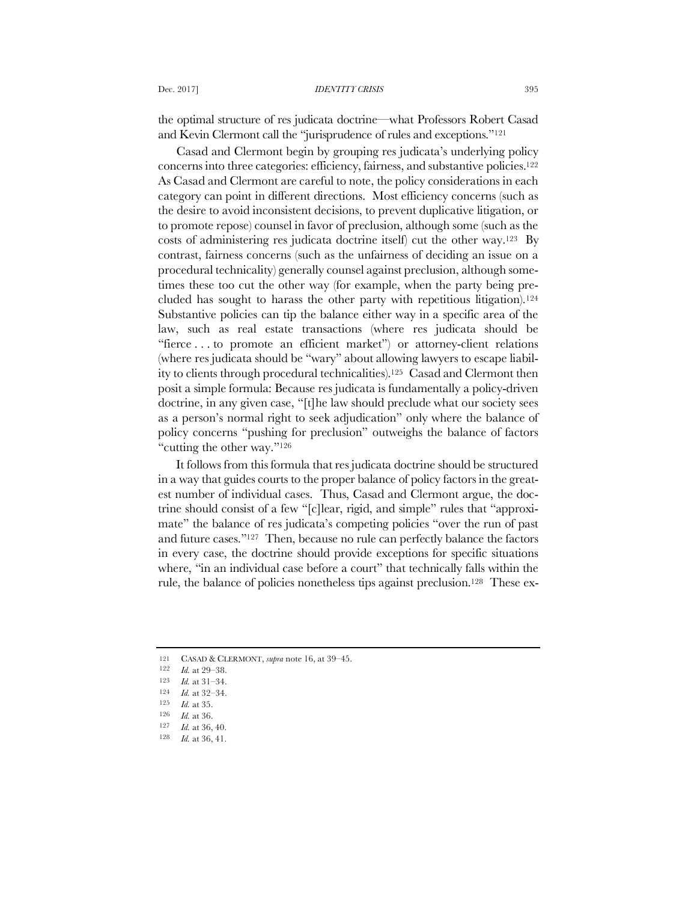the optimal structure of res judicata doctrine—what Professors Robert Casad and Kevin Clermont call the "jurisprudence of rules and exceptions."121

Casad and Clermont begin by grouping res judicata's underlying policy concerns into three categories: efficiency, fairness, and substantive policies.122 As Casad and Clermont are careful to note, the policy considerations in each category can point in different directions. Most efficiency concerns (such as the desire to avoid inconsistent decisions, to prevent duplicative litigation, or to promote repose) counsel in favor of preclusion, although some (such as the costs of administering res judicata doctrine itself) cut the other way.123 By contrast, fairness concerns (such as the unfairness of deciding an issue on a procedural technicality) generally counsel against preclusion, although sometimes these too cut the other way (for example, when the party being precluded has sought to harass the other party with repetitious litigation).124 Substantive policies can tip the balance either way in a specific area of the law, such as real estate transactions (where res judicata should be "fierce . . . to promote an efficient market") or attorney-client relations (where res judicata should be "wary" about allowing lawyers to escape liability to clients through procedural technicalities).125 Casad and Clermont then posit a simple formula: Because res judicata is fundamentally a policy-driven doctrine, in any given case, "[t]he law should preclude what our society sees as a person's normal right to seek adjudication" only where the balance of policy concerns "pushing for preclusion" outweighs the balance of factors "cutting the other way."126

It follows from this formula that res judicata doctrine should be structured in a way that guides courts to the proper balance of policy factors in the greatest number of individual cases. Thus, Casad and Clermont argue, the doctrine should consist of a few "[c]lear, rigid, and simple" rules that "approximate" the balance of res judicata's competing policies "over the run of past and future cases."127 Then, because no rule can perfectly balance the factors in every case, the doctrine should provide exceptions for specific situations where, "in an individual case before a court" that technically falls within the rule, the balance of policies nonetheless tips against preclusion.128 These ex-

<sup>121</sup> CASAD & CLERMONT, *supra* note 16, at 39–45.

 $\frac{122}{123}$  *Id.* at 29–38.

*Id.* at 31-34.

<sup>124</sup> *Id.* at 32–34.

<sup>125</sup> *Id.* at 35.

<sup>126</sup> *Id.* at 36.

<sup>127</sup> *Id.* at 36, 40.

<sup>128</sup> *Id.* at 36, 41.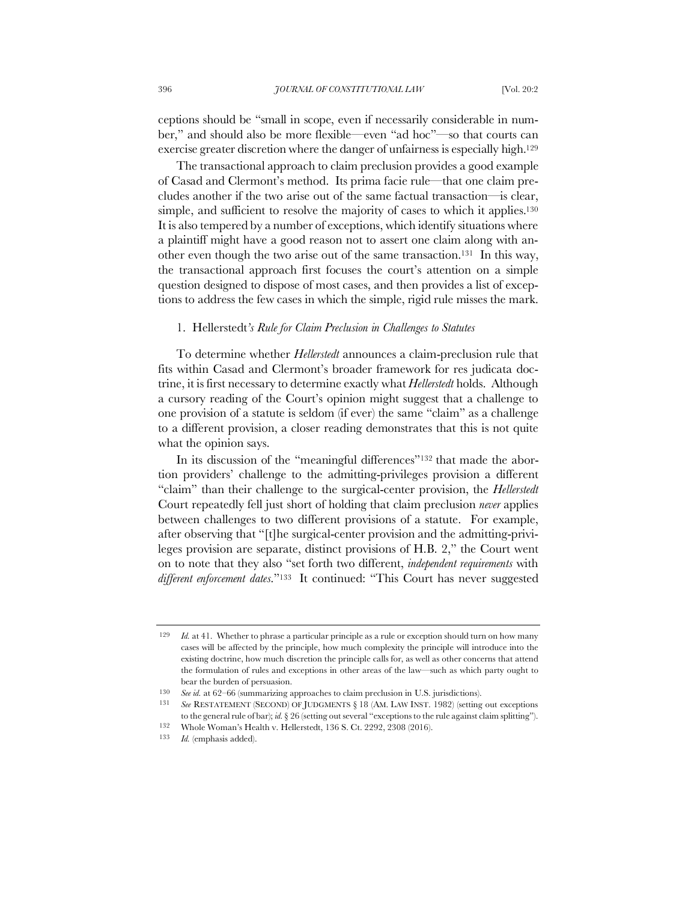ceptions should be "small in scope, even if necessarily considerable in number," and should also be more flexible—even "ad hoc"—so that courts can exercise greater discretion where the danger of unfairness is especially high.129

The transactional approach to claim preclusion provides a good example of Casad and Clermont's method. Its prima facie rule—that one claim precludes another if the two arise out of the same factual transaction—is clear, simple, and sufficient to resolve the majority of cases to which it applies.<sup>130</sup> It is also tempered by a number of exceptions, which identify situations where a plaintiff might have a good reason not to assert one claim along with another even though the two arise out of the same transaction.131 In this way, the transactional approach first focuses the court's attention on a simple question designed to dispose of most cases, and then provides a list of exceptions to address the few cases in which the simple, rigid rule misses the mark.

### 1.Hellerstedt*'s Rule for Claim Preclusion in Challenges to Statutes*

To determine whether *Hellerstedt* announces a claim-preclusion rule that fits within Casad and Clermont's broader framework for res judicata doctrine, it is first necessary to determine exactly what *Hellerstedt* holds. Although a cursory reading of the Court's opinion might suggest that a challenge to one provision of a statute is seldom (if ever) the same "claim" as a challenge to a different provision, a closer reading demonstrates that this is not quite what the opinion says.

In its discussion of the "meaningful differences"132 that made the abortion providers' challenge to the admitting-privileges provision a different "claim" than their challenge to the surgical-center provision, the *Hellerstedt* Court repeatedly fell just short of holding that claim preclusion *never* applies between challenges to two different provisions of a statute. For example, after observing that "[t]he surgical-center provision and the admitting-privileges provision are separate, distinct provisions of H.B. 2," the Court went on to note that they also "set forth two different, *independent requirements* with *different enforcement dates*."133 It continued: "This Court has never suggested

<sup>129</sup> *Id.* at 41. Whether to phrase a particular principle as a rule or exception should turn on how many cases will be affected by the principle, how much complexity the principle will introduce into the existing doctrine, how much discretion the principle calls for, as well as other concerns that attend the formulation of rules and exceptions in other areas of the law—such as which party ought to bear the burden of persuasion.

<sup>130</sup> *See id.* at 62–66 (summarizing approaches to claim preclusion in U.S. jurisdictions).

<sup>131</sup> *See* RESTATEMENT (SECOND) OF JUDGMENTS § 18 (AM. LAW INST. 1982) (setting out exceptions to the general rule of bar); *id.* § 26 (setting out several "exceptions to the rule against claim splitting"). 132 Whole Woman's Health v. Hellerstedt, 136 S. Ct. 2292, 2308 (2016).

<sup>133</sup> *Id.* (emphasis added).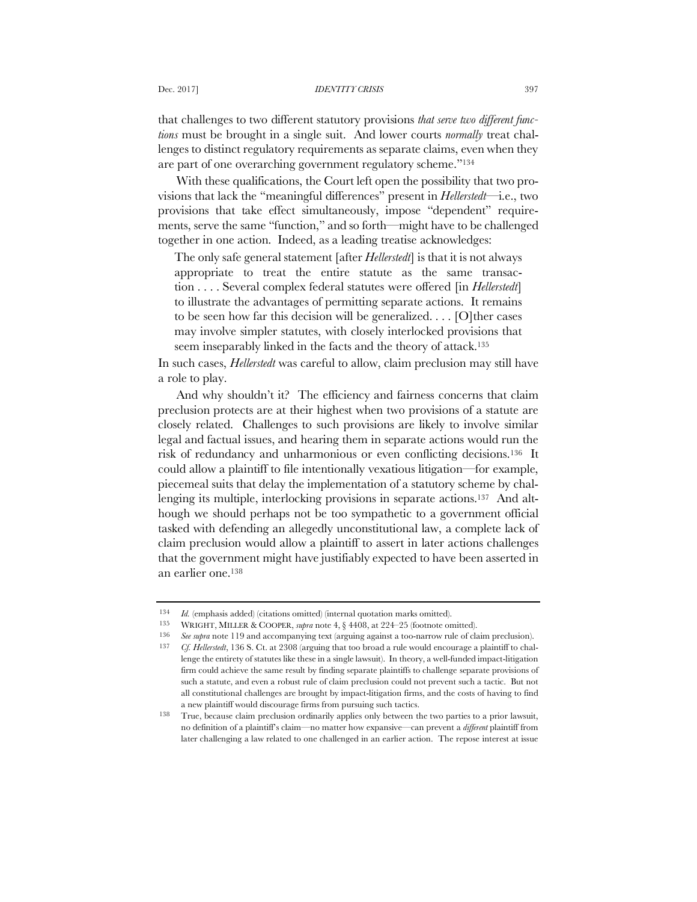#### Dec. 2017] *IDENTITY CRISIS* 397

that challenges to two different statutory provisions *that serve two different functions* must be brought in a single suit. And lower courts *normally* treat challenges to distinct regulatory requirements as separate claims, even when they are part of one overarching government regulatory scheme."134

With these qualifications, the Court left open the possibility that two provisions that lack the "meaningful differences" present in *Hellerstedt*—i.e., two provisions that take effect simultaneously, impose "dependent" requirements, serve the same "function," and so forth—might have to be challenged together in one action. Indeed, as a leading treatise acknowledges:

The only safe general statement [after *Hellerstedt*] is that it is not always appropriate to treat the entire statute as the same transaction . . . . Several complex federal statutes were offered [in *Hellerstedt*] to illustrate the advantages of permitting separate actions. It remains to be seen how far this decision will be generalized.... [O] ther cases may involve simpler statutes, with closely interlocked provisions that seem inseparably linked in the facts and the theory of attack.<sup>135</sup>

In such cases, *Hellerstedt* was careful to allow, claim preclusion may still have a role to play.

And why shouldn't it? The efficiency and fairness concerns that claim preclusion protects are at their highest when two provisions of a statute are closely related. Challenges to such provisions are likely to involve similar legal and factual issues, and hearing them in separate actions would run the risk of redundancy and unharmonious or even conflicting decisions.136 It could allow a plaintiff to file intentionally vexatious litigation—for example, piecemeal suits that delay the implementation of a statutory scheme by challenging its multiple, interlocking provisions in separate actions.<sup>137</sup> And although we should perhaps not be too sympathetic to a government official tasked with defending an allegedly unconstitutional law, a complete lack of claim preclusion would allow a plaintiff to assert in later actions challenges that the government might have justifiably expected to have been asserted in an earlier one.138

<sup>134</sup> *Id.* (emphasis added) (citations omitted) (internal quotation marks omitted).

<sup>135</sup> WRIGHT, MILLER & COOPER, *supra* note 4, § 4408, at 224–25 (footnote omitted).

<sup>136</sup> *See supra* note 119 and accompanying text (arguing against a too-narrow rule of claim preclusion). 137 *Cf. Hellerstedt*, 136 S. Ct. at 2308 (arguing that too broad a rule would encourage a plaintiff to challenge the entirety of statutes like these in a single lawsuit). In theory, a well-funded impact-litigation firm could achieve the same result by finding separate plaintiffs to challenge separate provisions of such a statute, and even a robust rule of claim preclusion could not prevent such a tactic. But not all constitutional challenges are brought by impact-litigation firms, and the costs of having to find a new plaintiff would discourage firms from pursuing such tactics.

<sup>138</sup> True, because claim preclusion ordinarily applies only between the two parties to a prior lawsuit, no definition of a plaintiff's claim—no matter how expansive—can prevent a *different* plaintiff from later challenging a law related to one challenged in an earlier action. The repose interest at issue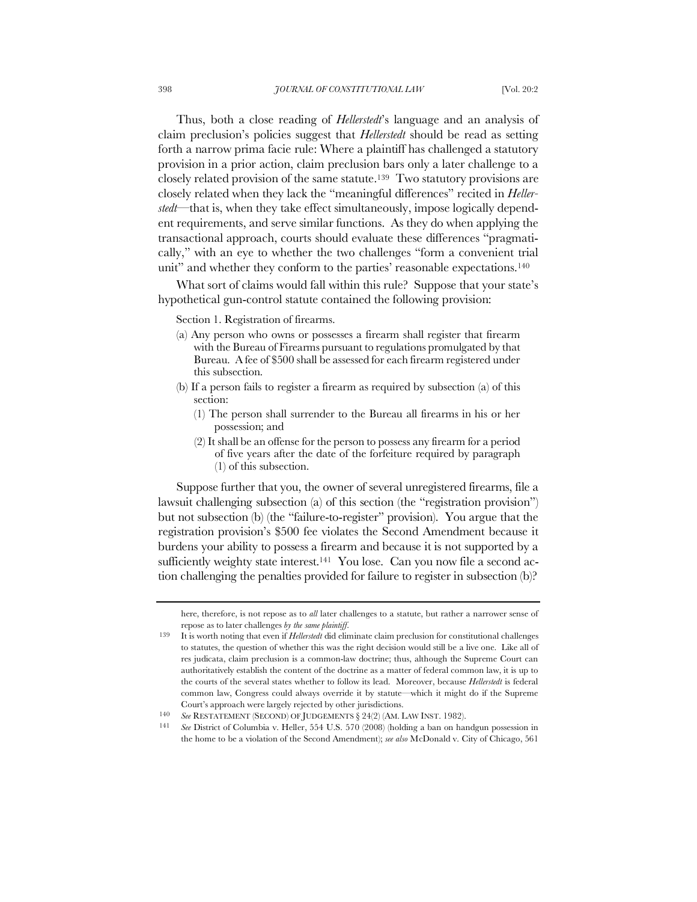Thus, both a close reading of *Hellerstedt*'s language and an analysis of claim preclusion's policies suggest that *Hellerstedt* should be read as setting forth a narrow prima facie rule: Where a plaintiff has challenged a statutory provision in a prior action, claim preclusion bars only a later challenge to a closely related provision of the same statute.139 Two statutory provisions are closely related when they lack the "meaningful differences" recited in *Hellerstedt*—that is, when they take effect simultaneously, impose logically dependent requirements, and serve similar functions. As they do when applying the transactional approach, courts should evaluate these differences "pragmatically," with an eye to whether the two challenges "form a convenient trial unit" and whether they conform to the parties' reasonable expectations.<sup>140</sup>

What sort of claims would fall within this rule? Suppose that your state's hypothetical gun-control statute contained the following provision:

Section 1. Registration of firearms.

- (a) Any person who owns or possesses a firearm shall register that firearm with the Bureau of Firearms pursuant to regulations promulgated by that Bureau. A fee of \$500 shall be assessed for each firearm registered under this subsection.
- (b) If a person fails to register a firearm as required by subsection (a) of this section:
	- (1) The person shall surrender to the Bureau all firearms in his or her possession; and
	- (2) It shall be an offense for the person to possess any firearm for a period of five years after the date of the forfeiture required by paragraph (1) of this subsection.

Suppose further that you, the owner of several unregistered firearms, file a lawsuit challenging subsection (a) of this section (the "registration provision") but not subsection (b) (the "failure-to-register" provision). You argue that the registration provision's \$500 fee violates the Second Amendment because it burdens your ability to possess a firearm and because it is not supported by a sufficiently weighty state interest.<sup>141</sup> You lose. Can you now file a second action challenging the penalties provided for failure to register in subsection (b)?

here, therefore, is not repose as to *all* later challenges to a statute, but rather a narrower sense of repose as to later challenges *by the same plaintiff*.

<sup>139</sup> It is worth noting that even if *Hellerstedt* did eliminate claim preclusion for constitutional challenges to statutes, the question of whether this was the right decision would still be a live one. Like all of res judicata, claim preclusion is a common-law doctrine; thus, although the Supreme Court can authoritatively establish the content of the doctrine as a matter of federal common law, it is up to the courts of the several states whether to follow its lead. Moreover, because *Hellerstedt* is federal common law, Congress could always override it by statute—which it might do if the Supreme Court's approach were largely rejected by other jurisdictions.

<sup>140</sup> *See* RESTATEMENT (SECOND) OF JUDGEMENTS § 24(2) (AM. LAW INST. 1982).

<sup>141</sup> *See* District of Columbia v. Heller, 554 U.S. 570 (2008) (holding a ban on handgun possession in the home to be a violation of the Second Amendment); *see also* McDonald v. City of Chicago, 561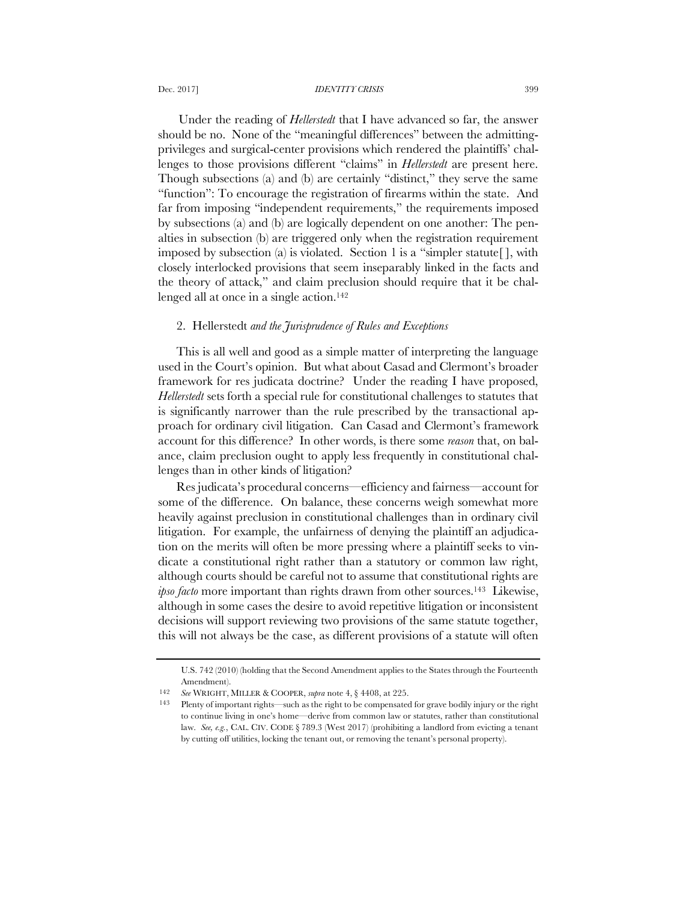Under the reading of *Hellerstedt* that I have advanced so far, the answer should be no. None of the "meaningful differences" between the admittingprivileges and surgical-center provisions which rendered the plaintiffs' challenges to those provisions different "claims" in *Hellerstedt* are present here. Though subsections (a) and (b) are certainly "distinct," they serve the same "function": To encourage the registration of firearms within the state. And far from imposing "independent requirements," the requirements imposed by subsections (a) and (b) are logically dependent on one another: The penalties in subsection (b) are triggered only when the registration requirement imposed by subsection (a) is violated. Section 1 is a "simpler statute[ ], with closely interlocked provisions that seem inseparably linked in the facts and the theory of attack," and claim preclusion should require that it be challenged all at once in a single action.<sup>142</sup>

# 2.Hellerstedt *and the Jurisprudence of Rules and Exceptions*

This is all well and good as a simple matter of interpreting the language used in the Court's opinion. But what about Casad and Clermont's broader framework for res judicata doctrine? Under the reading I have proposed, *Hellerstedt* sets forth a special rule for constitutional challenges to statutes that is significantly narrower than the rule prescribed by the transactional approach for ordinary civil litigation. Can Casad and Clermont's framework account for this difference? In other words, is there some *reason* that, on balance, claim preclusion ought to apply less frequently in constitutional challenges than in other kinds of litigation?

Res judicata's procedural concerns—efficiency and fairness—account for some of the difference. On balance, these concerns weigh somewhat more heavily against preclusion in constitutional challenges than in ordinary civil litigation. For example, the unfairness of denying the plaintiff an adjudication on the merits will often be more pressing where a plaintiff seeks to vindicate a constitutional right rather than a statutory or common law right, although courts should be careful not to assume that constitutional rights are *ipso facto* more important than rights drawn from other sources.<sup>143</sup> Likewise, although in some cases the desire to avoid repetitive litigation or inconsistent decisions will support reviewing two provisions of the same statute together, this will not always be the case, as different provisions of a statute will often

U.S. 742 (2010) (holding that the Second Amendment applies to the States through the Fourteenth Amendment).

<sup>142</sup> *See* WRIGHT, MILLER & COOPER, *supra* note 4, § 4408, at 225.

<sup>143</sup> Plenty of important rights—such as the right to be compensated for grave bodily injury or the right to continue living in one's home—derive from common law or statutes, rather than constitutional law. *See, e.g.*, CAL. CIV. CODE § 789.3 (West 2017) (prohibiting a landlord from evicting a tenant by cutting off utilities, locking the tenant out, or removing the tenant's personal property).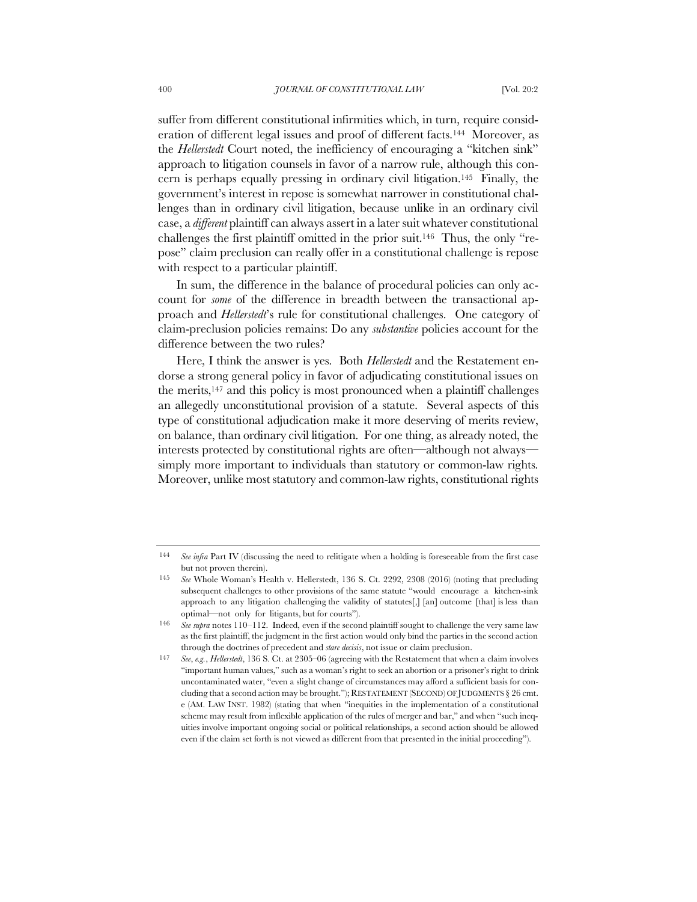suffer from different constitutional infirmities which, in turn, require consideration of different legal issues and proof of different facts.144 Moreover, as the *Hellerstedt* Court noted, the inefficiency of encouraging a "kitchen sink" approach to litigation counsels in favor of a narrow rule, although this concern is perhaps equally pressing in ordinary civil litigation.145 Finally, the government's interest in repose is somewhat narrower in constitutional challenges than in ordinary civil litigation, because unlike in an ordinary civil case, a *different* plaintiff can always assert in a later suit whatever constitutional challenges the first plaintiff omitted in the prior suit.146 Thus, the only "repose" claim preclusion can really offer in a constitutional challenge is repose with respect to a particular plaintiff.

In sum, the difference in the balance of procedural policies can only account for *some* of the difference in breadth between the transactional approach and *Hellerstedt*'s rule for constitutional challenges. One category of claim-preclusion policies remains: Do any *substantive* policies account for the difference between the two rules?

Here, I think the answer is yes. Both *Hellerstedt* and the Restatement endorse a strong general policy in favor of adjudicating constitutional issues on the merits,147 and this policy is most pronounced when a plaintiff challenges an allegedly unconstitutional provision of a statute. Several aspects of this type of constitutional adjudication make it more deserving of merits review, on balance, than ordinary civil litigation. For one thing, as already noted, the interests protected by constitutional rights are often—although not always simply more important to individuals than statutory or common-law rights. Moreover, unlike most statutory and common-law rights, constitutional rights

<sup>144</sup> *See infra* Part IV (discussing the need to relitigate when a holding is foreseeable from the first case but not proven therein).

<sup>145</sup> *See* Whole Woman's Health v. Hellerstedt, 136 S. Ct. 2292, 2308 (2016) (noting that precluding subsequent challenges to other provisions of the same statute "would encourage a kitchen-sink approach to any litigation challenging the validity of statutes<sup>[1]</sup>, [an] outcome [that] is less than optimal—not only for litigants, but for courts").

<sup>146</sup> *See supra* notes 110–112. Indeed, even if the second plaintiff sought to challenge the very same law as the first plaintiff, the judgment in the first action would only bind the parties in the second action through the doctrines of precedent and *stare decisis*, not issue or claim preclusion.

<sup>147</sup> *See*, *e.g.*, *Hellerstedt*, 136 S. Ct. at 2305–06 (agreeing with the Restatement that when a claim involves "important human values," such as a woman's right to seek an abortion or a prisoner's right to drink uncontaminated water, "even a slight change of circumstances may afford a sufficient basis for concluding that a second action may be brought."); RESTATEMENT (SECOND) OF JUDGMENTS § 26 cmt. e (AM. LAW INST. 1982) (stating that when "inequities in the implementation of a constitutional scheme may result from inflexible application of the rules of merger and bar," and when "such inequities involve important ongoing social or political relationships, a second action should be allowed even if the claim set forth is not viewed as different from that presented in the initial proceeding").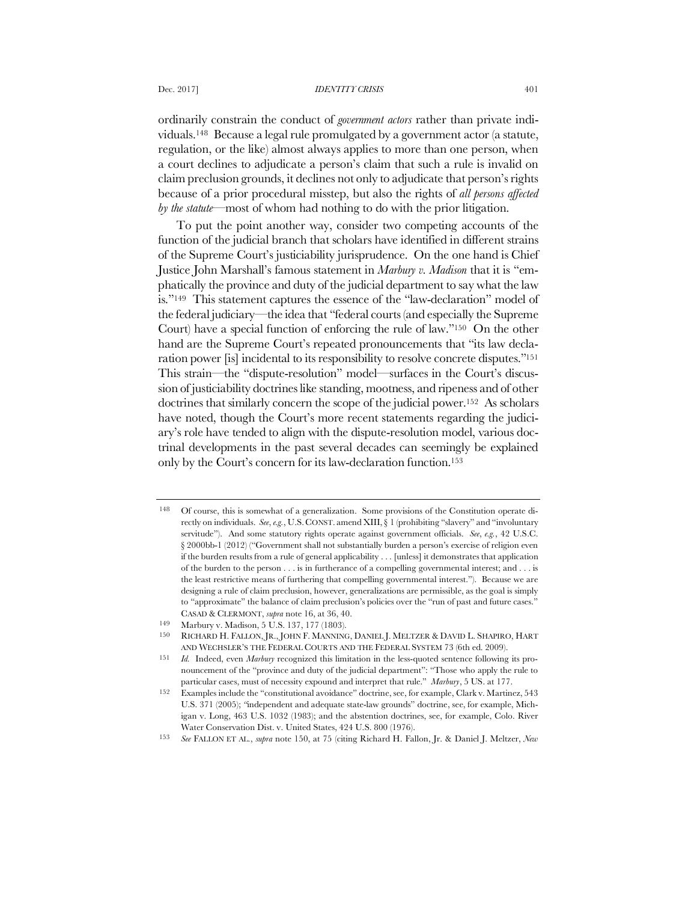#### Dec. 2017] *IDENTITY CRISIS* 401

ordinarily constrain the conduct of *government actors* rather than private individuals.148 Because a legal rule promulgated by a government actor (a statute, regulation, or the like) almost always applies to more than one person, when a court declines to adjudicate a person's claim that such a rule is invalid on claim preclusion grounds, it declines not only to adjudicate that person's rights because of a prior procedural misstep, but also the rights of *all persons affected by the statute*—most of whom had nothing to do with the prior litigation.

To put the point another way, consider two competing accounts of the function of the judicial branch that scholars have identified in different strains of the Supreme Court's justiciability jurisprudence. On the one hand is Chief Justice John Marshall's famous statement in *Marbury v. Madison* that it is "emphatically the province and duty of the judicial department to say what the law is."149 This statement captures the essence of the "law-declaration" model of the federal judiciary—the idea that "federal courts (and especially the Supreme Court) have a special function of enforcing the rule of law."150 On the other hand are the Supreme Court's repeated pronouncements that "its law declaration power [is] incidental to its responsibility to resolve concrete disputes."151 This strain—the "dispute-resolution" model—surfaces in the Court's discussion of justiciability doctrines like standing, mootness, and ripeness and of other doctrines that similarly concern the scope of the judicial power.152 As scholars have noted, though the Court's more recent statements regarding the judiciary's role have tended to align with the dispute-resolution model, various doctrinal developments in the past several decades can seemingly be explained only by the Court's concern for its law-declaration function.153

<sup>148</sup> Of course, this is somewhat of a generalization. Some provisions of the Constitution operate directly on individuals. *See*, *e.g.*, U.S. CONST. amend XIII, § 1 (prohibiting "slavery" and "involuntary servitude"). And some statutory rights operate against government officials. *See*, *e.g.*, 42 U.S.C. § 2000bb-1 (2012) ("Government shall not substantially burden a person's exercise of religion even if the burden results from a rule of general applicability . . . [unless] it demonstrates that application of the burden to the person . . . is in furtherance of a compelling governmental interest; and . . . is the least restrictive means of furthering that compelling governmental interest."). Because we are designing a rule of claim preclusion, however, generalizations are permissible, as the goal is simply to "approximate" the balance of claim preclusion's policies over the "run of past and future cases." CASAD & CLERMONT, *supra* note 16, at 36, 40.

<sup>149</sup> Marbury v. Madison, 5 U.S. 137, 177 (1803).

<sup>150</sup> RICHARD H. FALLON, JR., JOHN F. MANNING, DANIEL J. MELTZER & DAVID L. SHAPIRO, HART AND WECHSLER'S THE FEDERAL COURTS AND THE FEDERAL SYSTEM 73 (6th ed. 2009).

<sup>151</sup> *Id.* Indeed, even *Marbury* recognized this limitation in the less-quoted sentence following its pronouncement of the "province and duty of the judicial department": "Those who apply the rule to particular cases, must of necessity expound and interpret that rule." *Marbury*, 5 US. at 177.

<sup>152</sup> Examples include the "constitutional avoidance" doctrine, see, for example, Clark v. Martinez, 543 U.S. 371 (2005); *"*independent and adequate state-law grounds" doctrine, see, for example, Michigan v. Long, 463 U.S. 1032 (1983); and the abstention doctrines, see, for example, Colo. River Water Conservation Dist. v. United States, 424 U.S. 800 (1976).

<sup>153</sup> *See* FALLON ET AL., *supra* note 150, at 75 (citing Richard H. Fallon, Jr. & Daniel J. Meltzer, *New*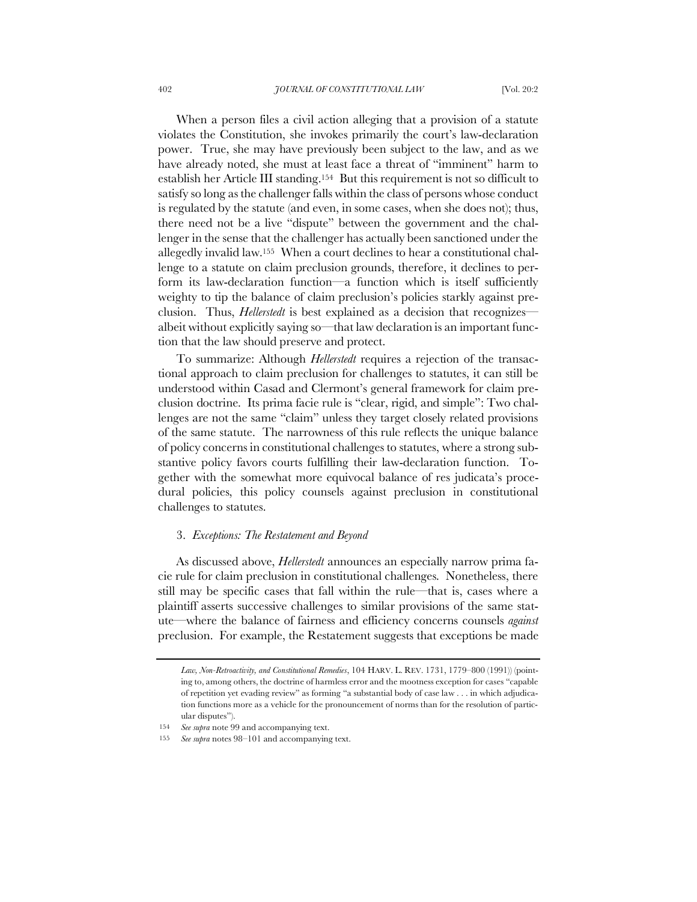When a person files a civil action alleging that a provision of a statute violates the Constitution, she invokes primarily the court's law-declaration power. True, she may have previously been subject to the law, and as we have already noted, she must at least face a threat of "imminent" harm to establish her Article III standing.154 But this requirement is not so difficult to satisfy so long as the challenger falls within the class of persons whose conduct is regulated by the statute (and even, in some cases, when she does not); thus, there need not be a live "dispute" between the government and the challenger in the sense that the challenger has actually been sanctioned under the allegedly invalid law.155 When a court declines to hear a constitutional challenge to a statute on claim preclusion grounds, therefore, it declines to perform its law-declaration function—a function which is itself sufficiently weighty to tip the balance of claim preclusion's policies starkly against preclusion. Thus, *Hellerstedt* is best explained as a decision that recognizesalbeit without explicitly saying so—that law declaration is an important function that the law should preserve and protect.

To summarize: Although *Hellerstedt* requires a rejection of the transactional approach to claim preclusion for challenges to statutes, it can still be understood within Casad and Clermont's general framework for claim preclusion doctrine. Its prima facie rule is "clear, rigid, and simple": Two challenges are not the same "claim" unless they target closely related provisions of the same statute. The narrowness of this rule reflects the unique balance of policy concerns in constitutional challenges to statutes, where a strong substantive policy favors courts fulfilling their law-declaration function. Together with the somewhat more equivocal balance of res judicata's procedural policies, this policy counsels against preclusion in constitutional challenges to statutes.

## 3. *Exceptions: The Restatement and Beyond*

As discussed above, *Hellerstedt* announces an especially narrow prima facie rule for claim preclusion in constitutional challenges. Nonetheless, there still may be specific cases that fall within the rule—that is, cases where a plaintiff asserts successive challenges to similar provisions of the same statute—where the balance of fairness and efficiency concerns counsels *against* preclusion. For example, the Restatement suggests that exceptions be made

*Law, Non-Retroactivity, and Constitutional Remedies*, 104 HARV. L. REV. 1731, 1779–800 (1991)) (pointing to, among others, the doctrine of harmless error and the mootness exception for cases "capable of repetition yet evading review" as forming "a substantial body of case law . . . in which adjudication functions more as a vehicle for the pronouncement of norms than for the resolution of particular disputes").

<sup>154</sup> *See supra* note 99 and accompanying text.

<sup>155</sup> *See supra* notes 98–101 and accompanying text.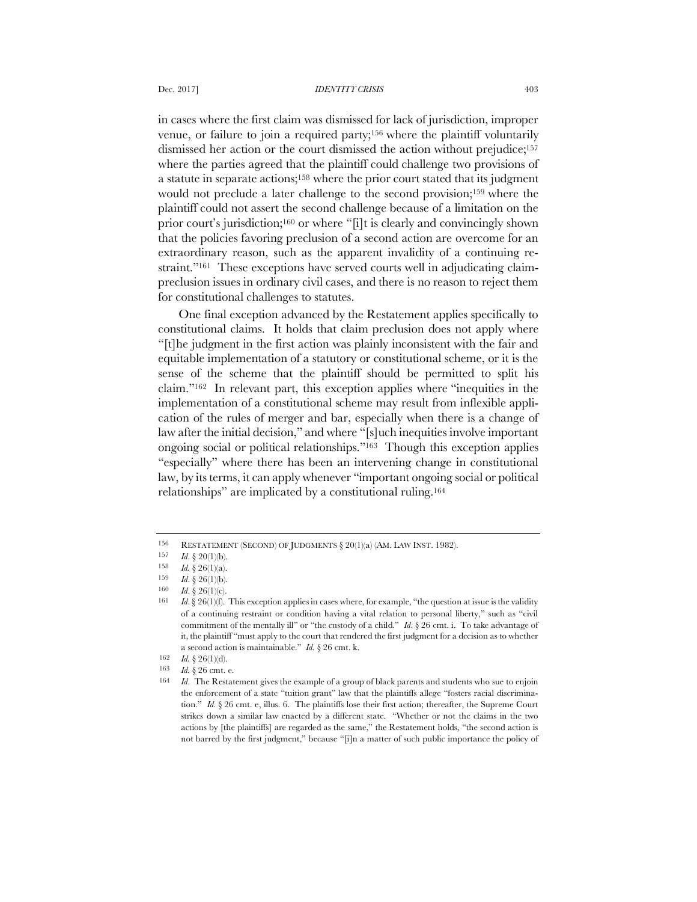in cases where the first claim was dismissed for lack of jurisdiction, improper venue, or failure to join a required party;156 where the plaintiff voluntarily dismissed her action or the court dismissed the action without prejudice;<sup>157</sup> where the parties agreed that the plaintiff could challenge two provisions of a statute in separate actions;158 where the prior court stated that its judgment would not preclude a later challenge to the second provision;159 where the plaintiff could not assert the second challenge because of a limitation on the prior court's jurisdiction;160 or where "[i]t is clearly and convincingly shown that the policies favoring preclusion of a second action are overcome for an extraordinary reason, such as the apparent invalidity of a continuing restraint."<sup>161</sup> These exceptions have served courts well in adjudicating claimpreclusion issues in ordinary civil cases, and there is no reason to reject them for constitutional challenges to statutes.

One final exception advanced by the Restatement applies specifically to constitutional claims. It holds that claim preclusion does not apply where "[t]he judgment in the first action was plainly inconsistent with the fair and equitable implementation of a statutory or constitutional scheme, or it is the sense of the scheme that the plaintiff should be permitted to split his claim."162 In relevant part, this exception applies where "inequities in the implementation of a constitutional scheme may result from inflexible application of the rules of merger and bar, especially when there is a change of law after the initial decision," and where "[s]uch inequities involve important ongoing social or political relationships."163 Though this exception applies "especially" where there has been an intervening change in constitutional law, by its terms, it can apply whenever "important ongoing social or political relationships" are implicated by a constitutional ruling.164

<sup>156</sup> RESTATEMENT (SECOND) OF JUDGMENTS § 20(1)(a) (AM. LAW INST. 1982).

<sup>157</sup> *Id*. § 20(1)(b).

<sup>158</sup> *Id.* § 26(1)(a).<br>159 *Id.* § 26(1)(b)

*Id.*  $§ 26(1)(b)$ .

<sup>160</sup> *Id*. § 26(1)(c).

<sup>161</sup> *Id*.§ 26(1)(f). This exception applies in cases where, for example, "the question at issue is the validity of a continuing restraint or condition having a vital relation to personal liberty," such as "civil commitment of the mentally ill" or "the custody of a child." *Id*. § 26 cmt. i. To take advantage of it, the plaintiff "must apply to the court that rendered the first judgment for a decision as to whether a second action is maintainable." *Id.* § 26 cmt. k.

<sup>162</sup> *Id.* § 26(1)(d).

<sup>163</sup> *Id.* § 26 cmt. e.

<sup>164</sup> *Id*. The Restatement gives the example of a group of black parents and students who sue to enjoin the enforcement of a state "tuition grant" law that the plaintiffs allege "fosters racial discrimination." *Id.* § 26 cmt. e, illus. 6. The plaintiffs lose their first action; thereafter, the Supreme Court strikes down a similar law enacted by a different state. "Whether or not the claims in the two actions by [the plaintiffs] are regarded as the same," the Restatement holds, "the second action is not barred by the first judgment," because "[i]n a matter of such public importance the policy of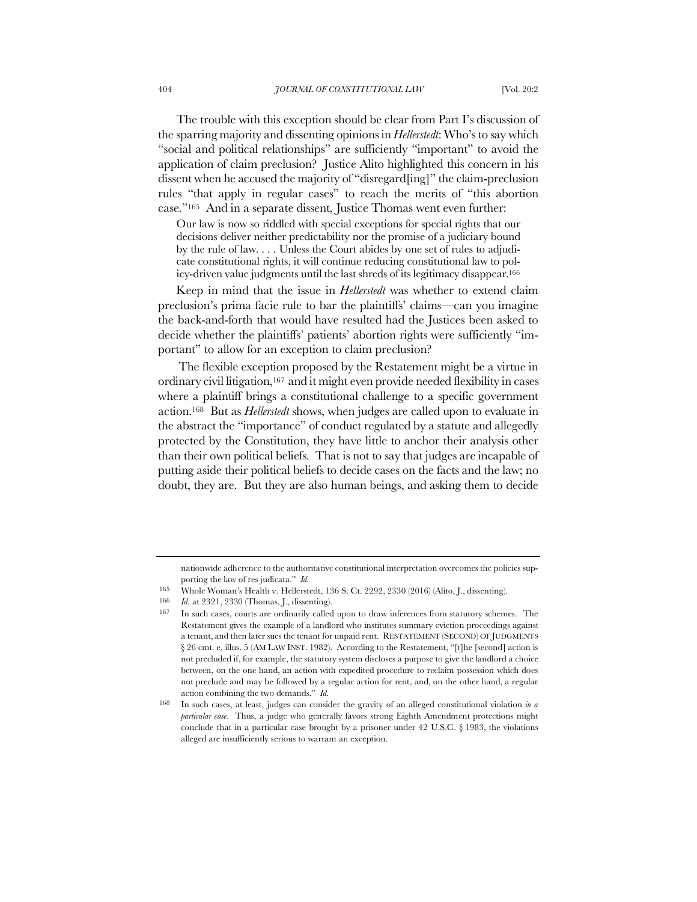The trouble with this exception should be clear from Part I's discussion of the sparring majority and dissenting opinions in *Hellerstedt*: Who's to say which "social and political relationships" are sufficiently "important" to avoid the application of claim preclusion? Justice Alito highlighted this concern in his dissent when he accused the majority of "disregard[ing]" the claim-preclusion rules "that apply in regular cases" to reach the merits of "this abortion case."165 And in a separate dissent, Justice Thomas went even further:

Our law is now so riddled with special exceptions for special rights that our decisions deliver neither predictability nor the promise of a judiciary bound by the rule of law. . . . Unless the Court abides by one set of rules to adjudicate constitutional rights, it will continue reducing constitutional law to policy-driven value judgments until the last shreds of its legitimacy disappear.166

Keep in mind that the issue in *Hellerstedt* was whether to extend claim preclusion's prima facie rule to bar the plaintiffs' claims—can you imagine the back-and-forth that would have resulted had the Justices been asked to decide whether the plaintiffs' patients' abortion rights were sufficiently "important" to allow for an exception to claim preclusion?

The flexible exception proposed by the Restatement might be a virtue in ordinary civil litigation,167 and it might even provide needed flexibility in cases where a plaintiff brings a constitutional challenge to a specific government action.168 But as *Hellerstedt* shows, when judges are called upon to evaluate in the abstract the "importance" of conduct regulated by a statute and allegedly protected by the Constitution, they have little to anchor their analysis other than their own political beliefs. That is not to say that judges are incapable of putting aside their political beliefs to decide cases on the facts and the law; no doubt, they are. But they are also human beings, and asking them to decide

nationwide adherence to the authoritative constitutional interpretation overcomes the policies supporting the law of res judicata." *Id.*

<sup>165</sup> Whole Woman's Health v. Hellerstedt, 136 S. Ct. 2292, 2330 (2016) (Alito, J., dissenting).

<sup>166</sup> *Id.* at 2321, 2330 (Thomas, J., dissenting).

<sup>167</sup> In such cases, courts are ordinarily called upon to draw inferences from statutory schemes. The Restatement gives the example of a landlord who institutes summary eviction proceedings against a tenant, and then later sues the tenant for unpaid rent. RESTATEMENT (SECOND) OF JUDGMENTS § 26 cmt. e, illus. 5 (AM LAW INST. 1982). According to the Restatement, "[t]he [second] action is not precluded if, for example, the statutory system discloses a purpose to give the landlord a choice between, on the one hand, an action with expedited procedure to reclaim possession which does not preclude and may be followed by a regular action for rent, and, on the other hand, a regular action combining the two demands." *Id.* 

<sup>168</sup> In such cases, at least, judges can consider the gravity of an alleged constitutional violation *in a particular case*. Thus, a judge who generally favors strong Eighth Amendment protections might conclude that in a particular case brought by a prisoner under 42 U.S.C. § 1983, the violations alleged are insufficiently serious to warrant an exception.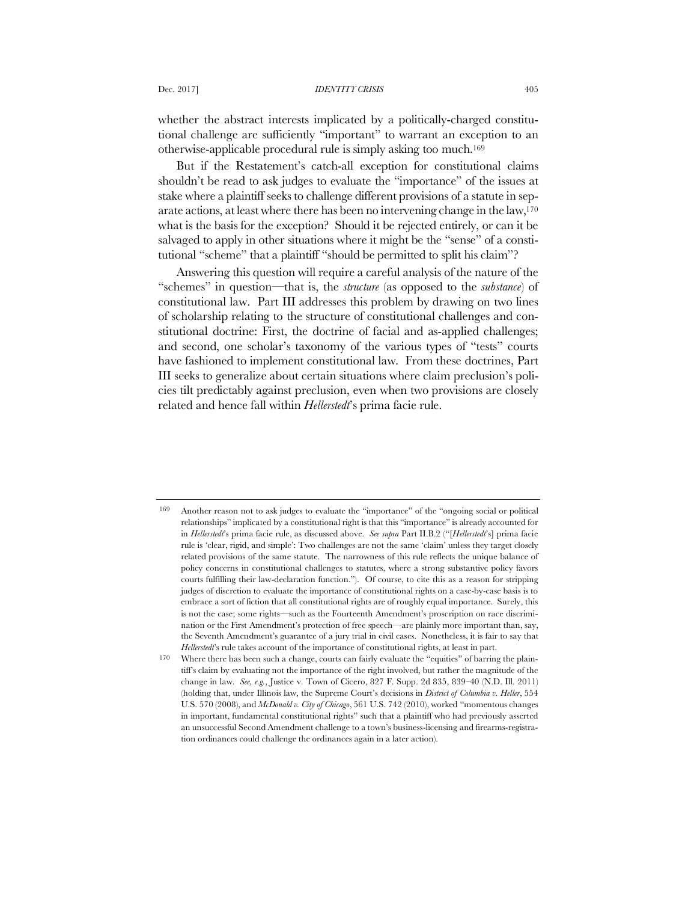whether the abstract interests implicated by a politically-charged constitutional challenge are sufficiently "important" to warrant an exception to an otherwise-applicable procedural rule is simply asking too much.169

But if the Restatement's catch-all exception for constitutional claims shouldn't be read to ask judges to evaluate the "importance" of the issues at stake where a plaintiff seeks to challenge different provisions of a statute in separate actions, at least where there has been no intervening change in the law,170 what is the basis for the exception? Should it be rejected entirely, or can it be salvaged to apply in other situations where it might be the "sense" of a constitutional "scheme" that a plaintiff "should be permitted to split his claim"?

Answering this question will require a careful analysis of the nature of the "schemes" in question—that is, the *structure* (as opposed to the *substance*) of constitutional law. Part III addresses this problem by drawing on two lines of scholarship relating to the structure of constitutional challenges and constitutional doctrine: First, the doctrine of facial and as-applied challenges; and second, one scholar's taxonomy of the various types of "tests" courts have fashioned to implement constitutional law. From these doctrines, Part III seeks to generalize about certain situations where claim preclusion's policies tilt predictably against preclusion, even when two provisions are closely related and hence fall within *Hellerstedt*'s prima facie rule.

<sup>169</sup> Another reason not to ask judges to evaluate the "importance" of the "ongoing social or political relationships" implicated by a constitutional right is that this "importance" is already accounted for in *Hellerstedt*'s prima facie rule, as discussed above. *See supra* Part II.B.2 ("[*Hellerstedt*'s] prima facie rule is 'clear, rigid, and simple': Two challenges are not the same 'claim' unless they target closely related provisions of the same statute. The narrowness of this rule reflects the unique balance of policy concerns in constitutional challenges to statutes, where a strong substantive policy favors courts fulfilling their law-declaration function."). Of course, to cite this as a reason for stripping judges of discretion to evaluate the importance of constitutional rights on a case-by-case basis is to embrace a sort of fiction that all constitutional rights are of roughly equal importance. Surely, this is not the case; some rights—such as the Fourteenth Amendment's proscription on race discrimination or the First Amendment's protection of free speech—are plainly more important than, say, the Seventh Amendment's guarantee of a jury trial in civil cases. Nonetheless, it is fair to say that *Hellerstedt*'s rule takes account of the importance of constitutional rights, at least in part.

<sup>170</sup> Where there has been such a change, courts can fairly evaluate the "equities" of barring the plaintiff's claim by evaluating not the importance of the right involved, but rather the magnitude of the change in law. *See, e.g.*, Justice v. Town of Cicero, 827 F. Supp. 2d 835, 839–40 (N.D. Ill. 2011) (holding that, under Illinois law, the Supreme Court's decisions in *District of Columbia v. Heller*, 554 U.S. 570 (2008), and *McDonald v. City of Chicago*, 561 U.S. 742 (2010), worked "momentous changes in important, fundamental constitutional rights" such that a plaintiff who had previously asserted an unsuccessful Second Amendment challenge to a town's business-licensing and firearms-registration ordinances could challenge the ordinances again in a later action).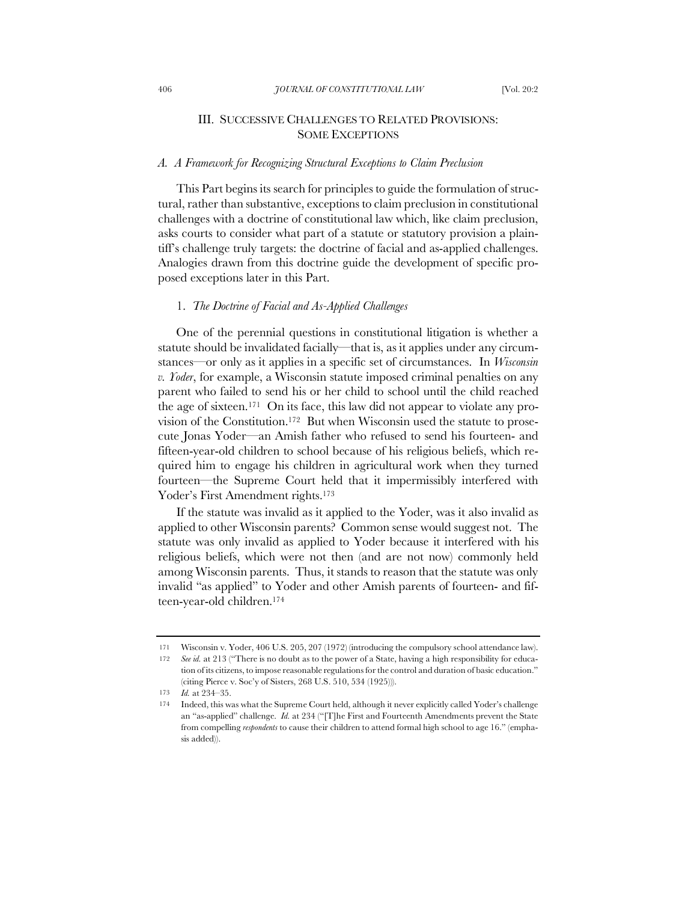# III. SUCCESSIVE CHALLENGES TO RELATED PROVISIONS: SOME EXCEPTIONS

# *A. A Framework for Recognizing Structural Exceptions to Claim Preclusion*

This Part begins its search for principles to guide the formulation of structural, rather than substantive, exceptions to claim preclusion in constitutional challenges with a doctrine of constitutional law which, like claim preclusion, asks courts to consider what part of a statute or statutory provision a plaintiff's challenge truly targets: the doctrine of facial and as-applied challenges. Analogies drawn from this doctrine guide the development of specific proposed exceptions later in this Part.

### 1. *The Doctrine of Facial and As-Applied Challenges*

One of the perennial questions in constitutional litigation is whether a statute should be invalidated facially—that is, as it applies under any circumstances—or only as it applies in a specific set of circumstances. In *Wisconsin v. Yoder*, for example, a Wisconsin statute imposed criminal penalties on any parent who failed to send his or her child to school until the child reached the age of sixteen.171 On its face, this law did not appear to violate any provision of the Constitution.172 But when Wisconsin used the statute to prosecute Jonas Yoder—an Amish father who refused to send his fourteen- and fifteen-year-old children to school because of his religious beliefs, which required him to engage his children in agricultural work when they turned fourteen—the Supreme Court held that it impermissibly interfered with Yoder's First Amendment rights.<sup>173</sup>

If the statute was invalid as it applied to the Yoder, was it also invalid as applied to other Wisconsin parents? Common sense would suggest not. The statute was only invalid as applied to Yoder because it interfered with his religious beliefs, which were not then (and are not now) commonly held among Wisconsin parents. Thus, it stands to reason that the statute was only invalid "as applied" to Yoder and other Amish parents of fourteen- and fifteen-year-old children.174

<sup>171</sup> Wisconsin v. Yoder, 406 U.S. 205, 207 (1972) (introducing the compulsory school attendance law).

<sup>172</sup> *See id.* at 213 ("There is no doubt as to the power of a State, having a high responsibility for education of its citizens, to impose reasonable regulations for the control and duration of basic education." (citing Pierce v. Soc'y of Sisters, 268 U.S. 510, 534 (1925))).

<sup>173</sup> *Id.* at 234–35.

<sup>174</sup> Indeed, this was what the Supreme Court held, although it never explicitly called Yoder's challenge an "as-applied" challenge. *Id.* at 234 ("[T]he First and Fourteenth Amendments prevent the State from compelling *respondents* to cause their children to attend formal high school to age 16." (emphasis added)).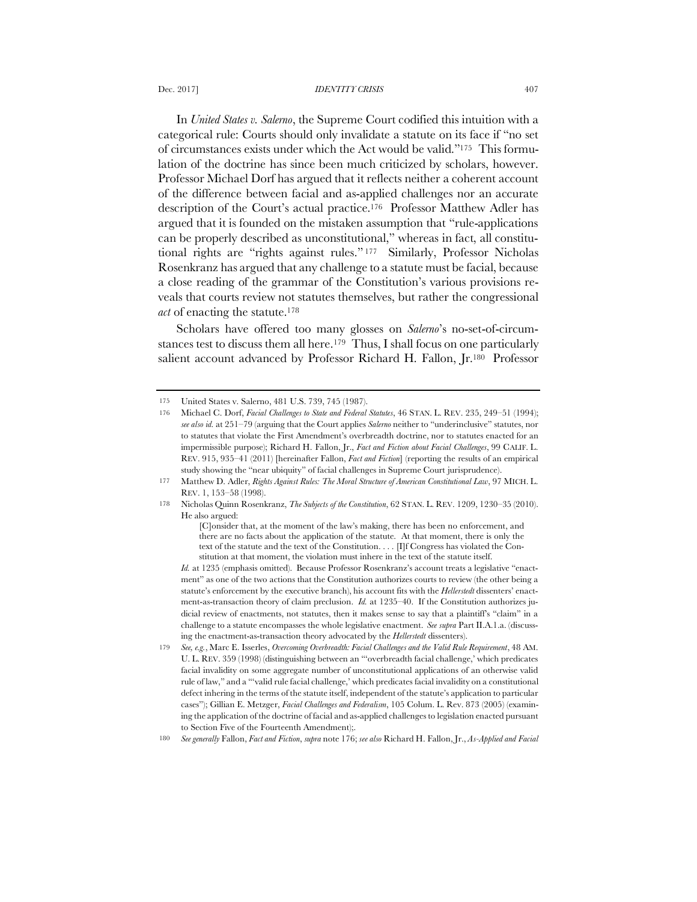#### Dec. 2017] *IDENTITY CRISIS* 407

In *United States v. Salerno*, the Supreme Court codified this intuition with a categorical rule: Courts should only invalidate a statute on its face if "no set of circumstances exists under which the Act would be valid."175 This formulation of the doctrine has since been much criticized by scholars, however. Professor Michael Dorf has argued that it reflects neither a coherent account of the difference between facial and as-applied challenges nor an accurate description of the Court's actual practice.176 Professor Matthew Adler has argued that it is founded on the mistaken assumption that "rule-applications can be properly described as unconstitutional," whereas in fact, all constitutional rights are "rights against rules." <sup>177</sup> Similarly, Professor Nicholas Rosenkranz has argued that any challenge to a statute must be facial, because a close reading of the grammar of the Constitution's various provisions reveals that courts review not statutes themselves, but rather the congressional *act* of enacting the statute.178

Scholars have offered too many glosses on *Salerno*'s no-set-of-circumstances test to discuss them all here.<sup>179</sup> Thus, I shall focus on one particularly salient account advanced by Professor Richard H. Fallon, Jr.<sup>180</sup> Professor

180 *See generally* Fallon, *Fact and Fiction*, *supra* note 176; *see also* Richard H. Fallon, Jr., *As-Applied and Facial* 

<sup>175</sup> United States v. Salerno, 481 U.S. 739, 745 (1987).

<sup>176</sup> Michael C. Dorf, *Facial Challenges to State and Federal Statutes*, 46 STAN. L. REV. 235, 249–51 (1994); *see also id.* at 251–79 (arguing that the Court applies *Salerno* neither to "underinclusive" statutes, nor to statutes that violate the First Amendment's overbreadth doctrine, nor to statutes enacted for an impermissible purpose); Richard H. Fallon, Jr., *Fact and Fiction about Facial Challenges*, 99 CALIF. L. REV. 915, 935–41 (2011) [hereinafter Fallon, *Fact and Fiction*] (reporting the results of an empirical study showing the "near ubiquity" of facial challenges in Supreme Court jurisprudence).

<sup>177</sup> Matthew D. Adler, *Rights Against Rules: The Moral Structure of American Constitutional Law*, 97 MICH. L. REV. 1, 153–58 (1998).

<sup>178</sup> Nicholas Quinn Rosenkranz, *The Subjects of the Constitution*, 62 STAN. L. REV. 1209, 1230–35 (2010). He also argued:

<sup>[</sup>C]onsider that, at the moment of the law's making, there has been no enforcement, and there are no facts about the application of the statute. At that moment, there is only the text of the statute and the text of the Constitution. . . . [I]f Congress has violated the Constitution at that moment, the violation must inhere in the text of the statute itself.

*Id.* at 1235 (emphasis omitted). Because Professor Rosenkranz's account treats a legislative "enactment" as one of the two actions that the Constitution authorizes courts to review (the other being a statute's enforcement by the executive branch), his account fits with the *Hellerstedt* dissenters' enactment-as-transaction theory of claim preclusion. *Id.* at 1235–40. If the Constitution authorizes judicial review of enactments, not statutes, then it makes sense to say that a plaintiff's "claim" in a challenge to a statute encompasses the whole legislative enactment. *See supra* Part II.A.1.a. (discussing the enactment-as-transaction theory advocated by the *Hellerstedt* dissenters).

<sup>179</sup> *See, e.g.*, Marc E. Isserles, *Overcoming Overbreadth: Facial Challenges and the Valid Rule Requirement*, 48 AM. U. L. REV. 359 (1998) (distinguishing between an "'overbreadth facial challenge,' which predicates facial invalidity on some aggregate number of unconstitutional applications of an otherwise valid rule of law," and a "'valid rule facial challenge,' which predicates facial invalidity on a constitutional defect inhering in the terms of the statute itself, independent of the statute's application to particular cases"); Gillian E. Metzger, *Facial Challenges and Federalism*, 105 Colum. L. Rev. 873 (2005) (examining the application of the doctrine of facial and as-applied challenges to legislation enacted pursuant to Section Five of the Fourteenth Amendment);.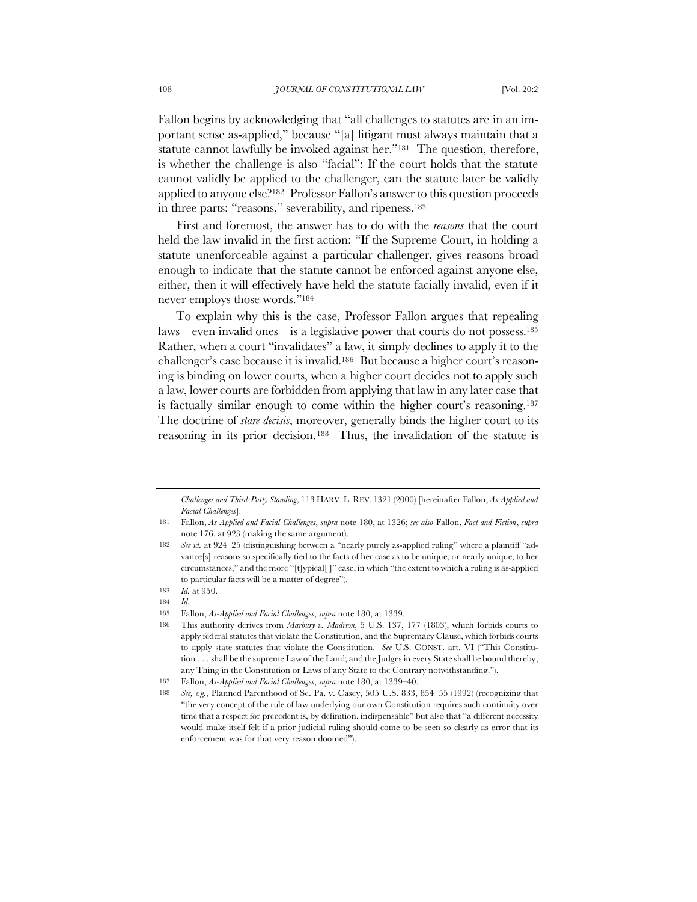Fallon begins by acknowledging that "all challenges to statutes are in an important sense as-applied," because "[a] litigant must always maintain that a statute cannot lawfully be invoked against her."181 The question, therefore, is whether the challenge is also "facial": If the court holds that the statute cannot validly be applied to the challenger, can the statute later be validly applied to anyone else?182 Professor Fallon's answer to this question proceeds in three parts: "reasons," severability, and ripeness.<sup>183</sup>

First and foremost, the answer has to do with the *reasons* that the court held the law invalid in the first action: "If the Supreme Court, in holding a statute unenforceable against a particular challenger, gives reasons broad enough to indicate that the statute cannot be enforced against anyone else, either, then it will effectively have held the statute facially invalid, even if it never employs those words."184

To explain why this is the case, Professor Fallon argues that repealing laws—even invalid ones—is a legislative power that courts do not possess.185 Rather, when a court "invalidates" a law, it simply declines to apply it to the challenger's case because it is invalid.186 But because a higher court's reasoning is binding on lower courts, when a higher court decides not to apply such a law, lower courts are forbidden from applying that law in any later case that is factually similar enough to come within the higher court's reasoning.187 The doctrine of *stare decisis*, moreover, generally binds the higher court to its reasoning in its prior decision.188 Thus, the invalidation of the statute is

*Challenges and Third-Party Standing*, 113 HARV. L. REV. 1321 (2000) [hereinafter Fallon, *As-Applied and Facial Challenges*].

<sup>181</sup> Fallon, *As-Applied and Facial Challenges*, *supra* note 180, at 1326; *see also* Fallon, *Fact and Fiction*, *supra*  note 176, at 923 (making the same argument).

<sup>182</sup> *See id.* at 924–25 (distinguishing between a "nearly purely as-applied ruling" where a plaintiff "advance[s] reasons so specifically tied to the facts of her case as to be unique, or nearly unique, to her circumstances," and the more "[t]ypical[ ]" case, in which "the extent to which a ruling is as-applied to particular facts will be a matter of degree").

<sup>183</sup> *Id.* at 950.

<sup>184</sup> *Id.*

<sup>185</sup> Fallon, *As-Applied and Facial Challenges*, *supra* note 180, at 1339.

<sup>186</sup> This authority derives from *Marbury v. Madison*, 5 U.S. 137, 177 (1803), which forbids courts to apply federal statutes that violate the Constitution, and the Supremacy Clause, which forbids courts to apply state statutes that violate the Constitution. *See* U.S. CONST. art. VI ("This Constitution . . . shall be the supreme Law of the Land; and the Judges in every State shall be bound thereby, any Thing in the Constitution or Laws of any State to the Contrary notwithstanding.").

<sup>187</sup> Fallon, *As-Applied and Facial Challenges*, *supra* note 180, at 1339–40.

<sup>188</sup> *See, e.g.*, Planned Parenthood of Se. Pa. v. Casey, 505 U.S. 833, 854–55 (1992) (recognizing that "the very concept of the rule of law underlying our own Constitution requires such continuity over time that a respect for precedent is, by definition, indispensable" but also that "a different necessity would make itself felt if a prior judicial ruling should come to be seen so clearly as error that its enforcement was for that very reason doomed").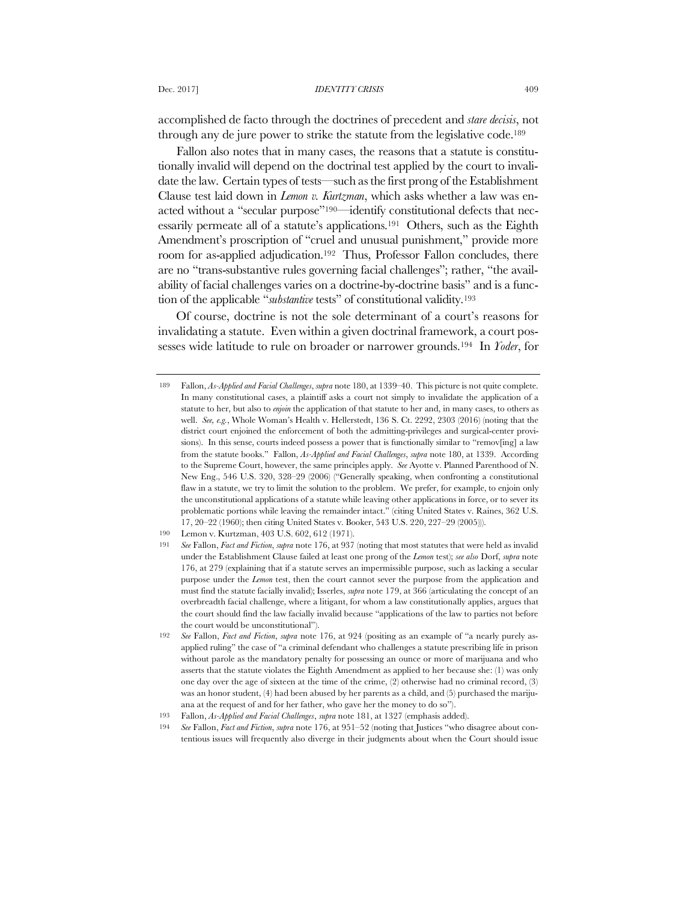accomplished de facto through the doctrines of precedent and *stare decisis*, not through any de jure power to strike the statute from the legislative code.189

Fallon also notes that in many cases, the reasons that a statute is constitutionally invalid will depend on the doctrinal test applied by the court to invalidate the law. Certain types of tests—such as the first prong of the Establishment Clause test laid down in *Lemon v. Kurtzman*, which asks whether a law was enacted without a "secular purpose"190—identify constitutional defects that necessarily permeate all of a statute's applications.191 Others, such as the Eighth Amendment's proscription of "cruel and unusual punishment," provide more room for as-applied adjudication.192 Thus, Professor Fallon concludes, there are no "trans-substantive rules governing facial challenges"; rather, "the availability of facial challenges varies on a doctrine-by-doctrine basis" and is a function of the applicable "*substantive* tests" of constitutional validity.193

Of course, doctrine is not the sole determinant of a court's reasons for invalidating a statute. Even within a given doctrinal framework, a court possesses wide latitude to rule on broader or narrower grounds.194 In *Yoder*, for

<sup>189</sup> Fallon, *As-Applied and Facial Challenges*, *supra* note 180, at 1339–40. This picture is not quite complete. In many constitutional cases, a plaintiff asks a court not simply to invalidate the application of a statute to her, but also to *enjoin* the application of that statute to her and, in many cases, to others as well. *See, e.g.*, Whole Woman's Health v. Hellerstedt, 136 S. Ct. 2292, 2303 (2016) (noting that the district court enjoined the enforcement of both the admitting-privileges and surgical-center provisions). In this sense, courts indeed possess a power that is functionally similar to "remov[ing] a law from the statute books." Fallon, *As-Applied and Facial Challenges*, *supra* note 180, at 1339. According to the Supreme Court, however, the same principles apply. *See* Ayotte v. Planned Parenthood of N. New Eng., 546 U.S. 320, 328–29 (2006) ("Generally speaking, when confronting a constitutional flaw in a statute, we try to limit the solution to the problem. We prefer, for example, to enjoin only the unconstitutional applications of a statute while leaving other applications in force, or to sever its problematic portions while leaving the remainder intact." (citing United States v. Raines, 362 U.S. 17, 20–22 (1960); then citing United States v. Booker, 543 U.S. 220, 227–29 (2005))).

<sup>190</sup> Lemon v. Kurtzman, 403 U.S. 602, 612 (1971).

<sup>191</sup> *See* Fallon, *Fact and Fiction*, *supra* note 176, at 937 (noting that most statutes that were held as invalid under the Establishment Clause failed at least one prong of the *Lemon* test); *see also* Dorf, *supra* note 176, at 279 (explaining that if a statute serves an impermissible purpose, such as lacking a secular purpose under the *Lemon* test, then the court cannot sever the purpose from the application and must find the statute facially invalid); Isserles, *supra* note 179, at 366 (articulating the concept of an overbreadth facial challenge, where a litigant, for whom a law constitutionally applies, argues that the court should find the law facially invalid because "applications of the law to parties not before the court would be unconstitutional").

<sup>192</sup> *See* Fallon, *Fact and Fiction*, *supra* note 176, at 924 (positing as an example of "a nearly purely asapplied ruling" the case of "a criminal defendant who challenges a statute prescribing life in prison without parole as the mandatory penalty for possessing an ounce or more of marijuana and who asserts that the statute violates the Eighth Amendment as applied to her because she: (1) was only one day over the age of sixteen at the time of the crime, (2) otherwise had no criminal record, (3) was an honor student, (4) had been abused by her parents as a child, and (5) purchased the marijuana at the request of and for her father, who gave her the money to do so").

<sup>193</sup> Fallon, *As-Applied and Facial Challenges*, *supra* note 181, at 1327 (emphasis added).

<sup>194</sup> *See* Fallon, *Fact and Fiction*, *supra* note 176, at 951–52 (noting that Justices "who disagree about contentious issues will frequently also diverge in their judgments about when the Court should issue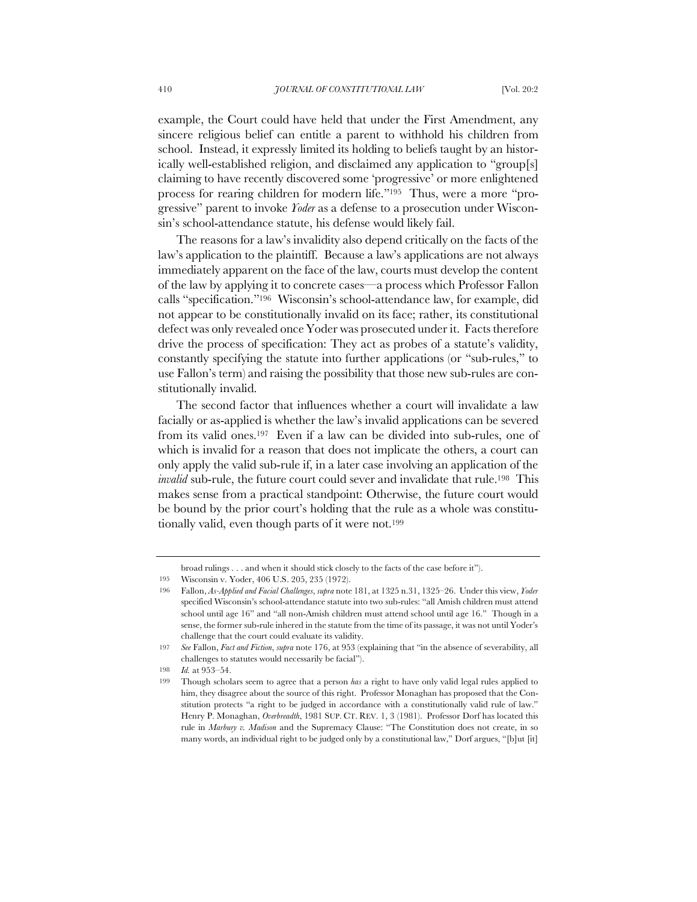example, the Court could have held that under the First Amendment, any sincere religious belief can entitle a parent to withhold his children from school. Instead, it expressly limited its holding to beliefs taught by an historically well-established religion, and disclaimed any application to "group[s] claiming to have recently discovered some 'progressive' or more enlightened process for rearing children for modern life."195 Thus, were a more "progressive" parent to invoke *Yoder* as a defense to a prosecution under Wisconsin's school-attendance statute, his defense would likely fail.

The reasons for a law's invalidity also depend critically on the facts of the law's application to the plaintiff. Because a law's applications are not always immediately apparent on the face of the law, courts must develop the content of the law by applying it to concrete cases—a process which Professor Fallon calls "specification."196 Wisconsin's school-attendance law, for example, did not appear to be constitutionally invalid on its face; rather, its constitutional defect was only revealed once Yoder was prosecuted under it. Facts therefore drive the process of specification: They act as probes of a statute's validity, constantly specifying the statute into further applications (or "sub-rules," to use Fallon's term) and raising the possibility that those new sub-rules are constitutionally invalid.

The second factor that influences whether a court will invalidate a law facially or as-applied is whether the law's invalid applications can be severed from its valid ones.197 Even if a law can be divided into sub-rules, one of which is invalid for a reason that does not implicate the others, a court can only apply the valid sub-rule if, in a later case involving an application of the *invalid* sub-rule, the future court could sever and invalidate that rule.<sup>198</sup> This makes sense from a practical standpoint: Otherwise, the future court would be bound by the prior court's holding that the rule as a whole was constitutionally valid, even though parts of it were not.<sup>199</sup>

broad rulings . . . and when it should stick closely to the facts of the case before it").

<sup>195</sup> Wisconsin v. Yoder, 406 U.S. 205, 235 (1972).

<sup>196</sup> Fallon, *As-Applied and Facial Challenges*, *supra* note 181, at 1325 n.31, 1325–26. Under this view, *Yoder*  specified Wisconsin's school-attendance statute into two sub-rules: "all Amish children must attend school until age 16" and "all non-Amish children must attend school until age 16." Though in a sense, the former sub-rule inhered in the statute from the time of its passage, it was not until Yoder's challenge that the court could evaluate its validity.

<sup>197</sup> *See* Fallon, *Fact and Fiction*, *supra* note 176, at 953 (explaining that "in the absence of severability, all challenges to statutes would necessarily be facial").

<sup>198</sup> *Id.* at 953–54.

<sup>199</sup> Though scholars seem to agree that a person *has* a right to have only valid legal rules applied to him, they disagree about the source of this right. Professor Monaghan has proposed that the Constitution protects "a right to be judged in accordance with a constitutionally valid rule of law." Henry P. Monaghan, *Overbreadth*, 1981 SUP. CT. REV. 1, 3 (1981). Professor Dorf has located this rule in *Marbury v. Madison* and the Supremacy Clause: "The Constitution does not create, in so many words, an individual right to be judged only by a constitutional law," Dorf argues, "[b]ut [it]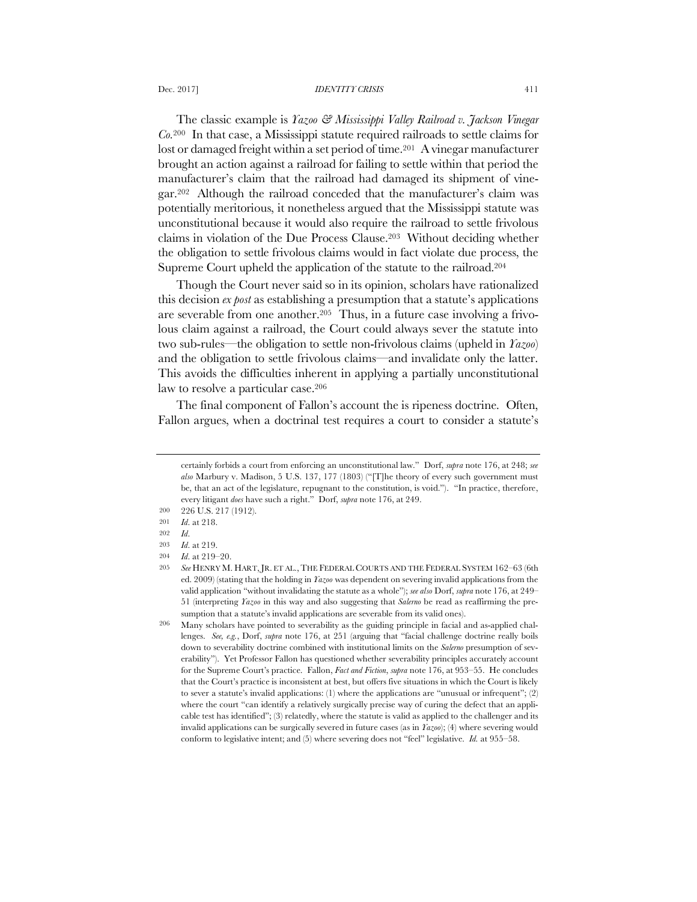### Dec. 2017] *IDENTITY CRISIS* 411

The classic example is *Yazoo & Mississippi Valley Railroad v. Jackson Vinegar Co.*<sup>200</sup> In that case, a Mississippi statute required railroads to settle claims for lost or damaged freight within a set period of time.<sup>201</sup> A vinegar manufacturer brought an action against a railroad for failing to settle within that period the manufacturer's claim that the railroad had damaged its shipment of vinegar.202 Although the railroad conceded that the manufacturer's claim was potentially meritorious, it nonetheless argued that the Mississippi statute was unconstitutional because it would also require the railroad to settle frivolous claims in violation of the Due Process Clause.203 Without deciding whether the obligation to settle frivolous claims would in fact violate due process, the Supreme Court upheld the application of the statute to the railroad.204

Though the Court never said so in its opinion, scholars have rationalized this decision *ex post* as establishing a presumption that a statute's applications are severable from one another.205 Thus, in a future case involving a frivolous claim against a railroad, the Court could always sever the statute into two sub-rules—the obligation to settle non-frivolous claims (upheld in *Yazoo*) and the obligation to settle frivolous claims—and invalidate only the latter. This avoids the difficulties inherent in applying a partially unconstitutional law to resolve a particular case.206

The final component of Fallon's account the is ripeness doctrine. Often, Fallon argues, when a doctrinal test requires a court to consider a statute's

certainly forbids a court from enforcing an unconstitutional law." Dorf, *supra* note 176, at 248; *see also* Marbury v. Madison, 5 U.S. 137, 177 (1803) ("[T]he theory of every such government must be, that an act of the legislature, repugnant to the constitution, is void."). "In practice, therefore, every litigant *does* have such a right." Dorf, *supra* note 176, at 249.

<sup>200</sup> 226 U.S. 217 (1912).

<sup>201</sup> *Id*. at 218.

<sup>202</sup> *Id*.

<sup>203</sup> *Id*. at 219. 204 *Id*. at 219–20.

<sup>205</sup> *See* HENRY M. HART,JR. ET AL.,THE FEDERAL COURTS AND THE FEDERAL SYSTEM 162–63 (6th ed. 2009) (stating that the holding in *Yazoo* was dependent on severing invalid applications from the valid application "without invalidating the statute as a whole"); *see also* Dorf, *supra* note 176, at 249– 51 (interpreting *Yazoo* in this way and also suggesting that *Salerno* be read as reaffirming the presumption that a statute's invalid applications are severable from its valid ones).

<sup>206</sup> Many scholars have pointed to severability as the guiding principle in facial and as-applied challenges. *See, e.g.*, Dorf, *supra* note 176, at 251 (arguing that "facial challenge doctrine really boils down to severability doctrine combined with institutional limits on the *Salerno* presumption of severability"). Yet Professor Fallon has questioned whether severability principles accurately account for the Supreme Court's practice. Fallon, *Fact and Fiction*, *supra* note 176, at 953–55. He concludes that the Court's practice is inconsistent at best, but offers five situations in which the Court is likely to sever a statute's invalid applications: (1) where the applications are "unusual or infrequent"; (2) where the court "can identify a relatively surgically precise way of curing the defect that an applicable test has identified"; (3) relatedly, where the statute is valid as applied to the challenger and its invalid applications can be surgically severed in future cases (as in *Yazoo*); (4) where severing would conform to legislative intent; and (5) where severing does not "feel" legislative. *Id.* at 955–58.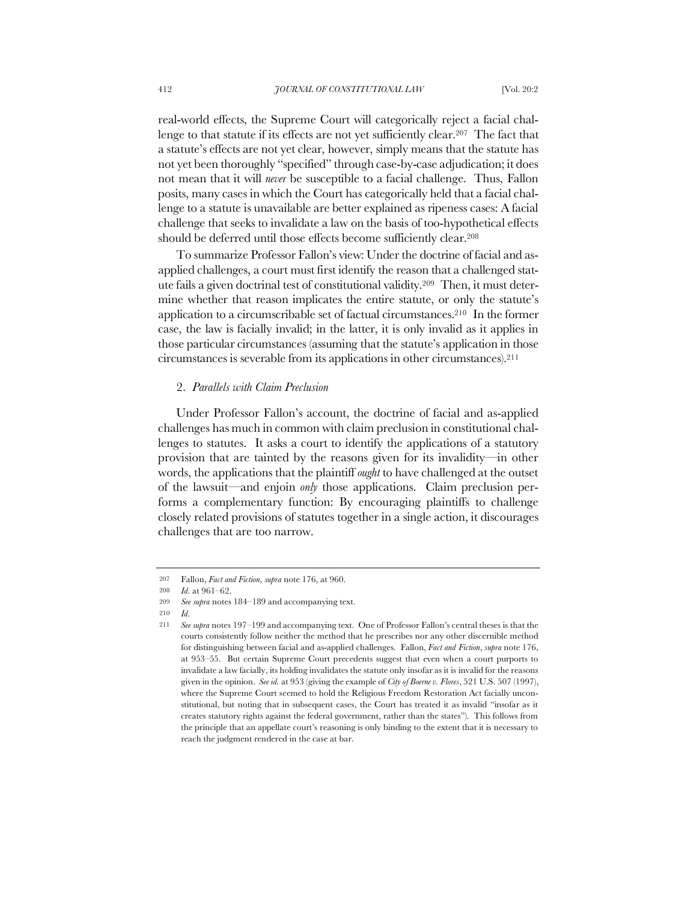real-world effects, the Supreme Court will categorically reject a facial challenge to that statute if its effects are not yet sufficiently clear.<sup>207</sup> The fact that a statute's effects are not yet clear, however, simply means that the statute has not yet been thoroughly "specified" through case-by-case adjudication; it does not mean that it will *never* be susceptible to a facial challenge. Thus, Fallon posits, many cases in which the Court has categorically held that a facial challenge to a statute is unavailable are better explained as ripeness cases: A facial challenge that seeks to invalidate a law on the basis of too-hypothetical effects should be deferred until those effects become sufficiently clear.208

To summarize Professor Fallon's view: Under the doctrine of facial and asapplied challenges, a court must first identify the reason that a challenged statute fails a given doctrinal test of constitutional validity.209 Then, it must determine whether that reason implicates the entire statute, or only the statute's application to a circumscribable set of factual circumstances.210 In the former case, the law is facially invalid; in the latter, it is only invalid as it applies in those particular circumstances (assuming that the statute's application in those circumstances is severable from its applications in other circumstances).211

### 2. *Parallels with Claim Preclusion*

Under Professor Fallon's account, the doctrine of facial and as-applied challenges has much in common with claim preclusion in constitutional challenges to statutes. It asks a court to identify the applications of a statutory provision that are tainted by the reasons given for its invalidity—in other words, the applications that the plaintiff *ought* to have challenged at the outset of the lawsuit—and enjoin *only* those applications. Claim preclusion performs a complementary function: By encouraging plaintiffs to challenge closely related provisions of statutes together in a single action, it discourages challenges that are too narrow.

<sup>207</sup> Fallon, *Fact and Fiction*, *supra* note 176, at 960.

<sup>208</sup> *Id*. at 961–62.

<sup>209</sup> *See supra* notes 184–189 and accompanying text.

<sup>210</sup> *Id*.

<sup>211</sup> *See supra* notes 197–199 and accompanying text. One of Professor Fallon's central theses is that the courts consistently follow neither the method that he prescribes nor any other discernible method for distinguishing between facial and as-applied challenges. Fallon, *Fact and Fiction*, *supra* note 176, at 953–55. But certain Supreme Court precedents suggest that even when a court purports to invalidate a law facially, its holding invalidates the statute only insofar as it is invalid for the reasons given in the opinion. *See id.* at 953 (giving the example of *City of Boerne v. Flores*, 521 U.S. 507 (1997), where the Supreme Court seemed to hold the Religious Freedom Restoration Act facially unconstitutional, but noting that in subsequent cases, the Court has treated it as invalid "insofar as it creates statutory rights against the federal government, rather than the states"). This follows from the principle that an appellate court's reasoning is only binding to the extent that it is necessary to reach the judgment rendered in the case at bar.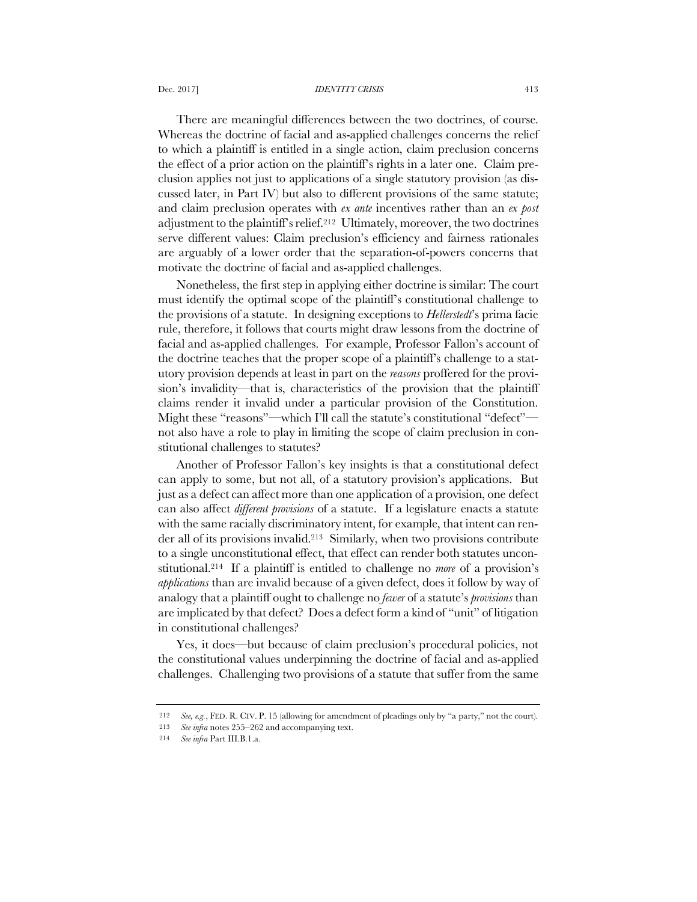#### Dec. 2017] *IDENTITY CRISIS* 413

There are meaningful differences between the two doctrines, of course. Whereas the doctrine of facial and as-applied challenges concerns the relief to which a plaintiff is entitled in a single action, claim preclusion concerns the effect of a prior action on the plaintiff's rights in a later one. Claim preclusion applies not just to applications of a single statutory provision (as discussed later, in Part IV) but also to different provisions of the same statute; and claim preclusion operates with *ex ante* incentives rather than an *ex post* adjustment to the plaintiff's relief.212 Ultimately, moreover, the two doctrines serve different values: Claim preclusion's efficiency and fairness rationales are arguably of a lower order that the separation-of-powers concerns that motivate the doctrine of facial and as-applied challenges.

Nonetheless, the first step in applying either doctrine is similar: The court must identify the optimal scope of the plaintiff's constitutional challenge to the provisions of a statute. In designing exceptions to *Hellerstedt*'s prima facie rule, therefore, it follows that courts might draw lessons from the doctrine of facial and as-applied challenges. For example, Professor Fallon's account of the doctrine teaches that the proper scope of a plaintiff's challenge to a statutory provision depends at least in part on the *reasons* proffered for the provision's invalidity—that is, characteristics of the provision that the plaintiff claims render it invalid under a particular provision of the Constitution. Might these "reasons"—which I'll call the statute's constitutional "defect" not also have a role to play in limiting the scope of claim preclusion in constitutional challenges to statutes?

Another of Professor Fallon's key insights is that a constitutional defect can apply to some, but not all, of a statutory provision's applications. But just as a defect can affect more than one application of a provision, one defect can also affect *different provisions* of a statute. If a legislature enacts a statute with the same racially discriminatory intent, for example, that intent can render all of its provisions invalid.213 Similarly, when two provisions contribute to a single unconstitutional effect, that effect can render both statutes unconstitutional.214 If a plaintiff is entitled to challenge no *more* of a provision's *applications* than are invalid because of a given defect, does it follow by way of analogy that a plaintiff ought to challenge no *fewer* of a statute's *provisions* than are implicated by that defect? Does a defect form a kind of "unit" of litigation in constitutional challenges?

Yes, it does—but because of claim preclusion's procedural policies, not the constitutional values underpinning the doctrine of facial and as-applied challenges. Challenging two provisions of a statute that suffer from the same

<sup>212</sup> *See, e.g.*, FED. R. CIV. P. 15 (allowing for amendment of pleadings only by "a party," not the court).

<sup>213</sup> *See infra* notes 255–262 and accompanying text.

<sup>214</sup> *See infra* Part III.B.1.a.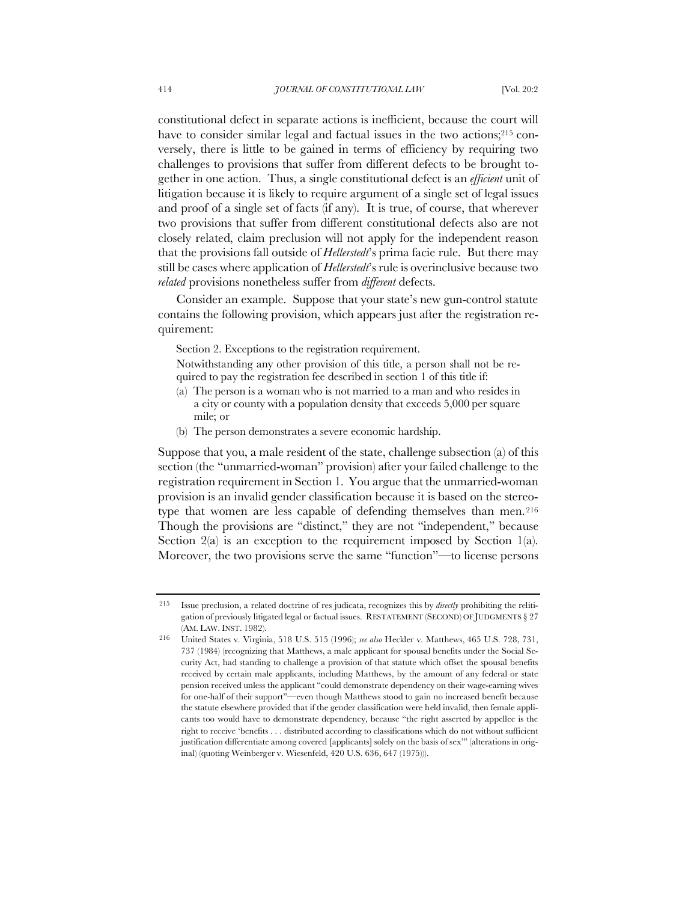constitutional defect in separate actions is inefficient, because the court will have to consider similar legal and factual issues in the two actions;<sup>215</sup> conversely, there is little to be gained in terms of efficiency by requiring two challenges to provisions that suffer from different defects to be brought together in one action. Thus, a single constitutional defect is an *efficient* unit of litigation because it is likely to require argument of a single set of legal issues and proof of a single set of facts (if any). It is true, of course, that wherever two provisions that suffer from different constitutional defects also are not closely related, claim preclusion will not apply for the independent reason that the provisions fall outside of *Hellerstedt*'s prima facie rule. But there may still be cases where application of *Hellerstedt*'s rule is overinclusive because two *related* provisions nonetheless suffer from *different* defects.

Consider an example. Suppose that your state's new gun-control statute contains the following provision, which appears just after the registration requirement:

Section 2. Exceptions to the registration requirement.

Notwithstanding any other provision of this title, a person shall not be required to pay the registration fee described in section 1 of this title if:

- (a) The person is a woman who is not married to a man and who resides in a city or county with a population density that exceeds 5,000 per square mile; or
- (b) The person demonstrates a severe economic hardship.

Suppose that you, a male resident of the state, challenge subsection (a) of this section (the "unmarried-woman" provision) after your failed challenge to the registration requirement in Section 1. You argue that the unmarried-woman provision is an invalid gender classification because it is based on the stereotype that women are less capable of defending themselves than men.216 Though the provisions are "distinct," they are not "independent," because Section  $2(a)$  is an exception to the requirement imposed by Section 1(a). Moreover, the two provisions serve the same "function"—to license persons

<sup>215</sup> Issue preclusion, a related doctrine of res judicata, recognizes this by *directly* prohibiting the relitigation of previously litigated legal or factual issues. RESTATEMENT (SECOND) OF JUDGMENTS § 27 (AM. LAW. INST. 1982). 216 United States v. Virginia, 518 U.S. 515 (1996); *see also* Heckler v. Matthews, 465 U.S. 728, 731,

<sup>737 (1984) (</sup>recognizing that Matthews, a male applicant for spousal benefits under the Social Security Act, had standing to challenge a provision of that statute which offset the spousal benefits received by certain male applicants, including Matthews, by the amount of any federal or state pension received unless the applicant "could demonstrate dependency on their wage-earning wives for one-half of their support"—even though Matthews stood to gain no increased benefit because the statute elsewhere provided that if the gender classification were held invalid, then female applicants too would have to demonstrate dependency, because "the right asserted by appellee is the right to receive 'benefits . . . distributed according to classifications which do not without sufficient justification differentiate among covered [applicants] solely on the basis of sex'" (alterations in original) (quoting Weinberger v. Wiesenfeld, 420 U.S. 636, 647 (1975))).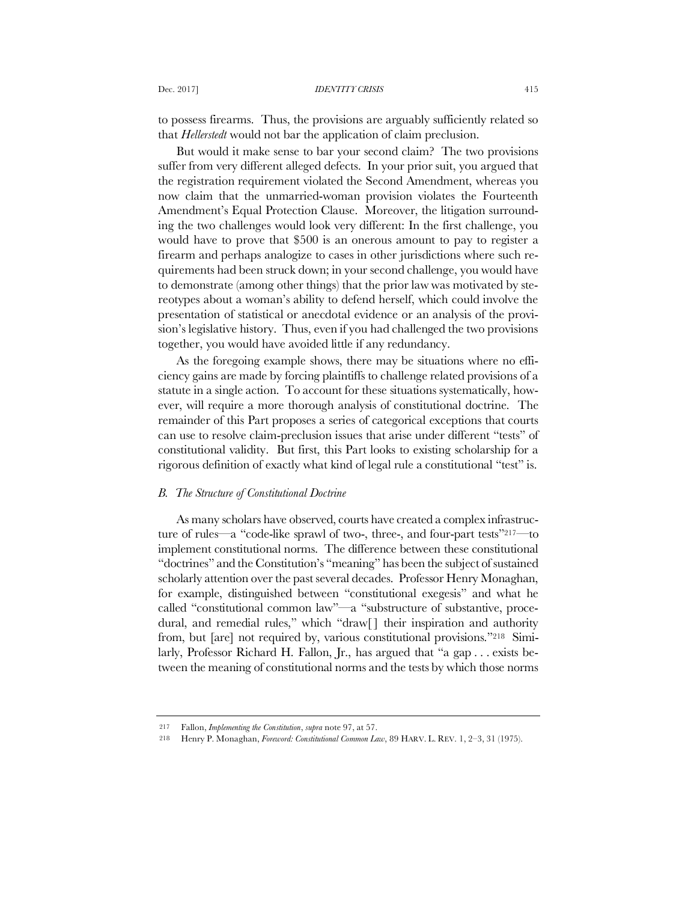to possess firearms. Thus, the provisions are arguably sufficiently related so that *Hellerstedt* would not bar the application of claim preclusion.

But would it make sense to bar your second claim? The two provisions suffer from very different alleged defects. In your prior suit, you argued that the registration requirement violated the Second Amendment, whereas you now claim that the unmarried-woman provision violates the Fourteenth Amendment's Equal Protection Clause. Moreover, the litigation surrounding the two challenges would look very different: In the first challenge, you would have to prove that \$500 is an onerous amount to pay to register a firearm and perhaps analogize to cases in other jurisdictions where such requirements had been struck down; in your second challenge, you would have to demonstrate (among other things) that the prior law was motivated by stereotypes about a woman's ability to defend herself, which could involve the presentation of statistical or anecdotal evidence or an analysis of the provision's legislative history. Thus, even if you had challenged the two provisions together, you would have avoided little if any redundancy.

As the foregoing example shows, there may be situations where no efficiency gains are made by forcing plaintiffs to challenge related provisions of a statute in a single action. To account for these situations systematically, however, will require a more thorough analysis of constitutional doctrine. The remainder of this Part proposes a series of categorical exceptions that courts can use to resolve claim-preclusion issues that arise under different "tests" of constitutional validity. But first, this Part looks to existing scholarship for a rigorous definition of exactly what kind of legal rule a constitutional "test" is.

## *B. The Structure of Constitutional Doctrine*

As many scholars have observed, courts have created a complex infrastructure of rules—a "code-like sprawl of two-, three-, and four-part tests"217—to implement constitutional norms. The difference between these constitutional "doctrines" and the Constitution's "meaning" has been the subject of sustained scholarly attention over the past several decades. Professor Henry Monaghan, for example, distinguished between "constitutional exegesis" and what he called "constitutional common law"—a "substructure of substantive, procedural, and remedial rules," which "draw<sup>[]</sup> their inspiration and authority from, but [are] not required by, various constitutional provisions."218 Similarly, Professor Richard H. Fallon, Jr., has argued that "a gap . . . exists between the meaning of constitutional norms and the tests by which those norms

<sup>217</sup> Fallon, *Implementing the Constitution*, *supra* note 97, at 57.

<sup>218</sup> Henry P. Monaghan, *Foreword: Constitutional Common Law*, 89 HARV. L. REV. 1, 2–3, 31 (1975).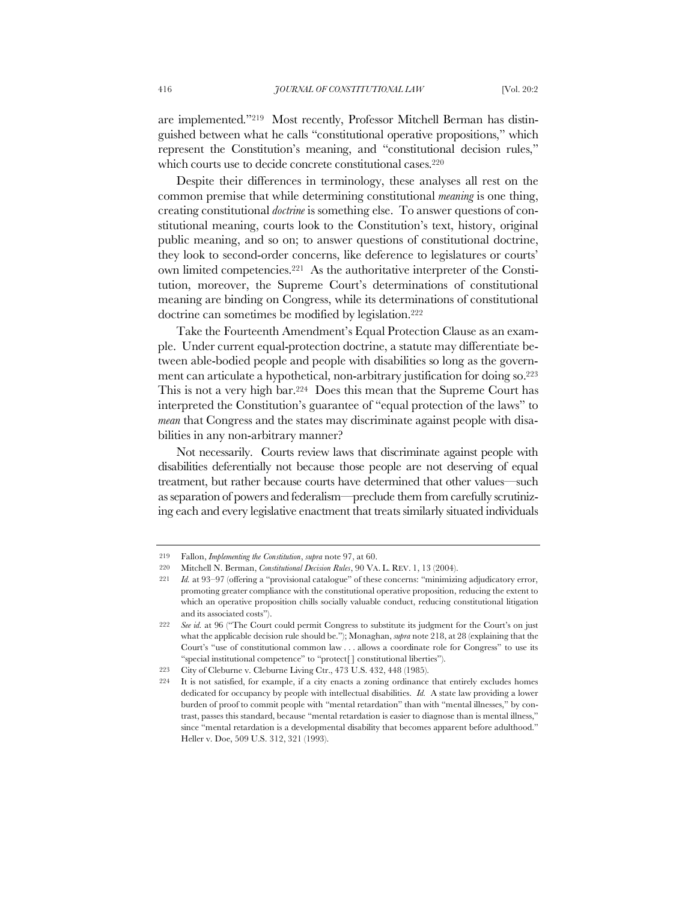are implemented."219 Most recently, Professor Mitchell Berman has distinguished between what he calls "constitutional operative propositions," which represent the Constitution's meaning, and "constitutional decision rules," which courts use to decide concrete constitutional cases.<sup>220</sup>

Despite their differences in terminology, these analyses all rest on the common premise that while determining constitutional *meaning* is one thing, creating constitutional *doctrine* is something else. To answer questions of constitutional meaning, courts look to the Constitution's text, history, original public meaning, and so on; to answer questions of constitutional doctrine, they look to second-order concerns, like deference to legislatures or courts' own limited competencies.221 As the authoritative interpreter of the Constitution, moreover, the Supreme Court's determinations of constitutional meaning are binding on Congress, while its determinations of constitutional doctrine can sometimes be modified by legislation.<sup>222</sup>

Take the Fourteenth Amendment's Equal Protection Clause as an example. Under current equal-protection doctrine, a statute may differentiate between able-bodied people and people with disabilities so long as the government can articulate a hypothetical, non-arbitrary justification for doing so.223 This is not a very high bar.224 Does this mean that the Supreme Court has interpreted the Constitution's guarantee of "equal protection of the laws" to *mean* that Congress and the states may discriminate against people with disabilities in any non-arbitrary manner?

Not necessarily. Courts review laws that discriminate against people with disabilities deferentially not because those people are not deserving of equal treatment, but rather because courts have determined that other values—such as separation of powers and federalism—preclude them from carefully scrutinizing each and every legislative enactment that treats similarly situated individuals

<sup>219</sup> Fallon, *Implementing the Constitution*, *supra* note 97, at 60.

<sup>220</sup> Mitchell N. Berman, *Constitutional Decision Rules*, 90 VA. L. REV. 1, 13 (2004).

<sup>221</sup> *Id.* at 93–97 (offering a "provisional catalogue" of these concerns: "minimizing adjudicatory error, promoting greater compliance with the constitutional operative proposition, reducing the extent to which an operative proposition chills socially valuable conduct, reducing constitutional litigation and its associated costs").

<sup>222</sup> *See id.* at 96 ("The Court could permit Congress to substitute its judgment for the Court's on just what the applicable decision rule should be."); Monaghan, *supra* note 218, at 28 (explaining that the Court's "use of constitutional common law . . . allows a coordinate role for Congress" to use its "special institutional competence" to "protect[ ] constitutional liberties").

<sup>223</sup> City of Cleburne v. Cleburne Living Ctr., 473 U.S. 432, 448 (1985).

<sup>224</sup> It is not satisfied, for example, if a city enacts a zoning ordinance that entirely excludes homes dedicated for occupancy by people with intellectual disabilities. *Id.* A state law providing a lower burden of proof to commit people with "mental retardation" than with "mental illnesses," by contrast, passes this standard, because "mental retardation is easier to diagnose than is mental illness," since "mental retardation is a developmental disability that becomes apparent before adulthood." Heller v. Doe, 509 U.S. 312, 321 (1993).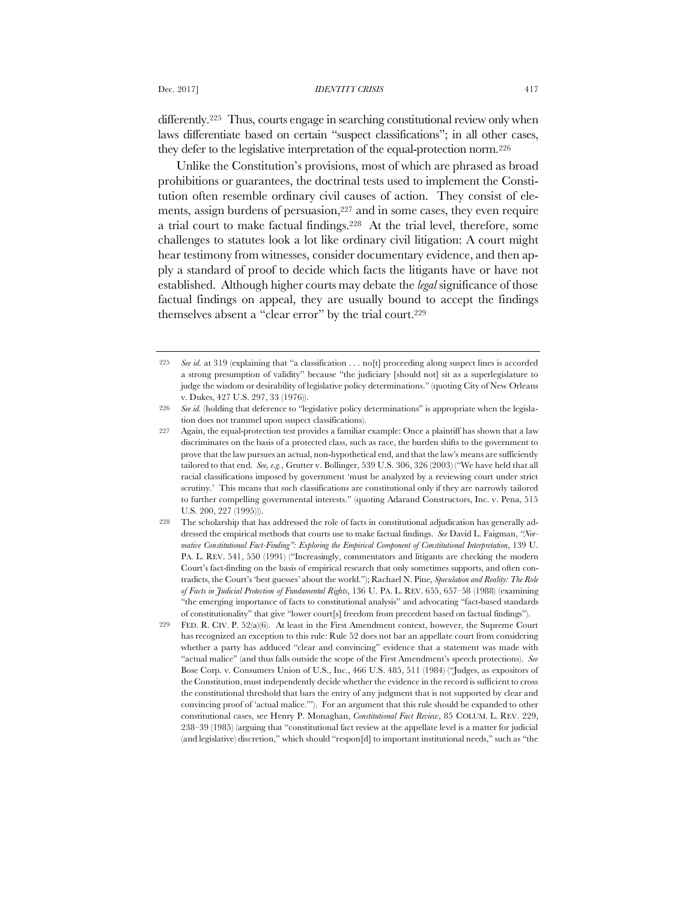differently.<sup>225</sup> Thus, courts engage in searching constitutional review only when laws differentiate based on certain "suspect classifications"; in all other cases, they defer to the legislative interpretation of the equal-protection norm.226

Unlike the Constitution's provisions, most of which are phrased as broad prohibitions or guarantees, the doctrinal tests used to implement the Constitution often resemble ordinary civil causes of action. They consist of elements, assign burdens of persuasion,<sup>227</sup> and in some cases, they even require a trial court to make factual findings.228 At the trial level, therefore, some challenges to statutes look a lot like ordinary civil litigation: A court might hear testimony from witnesses, consider documentary evidence, and then apply a standard of proof to decide which facts the litigants have or have not established. Although higher courts may debate the *legal* significance of those factual findings on appeal, they are usually bound to accept the findings themselves absent a "clear error" by the trial court.229

<sup>225</sup> *See id.* at 319 (explaining that "a classification . . . no[t] proceeding along suspect lines is accorded a strong presumption of validity" because "the judiciary [should not] sit as a superlegislature to judge the wisdom or desirability of legislative policy determinations." (quoting City of New Orleans v. Dukes, 427 U.S. 297, 33 (1976)).

<sup>226</sup> *See id.* (holding that deference to "legislative policy determinations" is appropriate when the legislation does not trammel upon suspect classifications).

<sup>227</sup> Again, the equal-protection test provides a familiar example: Once a plaintiff has shown that a law discriminates on the basis of a protected class, such as race, the burden shifts to the government to prove that the law pursues an actual, non-hypothetical end, and that the law's means are sufficiently tailored to that end. *See, e.g.*, Grutter v. Bollinger, 539 U.S. 306, 326 (2003) ("We have held that all racial classifications imposed by government 'must be analyzed by a reviewing court under strict scrutiny.' This means that such classifications are constitutional only if they are narrowly tailored to further compelling governmental interests." (quoting Adarand Constructors, Inc. v. Pena, 515 U.S. 200, 227 (1995))).

<sup>228</sup> The scholarship that has addressed the role of facts in constitutional adjudication has generally addressed the empirical methods that courts use to make factual findings. *See* David L. Faigman, *"Normative Constitutional Fact-Finding": Exploring the Empirical Component of Constitutional Interpretation*, 139 U. PA. L. REV. 541, 550 (1991) ("Increasingly, commentators and litigants are checking the modern Court's fact-finding on the basis of empirical research that only sometimes supports, and often contradicts, the Court's 'best guesses' about the world."); Rachael N. Pine, *Speculation and Reality: The Role of Facts in Judicial Protection of Fundamental Rights*, 136 U. PA. L. REV. 655, 657–58 (1988) (examining "the emerging importance of facts to constitutional analysis" and advocating "fact-based standards of constitutionality" that give "lower court[s] freedom from precedent based on factual findings").

<sup>229</sup> FED. R. CIV. P. 52(a)(6). At least in the First Amendment context, however, the Supreme Court has recognized an exception to this rule: Rule 52 does not bar an appellate court from considering whether a party has adduced "clear and convincing" evidence that a statement was made with "actual malice" (and thus falls outside the scope of the First Amendment's speech protections). *See* Bose Corp. v. Consumers Union of U.S., Inc., 466 U.S. 485, 511 (1984) ("Judges, as expositors of the Constitution, must independently decide whether the evidence in the record is sufficient to cross the constitutional threshold that bars the entry of any judgment that is not supported by clear and convincing proof of 'actual malice.'"). For an argument that this rule should be expanded to other constitutional cases, see Henry P. Monaghan, *Constitutional Fact Review*, 85 COLUM. L. REV. 229, 238–39 (1985) (arguing that "constitutional fact review at the appellate level is a matter for judicial (and legislative) discretion," which should "respon[d] to important institutional needs," such as "the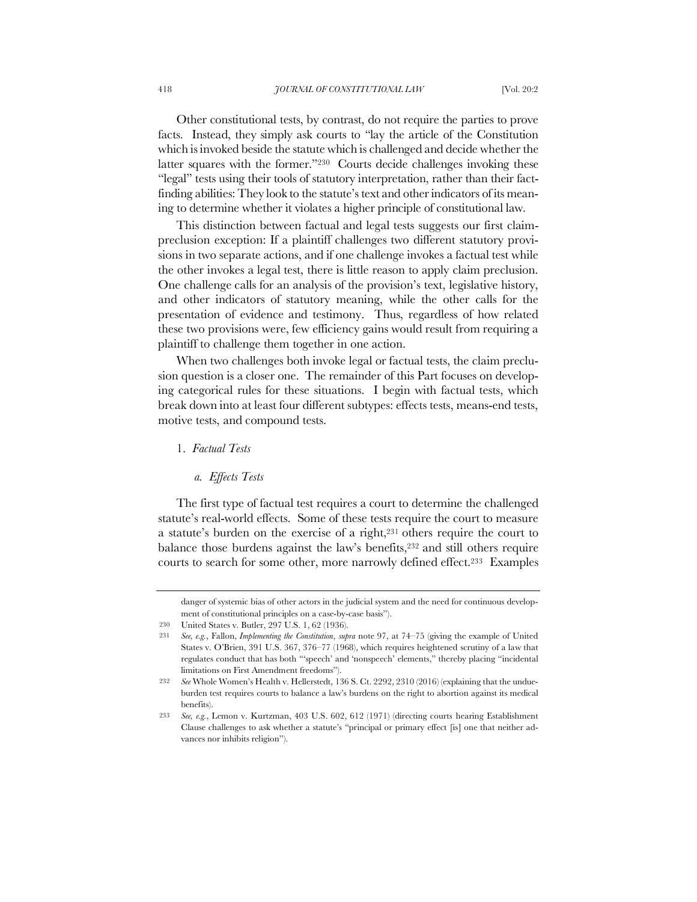Other constitutional tests, by contrast, do not require the parties to prove facts. Instead, they simply ask courts to "lay the article of the Constitution which is invoked beside the statute which is challenged and decide whether the latter squares with the former."<sup>230</sup> Courts decide challenges invoking these "legal" tests using their tools of statutory interpretation, rather than their factfinding abilities: They look to the statute's text and other indicators of its meaning to determine whether it violates a higher principle of constitutional law.

This distinction between factual and legal tests suggests our first claimpreclusion exception: If a plaintiff challenges two different statutory provisions in two separate actions, and if one challenge invokes a factual test while the other invokes a legal test, there is little reason to apply claim preclusion. One challenge calls for an analysis of the provision's text, legislative history, and other indicators of statutory meaning, while the other calls for the presentation of evidence and testimony. Thus, regardless of how related these two provisions were, few efficiency gains would result from requiring a plaintiff to challenge them together in one action.

When two challenges both invoke legal or factual tests, the claim preclusion question is a closer one. The remainder of this Part focuses on developing categorical rules for these situations. I begin with factual tests, which break down into at least four different subtypes: effects tests, means-end tests, motive tests, and compound tests.

1. *Factual Tests*

*a. Effects Tests*

The first type of factual test requires a court to determine the challenged statute's real-world effects. Some of these tests require the court to measure a statute's burden on the exercise of a right,231 others require the court to balance those burdens against the law's benefits,<sup>232</sup> and still others require courts to search for some other, more narrowly defined effect.233 Examples

danger of systemic bias of other actors in the judicial system and the need for continuous development of constitutional principles on a case-by-case basis").

<sup>230</sup> United States v. Butler, 297 U.S. 1, 62 (1936).

<sup>231</sup> *See, e.g.*, Fallon, *Implementing the Constitution*, *supra* note 97, at 74–75 (giving the example of United States v. O'Brien, 391 U.S. 367, 376–77 (1968), which requires heightened scrutiny of a law that regulates conduct that has both "'speech' and 'nonspeech' elements," thereby placing "incidental limitations on First Amendment freedoms").

<sup>232</sup> *See* Whole Women's Health v. Hellerstedt, 136 S. Ct. 2292, 2310 (2016) (explaining that the undueburden test requires courts to balance a law's burdens on the right to abortion against its medical benefits).

<sup>233</sup> *See, e.g.*, Lemon v. Kurtzman, 403 U.S. 602, 612 (1971) (directing courts hearing Establishment Clause challenges to ask whether a statute's "principal or primary effect [is] one that neither advances nor inhibits religion").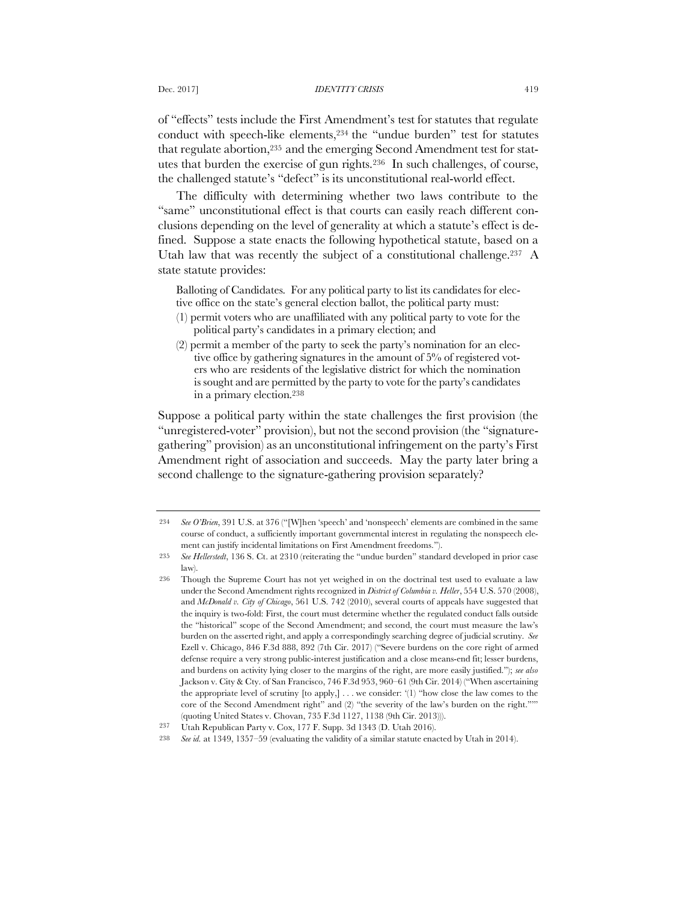of "effects" tests include the First Amendment's test for statutes that regulate conduct with speech-like elements,234 the "undue burden" test for statutes that regulate abortion,<sup>235</sup> and the emerging Second Amendment test for statutes that burden the exercise of gun rights.236 In such challenges, of course, the challenged statute's "defect" is its unconstitutional real-world effect.

The difficulty with determining whether two laws contribute to the "same" unconstitutional effect is that courts can easily reach different conclusions depending on the level of generality at which a statute's effect is defined. Suppose a state enacts the following hypothetical statute, based on a Utah law that was recently the subject of a constitutional challenge.<sup>237</sup> A state statute provides:

Balloting of Candidates. For any political party to list its candidates for elective office on the state's general election ballot, the political party must:

- (1) permit voters who are unaffiliated with any political party to vote for the political party's candidates in a primary election; and
- (2) permit a member of the party to seek the party's nomination for an elective office by gathering signatures in the amount of 5% of registered voters who are residents of the legislative district for which the nomination is sought and are permitted by the party to vote for the party's candidates in a primary election.238

Suppose a political party within the state challenges the first provision (the "unregistered-voter" provision), but not the second provision (the "signaturegathering" provision) as an unconstitutional infringement on the party's First Amendment right of association and succeeds. May the party later bring a second challenge to the signature-gathering provision separately?

<sup>234</sup> *See O'Brien*, 391 U.S. at 376 ("[W]hen 'speech' and 'nonspeech' elements are combined in the same course of conduct, a sufficiently important governmental interest in regulating the nonspeech element can justify incidental limitations on First Amendment freedoms.").

<sup>235</sup> *See Hellerstedt*, 136 S. Ct. at 2310 (reiterating the "undue burden" standard developed in prior case law).

<sup>236</sup> Though the Supreme Court has not yet weighed in on the doctrinal test used to evaluate a law under the Second Amendment rights recognized in *District of Columbia v. Heller*, 554 U.S. 570 (2008), and *McDonald v. City of Chicago*, 561 U.S. 742 (2010), several courts of appeals have suggested that the inquiry is two-fold: First, the court must determine whether the regulated conduct falls outside the "historical" scope of the Second Amendment; and second, the court must measure the law's burden on the asserted right, and apply a correspondingly searching degree of judicial scrutiny. *See*  Ezell v. Chicago, 846 F.3d 888, 892 (7th Cir. 2017) ("Severe burdens on the core right of armed defense require a very strong public-interest justification and a close means-end fit; lesser burdens, and burdens on activity lying closer to the margins of the right, are more easily justified."); *see also* Jackson v. City & Cty. of San Francisco, 746 F.3d 953, 960–61 (9th Cir. 2014) ("When ascertaining the appropriate level of scrutiny  $[$ to apply, $] \dots$  we consider: ' $(1)$ ' "how close the law comes to the core of the Second Amendment right" and (2) "the severity of the law's burden on the right."'" (quoting United States v. Chovan, 735 F.3d 1127, 1138 (9th Cir. 2013))).

<sup>237</sup> Utah Republican Party v. Cox, 177 F. Supp. 3d 1343 (D. Utah 2016).

<sup>238</sup> *See id.* at 1349, 1357–59 (evaluating the validity of a similar statute enacted by Utah in 2014).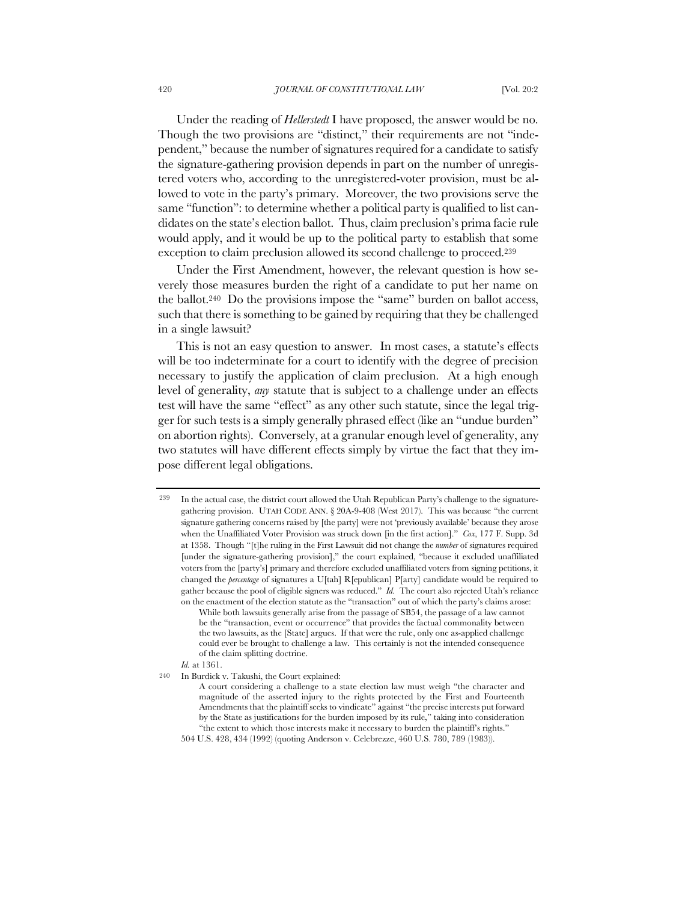Under the reading of *Hellerstedt* I have proposed, the answer would be no. Though the two provisions are "distinct," their requirements are not "independent," because the number of signatures required for a candidate to satisfy the signature-gathering provision depends in part on the number of unregistered voters who, according to the unregistered-voter provision, must be allowed to vote in the party's primary. Moreover, the two provisions serve the same "function": to determine whether a political party is qualified to list candidates on the state's election ballot. Thus, claim preclusion's prima facie rule would apply, and it would be up to the political party to establish that some exception to claim preclusion allowed its second challenge to proceed.239

Under the First Amendment, however, the relevant question is how severely those measures burden the right of a candidate to put her name on the ballot.240 Do the provisions impose the "same" burden on ballot access, such that there is something to be gained by requiring that they be challenged in a single lawsuit?

This is not an easy question to answer. In most cases, a statute's effects will be too indeterminate for a court to identify with the degree of precision necessary to justify the application of claim preclusion. At a high enough level of generality, *any* statute that is subject to a challenge under an effects test will have the same "effect" as any other such statute, since the legal trigger for such tests is a simply generally phrased effect (like an "undue burden" on abortion rights). Conversely, at a granular enough level of generality, any two statutes will have different effects simply by virtue the fact that they impose different legal obligations.

<sup>239</sup> In the actual case, the district court allowed the Utah Republican Party's challenge to the signaturegathering provision. UTAH CODE ANN. § 20A-9-408 (West 2017). This was because "the current signature gathering concerns raised by [the party] were not 'previously available' because they arose when the Unaffiliated Voter Provision was struck down [in the first action]." *Cox*, 177 F. Supp. 3d at 1358. Though "[t]he ruling in the First Lawsuit did not change the *number* of signatures required [under the signature-gathering provision]," the court explained, "because it excluded unaffiliated voters from the [party's] primary and therefore excluded unaffiliated voters from signing petitions, it changed the *percentage* of signatures a U[tah] R[epublican] P[arty] candidate would be required to gather because the pool of eligible signers was reduced." *Id.* The court also rejected Utah's reliance on the enactment of the election statute as the "transaction" out of which the party's claims arose: While both lawsuits generally arise from the passage of SB54, the passage of a law cannot

be the "transaction, event or occurrence" that provides the factual commonality between the two lawsuits, as the [State] argues. If that were the rule, only one as-applied challenge could ever be brought to challenge a law. This certainly is not the intended consequence of the claim splitting doctrine.

*Id.* at 1361.

<sup>240</sup> In Burdick v. Takushi, the Court explained:

A court considering a challenge to a state election law must weigh "the character and magnitude of the asserted injury to the rights protected by the First and Fourteenth Amendments that the plaintiff seeks to vindicate" against "the precise interests put forward by the State as justifications for the burden imposed by its rule," taking into consideration "the extent to which those interests make it necessary to burden the plaintiff's rights."

<sup>504</sup> U.S. 428, 434 (1992) (quoting Anderson v. Celebrezze, 460 U.S. 780, 789 (1983)).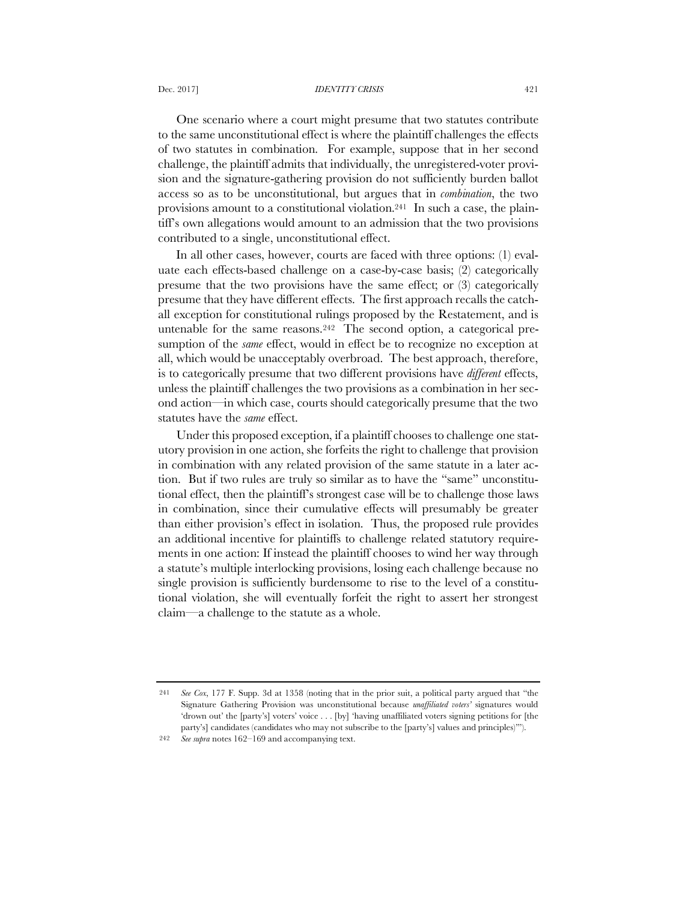#### Dec. 2017] *IDENTITY CRISIS* 421

One scenario where a court might presume that two statutes contribute to the same unconstitutional effect is where the plaintiff challenges the effects of two statutes in combination. For example, suppose that in her second challenge, the plaintiff admits that individually, the unregistered-voter provision and the signature-gathering provision do not sufficiently burden ballot access so as to be unconstitutional, but argues that in *combination*, the two provisions amount to a constitutional violation.241 In such a case, the plaintiff's own allegations would amount to an admission that the two provisions contributed to a single, unconstitutional effect.

In all other cases, however, courts are faced with three options: (1) evaluate each effects-based challenge on a case-by-case basis; (2) categorically presume that the two provisions have the same effect; or (3) categorically presume that they have different effects. The first approach recalls the catchall exception for constitutional rulings proposed by the Restatement, and is untenable for the same reasons.242 The second option, a categorical presumption of the *same* effect, would in effect be to recognize no exception at all, which would be unacceptably overbroad. The best approach, therefore, is to categorically presume that two different provisions have *different* effects, unless the plaintiff challenges the two provisions as a combination in her second action—in which case, courts should categorically presume that the two statutes have the *same* effect.

Under this proposed exception, if a plaintiff chooses to challenge one statutory provision in one action, she forfeits the right to challenge that provision in combination with any related provision of the same statute in a later action. But if two rules are truly so similar as to have the "same" unconstitutional effect, then the plaintiff's strongest case will be to challenge those laws in combination, since their cumulative effects will presumably be greater than either provision's effect in isolation. Thus, the proposed rule provides an additional incentive for plaintiffs to challenge related statutory requirements in one action: If instead the plaintiff chooses to wind her way through a statute's multiple interlocking provisions, losing each challenge because no single provision is sufficiently burdensome to rise to the level of a constitutional violation, she will eventually forfeit the right to assert her strongest claim—a challenge to the statute as a whole.

<sup>241</sup> *See Cox*, 177 F. Supp. 3d at 1358 (noting that in the prior suit, a political party argued that "the Signature Gathering Provision was unconstitutional because *unaffiliated voters'* signatures would 'drown out' the [party's] voters' voice . . . [by] 'having unaffiliated voters signing petitions for [the party's] candidates (candidates who may not subscribe to the [party's] values and principles)'").

<sup>242</sup> *See supra* notes 162–169 and accompanying text.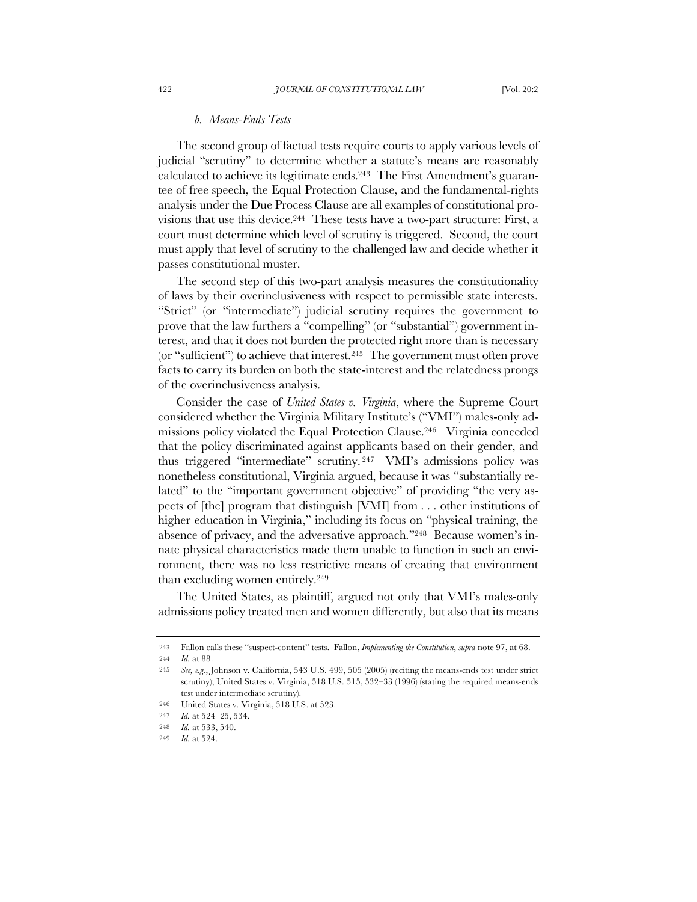### *b. Means-Ends Tests*

The second group of factual tests require courts to apply various levels of judicial "scrutiny" to determine whether a statute's means are reasonably calculated to achieve its legitimate ends.<sup>243</sup> The First Amendment's guarantee of free speech, the Equal Protection Clause, and the fundamental-rights analysis under the Due Process Clause are all examples of constitutional provisions that use this device.244 These tests have a two-part structure: First, a court must determine which level of scrutiny is triggered. Second, the court must apply that level of scrutiny to the challenged law and decide whether it passes constitutional muster.

The second step of this two-part analysis measures the constitutionality of laws by their overinclusiveness with respect to permissible state interests. "Strict" (or "intermediate") judicial scrutiny requires the government to prove that the law furthers a "compelling" (or "substantial") government interest, and that it does not burden the protected right more than is necessary (or "sufficient") to achieve that interest.245 The government must often prove facts to carry its burden on both the state-interest and the relatedness prongs of the overinclusiveness analysis.

Consider the case of *United States v. Virginia*, where the Supreme Court considered whether the Virginia Military Institute's ("VMI") males-only admissions policy violated the Equal Protection Clause.246 Virginia conceded that the policy discriminated against applicants based on their gender, and thus triggered "intermediate" scrutiny. <sup>247</sup> VMI's admissions policy was nonetheless constitutional, Virginia argued, because it was "substantially related" to the "important government objective" of providing "the very aspects of [the] program that distinguish [VMI] from . . . other institutions of higher education in Virginia," including its focus on "physical training, the absence of privacy, and the adversative approach."248 Because women's innate physical characteristics made them unable to function in such an environment, there was no less restrictive means of creating that environment than excluding women entirely.249

The United States, as plaintiff, argued not only that VMI's males-only admissions policy treated men and women differently, but also that its means

<sup>243</sup> Fallon calls these "suspect-content" tests. Fallon, *Implementing the Constitution*, *supra* note 97, at 68. 244 *Id.* at 88.

<sup>245</sup> *See, e.g.*, Johnson v. California, 543 U.S. 499, 505 (2005) (reciting the means-ends test under strict scrutiny); United States v. Virginia, 518 U.S. 515, 532–33 (1996) (stating the required means-ends test under intermediate scrutiny).

<sup>246</sup> United States v. Virginia, 518 U.S. at 523.

<sup>247</sup> *Id.* at 524–25, 534.

<sup>248</sup> *Id.* at 533, 540.

<sup>249</sup> *Id.* at 524.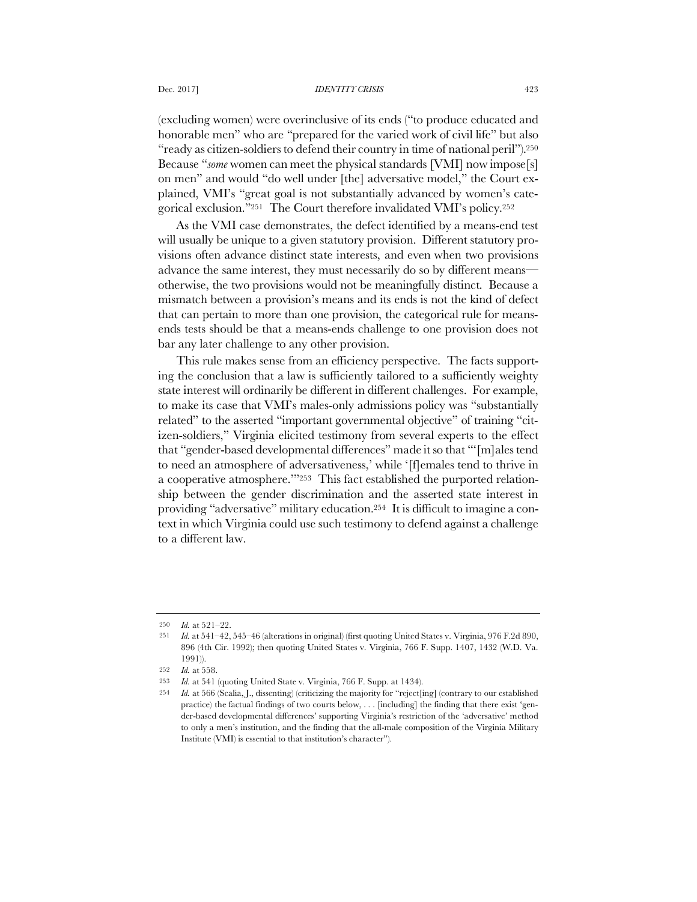(excluding women) were overinclusive of its ends ("to produce educated and honorable men" who are "prepared for the varied work of civil life" but also "ready as citizen-soldiers to defend their country in time of national peril").250 Because "*some* women can meet the physical standards [VMI] now impose[s] on men" and would "do well under [the] adversative model," the Court explained, VMI's "great goal is not substantially advanced by women's categorical exclusion."251 The Court therefore invalidated VMI's policy.252

As the VMI case demonstrates, the defect identified by a means-end test will usually be unique to a given statutory provision. Different statutory provisions often advance distinct state interests, and even when two provisions advance the same interest, they must necessarily do so by different means otherwise, the two provisions would not be meaningfully distinct. Because a mismatch between a provision's means and its ends is not the kind of defect that can pertain to more than one provision, the categorical rule for meansends tests should be that a means-ends challenge to one provision does not bar any later challenge to any other provision.

This rule makes sense from an efficiency perspective. The facts supporting the conclusion that a law is sufficiently tailored to a sufficiently weighty state interest will ordinarily be different in different challenges. For example, to make its case that VMI's males-only admissions policy was "substantially related" to the asserted "important governmental objective" of training "citizen-soldiers," Virginia elicited testimony from several experts to the effect that "gender-based developmental differences" made it so that "'[m]ales tend to need an atmosphere of adversativeness,' while '[f]emales tend to thrive in a cooperative atmosphere.'"253 This fact established the purported relationship between the gender discrimination and the asserted state interest in providing "adversative" military education.254 It is difficult to imagine a context in which Virginia could use such testimony to defend against a challenge to a different law.

<sup>250</sup> *Id.* at 521–22.

<sup>251</sup> *Id.* at 541–42, 545–46 (alterations in original) (first quoting United States v. Virginia, 976 F.2d 890, 896 (4th Cir. 1992); then quoting United States v. Virginia, 766 F. Supp. 1407, 1432 (W.D. Va. 1991)).

<sup>252</sup> *Id.* at 558.

<sup>253</sup> *Id.* at 541 (quoting United State v. Virginia, 766 F. Supp. at 1434).

<sup>254</sup> *Id.* at 566 (Scalia, J., dissenting) (criticizing the majority for "reject[ing] (contrary to our established practice) the factual findings of two courts below, . . . [including] the finding that there exist 'gender-based developmental differences' supporting Virginia's restriction of the 'adversative' method to only a men's institution, and the finding that the all-male composition of the Virginia Military Institute (VMI) is essential to that institution's character").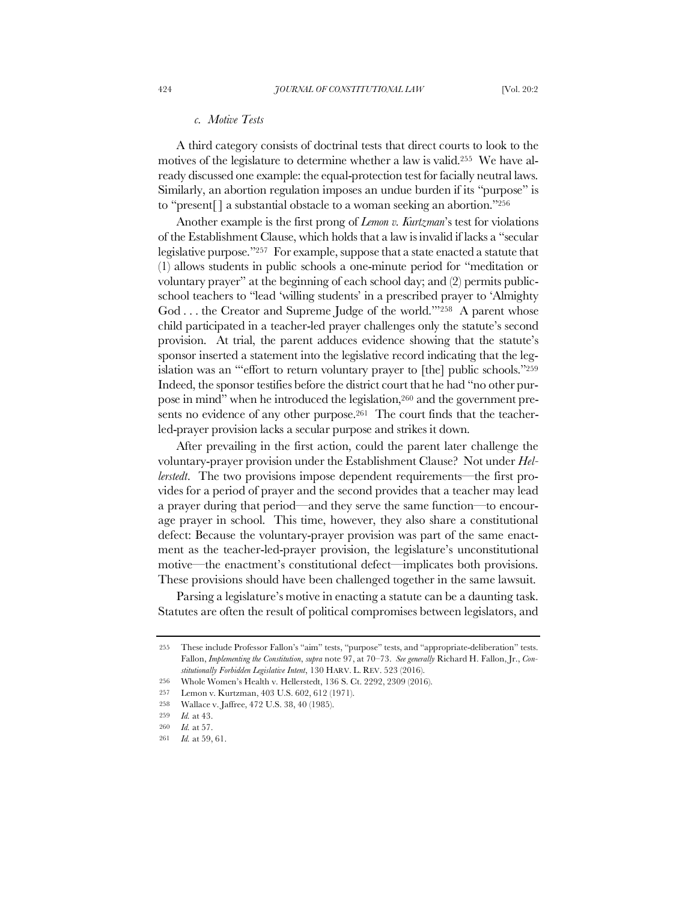### *c. Motive Tests*

A third category consists of doctrinal tests that direct courts to look to the motives of the legislature to determine whether a law is valid.255 We have already discussed one example: the equal-protection test for facially neutral laws. Similarly, an abortion regulation imposes an undue burden if its "purpose" is to "present[ ] a substantial obstacle to a woman seeking an abortion."256

Another example is the first prong of *Lemon v. Kurtzman*'s test for violations of the Establishment Clause, which holds that a law is invalid if lacks a "secular legislative purpose."257 For example, suppose that a state enacted a statute that (1) allows students in public schools a one-minute period for "meditation or voluntary prayer" at the beginning of each school day; and (2) permits publicschool teachers to "lead 'willing students' in a prescribed prayer to 'Almighty God . . . the Creator and Supreme Judge of the world.""<sup>258</sup> A parent whose child participated in a teacher-led prayer challenges only the statute's second provision. At trial, the parent adduces evidence showing that the statute's sponsor inserted a statement into the legislative record indicating that the legislation was an "'effort to return voluntary prayer to [the] public schools."259 Indeed, the sponsor testifies before the district court that he had "no other purpose in mind" when he introduced the legislation,260 and the government presents no evidence of any other purpose.<sup>261</sup> The court finds that the teacherled-prayer provision lacks a secular purpose and strikes it down.

After prevailing in the first action, could the parent later challenge the voluntary-prayer provision under the Establishment Clause? Not under *Hellerstedt*. The two provisions impose dependent requirements—the first provides for a period of prayer and the second provides that a teacher may lead a prayer during that period—and they serve the same function—to encourage prayer in school. This time, however, they also share a constitutional defect: Because the voluntary-prayer provision was part of the same enactment as the teacher-led-prayer provision, the legislature's unconstitutional motive—the enactment's constitutional defect—implicates both provisions. These provisions should have been challenged together in the same lawsuit.

Parsing a legislature's motive in enacting a statute can be a daunting task. Statutes are often the result of political compromises between legislators, and

<sup>255</sup> These include Professor Fallon's "aim" tests, "purpose" tests, and "appropriate-deliberation" tests. Fallon, *Implementing the Constitution*, *supra* note 97, at 70–73. *See generally* Richard H. Fallon, Jr., *Constitutionally Forbidden Legislative Intent*, 130 HARV. L. REV. 523 (2016).

<sup>256</sup> Whole Women's Health v. Hellerstedt, 136 S. Ct. 2292, 2309 (2016).

<sup>257</sup> Lemon v. Kurtzman, 403 U.S. 602, 612 (1971).

<sup>258</sup> Wallace v. Jaffree, 472 U.S. 38, 40 (1985).

<sup>259</sup> *Id.* at 43.

<sup>260</sup> *Id.* at 57.

<sup>261</sup> *Id.* at 59, 61.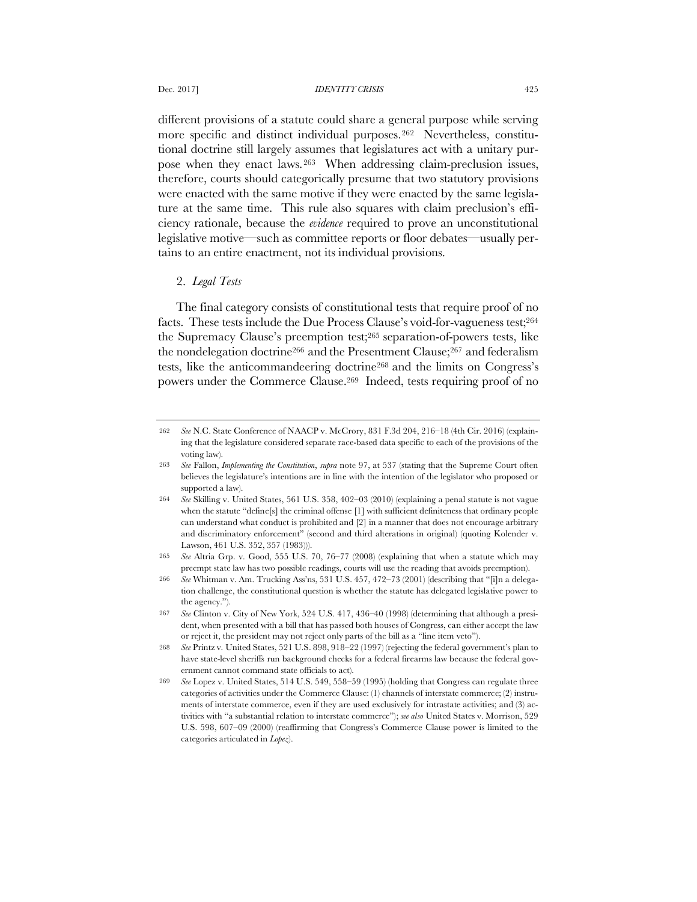different provisions of a statute could share a general purpose while serving more specific and distinct individual purposes.262 Nevertheless, constitutional doctrine still largely assumes that legislatures act with a unitary purpose when they enact laws.263 When addressing claim-preclusion issues, therefore, courts should categorically presume that two statutory provisions were enacted with the same motive if they were enacted by the same legislature at the same time. This rule also squares with claim preclusion's efficiency rationale, because the *evidence* required to prove an unconstitutional legislative motive—such as committee reports or floor debates—usually pertains to an entire enactment, not its individual provisions.

# 2. *Legal Tests*

The final category consists of constitutional tests that require proof of no facts. These tests include the Due Process Clause's void-for-vagueness test;<sup>264</sup> the Supremacy Clause's preemption test;265 separation-of-powers tests, like the nondelegation doctrine<sup>266</sup> and the Presentment Clause;<sup>267</sup> and federalism tests, like the anticommandeering doctrine268 and the limits on Congress's powers under the Commerce Clause.269 Indeed, tests requiring proof of no

<sup>262</sup> *See* N.C. State Conference of NAACP v. McCrory, 831 F.3d 204, 216–18 (4th Cir. 2016) (explaining that the legislature considered separate race-based data specific to each of the provisions of the voting law).

<sup>263</sup> *See* Fallon, *Implementing the Constitution*, *supra* note 97, at 537 (stating that the Supreme Court often believes the legislature's intentions are in line with the intention of the legislator who proposed or supported a law).

<sup>264</sup> *See* Skilling v. United States, 561 U.S. 358, 402–03 (2010) (explaining a penal statute is not vague when the statute "define[s] the criminal offense [1] with sufficient definiteness that ordinary people can understand what conduct is prohibited and [2] in a manner that does not encourage arbitrary and discriminatory enforcement" (second and third alterations in original) (quoting Kolender v. Lawson, 461 U.S. 352, 357 (1983))).

<sup>265</sup> *See* Altria Grp. v. Good, 555 U.S. 70, 76–77 (2008) (explaining that when a statute which may preempt state law has two possible readings, courts will use the reading that avoids preemption).

<sup>266</sup> *See* Whitman v. Am. Trucking Ass'ns, 531 U.S. 457, 472–73 (2001) (describing that "[i]n a delegation challenge, the constitutional question is whether the statute has delegated legislative power to the agency.").

<sup>267</sup> *See* Clinton v. City of New York, 524 U.S. 417, 436–40 (1998) (determining that although a president, when presented with a bill that has passed both houses of Congress, can either accept the law or reject it, the president may not reject only parts of the bill as a "line item veto").

<sup>268</sup> *See* Printz v. United States, 521 U.S. 898, 918–22 (1997) (rejecting the federal government's plan to have state-level sheriffs run background checks for a federal firearms law because the federal government cannot command state officials to act).

<sup>269</sup> *See* Lopez v. United States, 514 U.S. 549, 558–59 (1995) (holding that Congress can regulate three categories of activities under the Commerce Clause: (1) channels of interstate commerce; (2) instruments of interstate commerce, even if they are used exclusively for intrastate activities; and (3) activities with "a substantial relation to interstate commerce"); *see also* United States v. Morrison, 529 U.S. 598, 607–09 (2000) (reaffirming that Congress's Commerce Clause power is limited to the categories articulated in *Lopez*).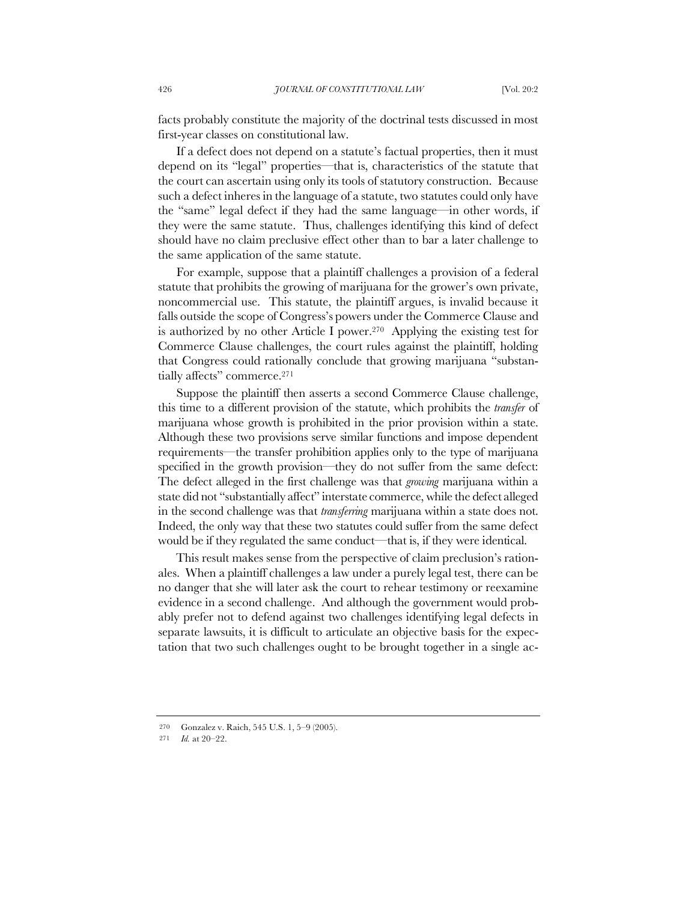facts probably constitute the majority of the doctrinal tests discussed in most first-year classes on constitutional law.

If a defect does not depend on a statute's factual properties, then it must depend on its "legal" properties—that is, characteristics of the statute that the court can ascertain using only its tools of statutory construction. Because such a defect inheres in the language of a statute, two statutes could only have the "same" legal defect if they had the same language—in other words, if they were the same statute. Thus, challenges identifying this kind of defect should have no claim preclusive effect other than to bar a later challenge to the same application of the same statute.

For example, suppose that a plaintiff challenges a provision of a federal statute that prohibits the growing of marijuana for the grower's own private, noncommercial use. This statute, the plaintiff argues, is invalid because it falls outside the scope of Congress's powers under the Commerce Clause and is authorized by no other Article I power.270 Applying the existing test for Commerce Clause challenges, the court rules against the plaintiff, holding that Congress could rationally conclude that growing marijuana "substantially affects" commerce.271

Suppose the plaintiff then asserts a second Commerce Clause challenge, this time to a different provision of the statute, which prohibits the *transfer* of marijuana whose growth is prohibited in the prior provision within a state. Although these two provisions serve similar functions and impose dependent requirements—the transfer prohibition applies only to the type of marijuana specified in the growth provision—they do not suffer from the same defect: The defect alleged in the first challenge was that *growing* marijuana within a state did not "substantially affect" interstate commerce, while the defect alleged in the second challenge was that *transferring* marijuana within a state does not. Indeed, the only way that these two statutes could suffer from the same defect would be if they regulated the same conduct—that is, if they were identical.

This result makes sense from the perspective of claim preclusion's rationales. When a plaintiff challenges a law under a purely legal test, there can be no danger that she will later ask the court to rehear testimony or reexamine evidence in a second challenge. And although the government would probably prefer not to defend against two challenges identifying legal defects in separate lawsuits, it is difficult to articulate an objective basis for the expectation that two such challenges ought to be brought together in a single ac-

<sup>270</sup> Gonzalez v. Raich, 545 U.S. 1, 5–9 (2005).

<sup>271</sup> *Id.* at 20–22.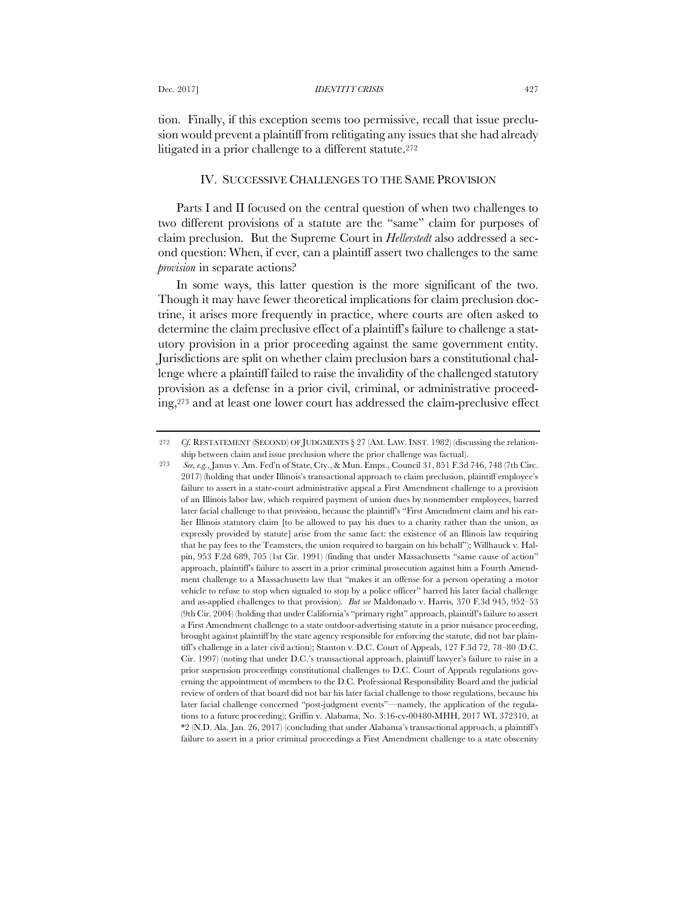tion. Finally, if this exception seems too permissive, recall that issue preclusion would prevent a plaintiff from relitigating any issues that she had already litigated in a prior challenge to a different statute.272

### IV. SUCCESSIVE CHALLENGES TO THE SAME PROVISION

Parts I and II focused on the central question of when two challenges to two different provisions of a statute are the "same" claim for purposes of claim preclusion. But the Supreme Court in *Hellerstedt* also addressed a second question: When, if ever, can a plaintiff assert two challenges to the same *provision* in separate actions?

In some ways, this latter question is the more significant of the two. Though it may have fewer theoretical implications for claim preclusion doctrine, it arises more frequently in practice, where courts are often asked to determine the claim preclusive effect of a plaintiff's failure to challenge a statutory provision in a prior proceeding against the same government entity. Jurisdictions are split on whether claim preclusion bars a constitutional challenge where a plaintiff failed to raise the invalidity of the challenged statutory provision as a defense in a prior civil, criminal, or administrative proceeding,273 and at least one lower court has addressed the claim-preclusive effect

<sup>272</sup> *Cf.* RESTATEMENT (SECOND) OF JUDGMENTS § 27 (AM. LAW. INST. 1982) (discussing the relationship between claim and issue preclusion where the prior challenge was factual).

<sup>273</sup> *See, e.g.*, Janus v. Am. Fed'n of State, Cty., & Mun. Emps., Council 31, 851 F.3d 746, 748 (7th Circ. 2017) (holding that under Illinois's transactional approach to claim preclusion, plaintiff employee's failure to assert in a state-court administrative appeal a First Amendment challenge to a provision of an Illinois labor law, which required payment of union dues by nonmember employees, barred later facial challenge to that provision, because the plaintiff's "First Amendment claim and his earlier Illinois statutory claim [to be allowed to pay his dues to a charity rather than the union, as expressly provided by statute] arise from the same fact: the existence of an Illinois law requiring that he pay fees to the Teamsters, the union required to bargain on his behalf"); Willhauck v. Halpin, 953 F.2d 689, 705 (1st Cir. 1991) (finding that under Massachusetts "same cause of action" approach, plaintiff's failure to assert in a prior criminal prosecution against him a Fourth Amendment challenge to a Massachusetts law that "makes it an offense for a person operating a motor vehicle to refuse to stop when signaled to stop by a police officer" barred his later facial challenge and as-applied challenges to that provision)*. But see* Maldonado v. Harris*,* 370 F.3d 945, 952–53 (9th Cir. 2004) (holding that under California's "primary right" approach, plaintiff's failure to assert a First Amendment challenge to a state outdoor-advertising statute in a prior nuisance proceeding, brought against plaintiff by the state agency responsible for enforcing the statute, did not bar plaintiff's challenge in a later civil action); Stanton v. D.C. Court of Appeals, 127 F.3d 72, 78–80 (D.C. Cir. 1997) (noting that under D.C.'s transactional approach, plaintiff lawyer's failure to raise in a prior suspension proceedings constitutional challenges to D.C. Court of Appeals regulations governing the appointment of members to the D.C. Professional Responsibility Board and the judicial review of orders of that board did not bar his later facial challenge to those regulations, because his later facial challenge concerned "post-judgment events"—namely, the application of the regulations to a future proceeding); Griffin v. Alabama, No. 3:16-cv-00480-MHH, 2017 WL 372310, at \*2 (N.D. Ala. Jan. 26, 2017) (concluding that under Alabama's transactional approach, a plaintiff's failure to assert in a prior criminal proceedings a First Amendment challenge to a state obscenity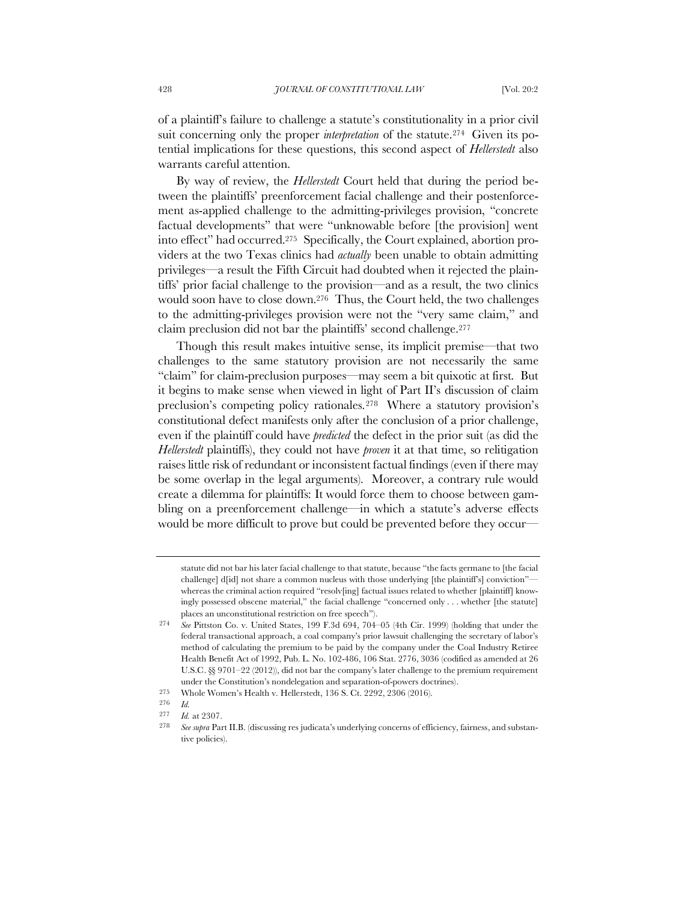of a plaintiff's failure to challenge a statute's constitutionality in a prior civil suit concerning only the proper *interpretation* of the statute.<sup>274</sup> Given its potential implications for these questions, this second aspect of *Hellerstedt* also warrants careful attention.

By way of review, the *Hellerstedt* Court held that during the period between the plaintiffs' preenforcement facial challenge and their postenforcement as-applied challenge to the admitting-privileges provision, "concrete factual developments" that were "unknowable before [the provision] went into effect" had occurred.275 Specifically, the Court explained, abortion providers at the two Texas clinics had *actually* been unable to obtain admitting privileges—a result the Fifth Circuit had doubted when it rejected the plaintiffs' prior facial challenge to the provision—and as a result, the two clinics would soon have to close down.276 Thus, the Court held, the two challenges to the admitting-privileges provision were not the "very same claim," and claim preclusion did not bar the plaintiffs' second challenge.277

Though this result makes intuitive sense, its implicit premise—that two challenges to the same statutory provision are not necessarily the same "claim" for claim-preclusion purposes—may seem a bit quixotic at first. But it begins to make sense when viewed in light of Part II's discussion of claim preclusion's competing policy rationales.278 Where a statutory provision's constitutional defect manifests only after the conclusion of a prior challenge, even if the plaintiff could have *predicted* the defect in the prior suit (as did the *Hellerstedt* plaintiffs), they could not have *proven* it at that time, so relitigation raises little risk of redundant or inconsistent factual findings (even if there may be some overlap in the legal arguments). Moreover, a contrary rule would create a dilemma for plaintiffs: It would force them to choose between gambling on a preenforcement challenge—in which a statute's adverse effects would be more difficult to prove but could be prevented before they occur—

statute did not bar his later facial challenge to that statute, because "the facts germane to [the facial challenge] d[id] not share a common nucleus with those underlying [the plaintiff's] conviction" whereas the criminal action required "resolv[ing] factual issues related to whether [plaintiff] knowingly possessed obscene material," the facial challenge "concerned only . . . whether [the statute] places an unconstitutional restriction on free speech").

<sup>274</sup> *See* Pittston Co. v. United States, 199 F.3d 694, 704–05 (4th Cir. 1999) (holding that under the federal transactional approach, a coal company's prior lawsuit challenging the secretary of labor's method of calculating the premium to be paid by the company under the Coal Industry Retiree Health Benefit Act of 1992, Pub. L. No. 102-486, 106 Stat. 2776, 3036 (codified as amended at 26 U.S.C. §§ 9701–22 (2012)), did not bar the company's later challenge to the premium requirement under the Constitution's nondelegation and separation-of-powers doctrines).

<sup>275</sup> Whole Women's Health v. Hellerstedt, 136 S. Ct. 2292, 2306 (2016).

<sup>276</sup> *Id.*

<sup>277</sup> *Id.* at 2307.

<sup>278</sup> *See supra* Part II.B. (discussing res judicata's underlying concerns of efficiency, fairness, and substantive policies).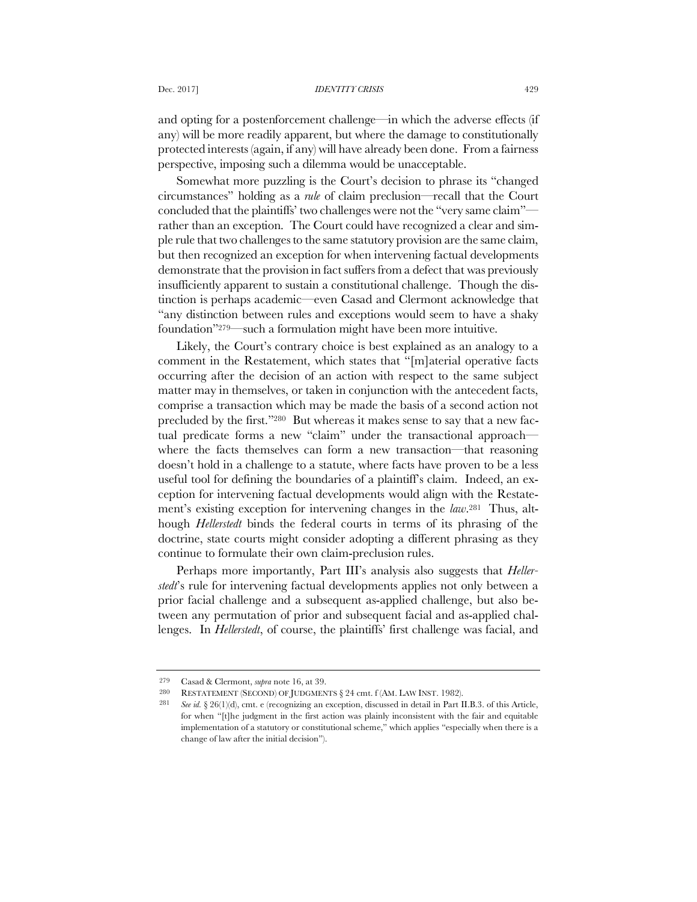and opting for a postenforcement challenge—in which the adverse effects (if any) will be more readily apparent, but where the damage to constitutionally protected interests (again, if any) will have already been done. From a fairness perspective, imposing such a dilemma would be unacceptable.

Somewhat more puzzling is the Court's decision to phrase its "changed circumstances" holding as a *rule* of claim preclusion—recall that the Court concluded that the plaintiffs' two challenges were not the "very same claim" rather than an exception. The Court could have recognized a clear and simple rule that two challenges to the same statutory provision are the same claim, but then recognized an exception for when intervening factual developments demonstrate that the provision in fact suffers from a defect that was previously insufficiently apparent to sustain a constitutional challenge. Though the distinction is perhaps academic—even Casad and Clermont acknowledge that "any distinction between rules and exceptions would seem to have a shaky foundation"279—such a formulation might have been more intuitive.

Likely, the Court's contrary choice is best explained as an analogy to a comment in the Restatement, which states that "[m]aterial operative facts occurring after the decision of an action with respect to the same subject matter may in themselves, or taken in conjunction with the antecedent facts, comprise a transaction which may be made the basis of a second action not precluded by the first."280 But whereas it makes sense to say that a new factual predicate forms a new "claim" under the transactional approach where the facts themselves can form a new transaction—that reasoning doesn't hold in a challenge to a statute, where facts have proven to be a less useful tool for defining the boundaries of a plaintiff's claim. Indeed, an exception for intervening factual developments would align with the Restatement's existing exception for intervening changes in the *law*.281 Thus, although *Hellerstedt* binds the federal courts in terms of its phrasing of the doctrine, state courts might consider adopting a different phrasing as they continue to formulate their own claim-preclusion rules.

Perhaps more importantly, Part III's analysis also suggests that *Hellerstedt*'s rule for intervening factual developments applies not only between a prior facial challenge and a subsequent as-applied challenge, but also between any permutation of prior and subsequent facial and as-applied challenges. In *Hellerstedt*, of course, the plaintiffs' first challenge was facial, and

<sup>279</sup> Casad & Clermont, *supra* note 16, at 39.

<sup>280</sup> RESTATEMENT (SECOND) OF JUDGMENTS § 24 cmt. f (AM. LAW INST. 1982).

<sup>281</sup> *See id.* § 26(1)(d), cmt. e (recognizing an exception, discussed in detail in Part II.B.3. of this Article, for when "[t]he judgment in the first action was plainly inconsistent with the fair and equitable implementation of a statutory or constitutional scheme," which applies "especially when there is a change of law after the initial decision").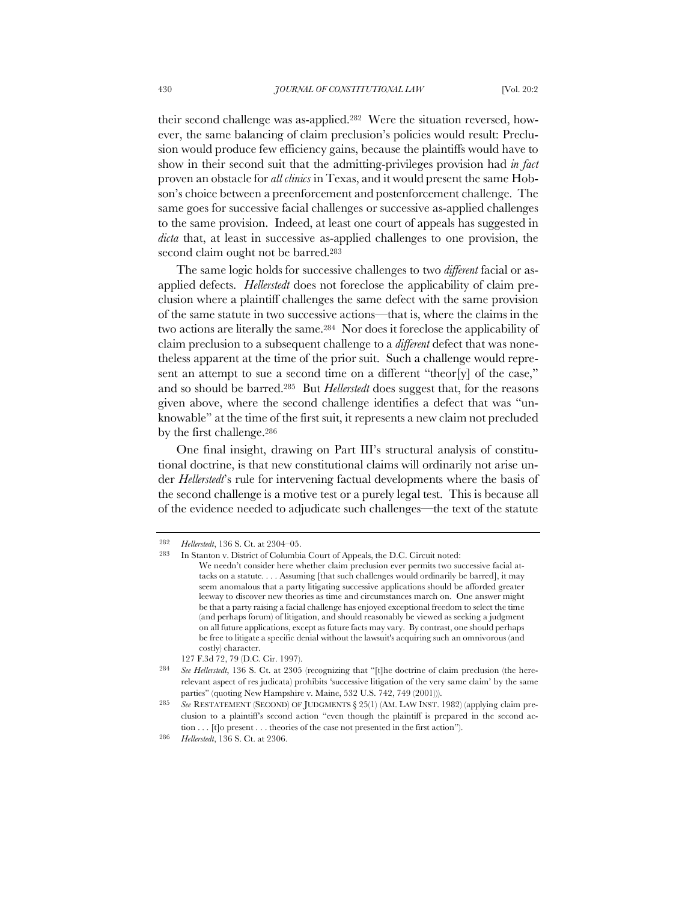their second challenge was as-applied.282 Were the situation reversed, however, the same balancing of claim preclusion's policies would result: Preclusion would produce few efficiency gains, because the plaintiffs would have to show in their second suit that the admitting-privileges provision had *in fact* proven an obstacle for *all clinics* in Texas, and it would present the same Hobson's choice between a preenforcement and postenforcement challenge. The same goes for successive facial challenges or successive as-applied challenges to the same provision. Indeed, at least one court of appeals has suggested in *dicta* that, at least in successive as-applied challenges to one provision, the second claim ought not be barred.283

The same logic holds for successive challenges to two *different* facial or asapplied defects. *Hellerstedt* does not foreclose the applicability of claim preclusion where a plaintiff challenges the same defect with the same provision of the same statute in two successive actions—that is, where the claims in the two actions are literally the same.284 Nor does it foreclose the applicability of claim preclusion to a subsequent challenge to a *different* defect that was nonetheless apparent at the time of the prior suit. Such a challenge would represent an attempt to sue a second time on a different "theor[y] of the case," and so should be barred.285 But *Hellerstedt* does suggest that, for the reasons given above, where the second challenge identifies a defect that was "unknowable" at the time of the first suit, it represents a new claim not precluded by the first challenge.286

One final insight, drawing on Part III's structural analysis of constitutional doctrine, is that new constitutional claims will ordinarily not arise under *Hellerstedt*'s rule for intervening factual developments where the basis of the second challenge is a motive test or a purely legal test. This is because all of the evidence needed to adjudicate such challenges—the text of the statute

<sup>282</sup> *Hellerstedt*, 136 S. Ct. at 2304–05.

<sup>283</sup> In Stanton v. District of Columbia Court of Appeals, the D.C. Circuit noted: We needn't consider here whether claim preclusion ever permits two successive facial attacks on a statute. . . . Assuming [that such challenges would ordinarily be barred], it may seem anomalous that a party litigating successive applications should be afforded greater leeway to discover new theories as time and circumstances march on. One answer might be that a party raising a facial challenge has enjoyed exceptional freedom to select the time (and perhaps forum) of litigation, and should reasonably be viewed as seeking a judgment on all future applications, except as future facts may vary. By contrast, one should perhaps be free to litigate a specific denial without the lawsuit's acquiring such an omnivorous (and costly) character.

<sup>127</sup> F.3d 72, 79 (D.C. Cir. 1997).

<sup>284</sup> *See Hellerstedt*, 136 S. Ct. at 2305 (recognizing that "[t]he doctrine of claim preclusion (the hererelevant aspect of res judicata) prohibits 'successive litigation of the very same claim' by the same parties" (quoting New Hampshire v. Maine, 532 U.S. 742, 749 (2001))).

<sup>285</sup> *See* RESTATEMENT (SECOND) OF JUDGMENTS § 25(1) (AM. LAW INST. 1982) (applying claim preclusion to a plaintiff's second action "even though the plaintiff is prepared in the second action . . . [t]o present . . . theories of the case not presented in the first action").

<sup>286</sup> *Hellerstedt*, 136 S. Ct. at 2306.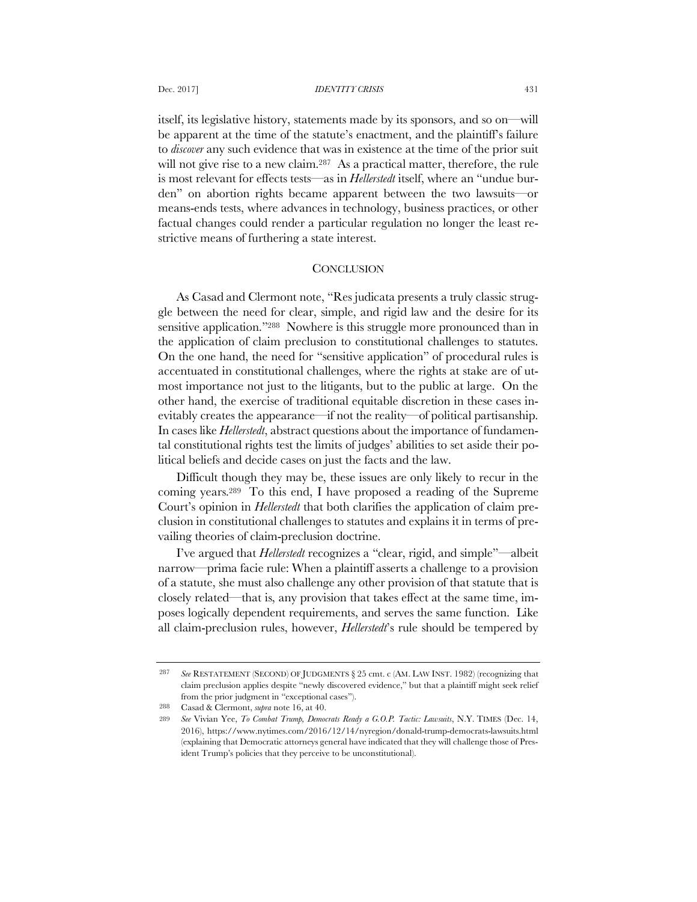itself, its legislative history, statements made by its sponsors, and so on—will be apparent at the time of the statute's enactment, and the plaintiff's failure to *discover* any such evidence that was in existence at the time of the prior suit will not give rise to a new claim.<sup>287</sup> As a practical matter, therefore, the rule is most relevant for effects tests—as in *Hellerstedt* itself, where an "undue burden" on abortion rights became apparent between the two lawsuits—or means-ends tests, where advances in technology, business practices, or other factual changes could render a particular regulation no longer the least restrictive means of furthering a state interest.

# **CONCLUSION**

As Casad and Clermont note, "Res judicata presents a truly classic struggle between the need for clear, simple, and rigid law and the desire for its sensitive application."288 Nowhere is this struggle more pronounced than in the application of claim preclusion to constitutional challenges to statutes. On the one hand, the need for "sensitive application" of procedural rules is accentuated in constitutional challenges, where the rights at stake are of utmost importance not just to the litigants, but to the public at large. On the other hand, the exercise of traditional equitable discretion in these cases inevitably creates the appearance—if not the reality—of political partisanship. In cases like *Hellerstedt*, abstract questions about the importance of fundamental constitutional rights test the limits of judges' abilities to set aside their political beliefs and decide cases on just the facts and the law.

Difficult though they may be, these issues are only likely to recur in the coming years.289 To this end, I have proposed a reading of the Supreme Court's opinion in *Hellerstedt* that both clarifies the application of claim preclusion in constitutional challenges to statutes and explains it in terms of prevailing theories of claim-preclusion doctrine.

I've argued that *Hellerstedt* recognizes a "clear, rigid, and simple"—albeit narrow—prima facie rule: When a plaintiff asserts a challenge to a provision of a statute, she must also challenge any other provision of that statute that is closely related—that is, any provision that takes effect at the same time, imposes logically dependent requirements, and serves the same function. Like all claim-preclusion rules, however, *Hellerstedt*'s rule should be tempered by

<sup>287</sup> *See* RESTATEMENT (SECOND) OF JUDGMENTS § 25 cmt. c (AM. LAW INST. 1982) (recognizing that claim preclusion applies despite "newly discovered evidence," but that a plaintiff might seek relief from the prior judgment in "exceptional cases").

<sup>288</sup> Casad & Clermont, *supra* note 16, at 40.

<sup>289</sup> *See* Vivian Yee, *To Combat Trump, Democrats Ready a G.O.P. Tactic: Lawsuits*, N.Y. TIMES (Dec. 14, 2016), https://www.nytimes.com/2016/12/14/nyregion/donald-trump-democrats-lawsuits.html (explaining that Democratic attorneys general have indicated that they will challenge those of President Trump's policies that they perceive to be unconstitutional).